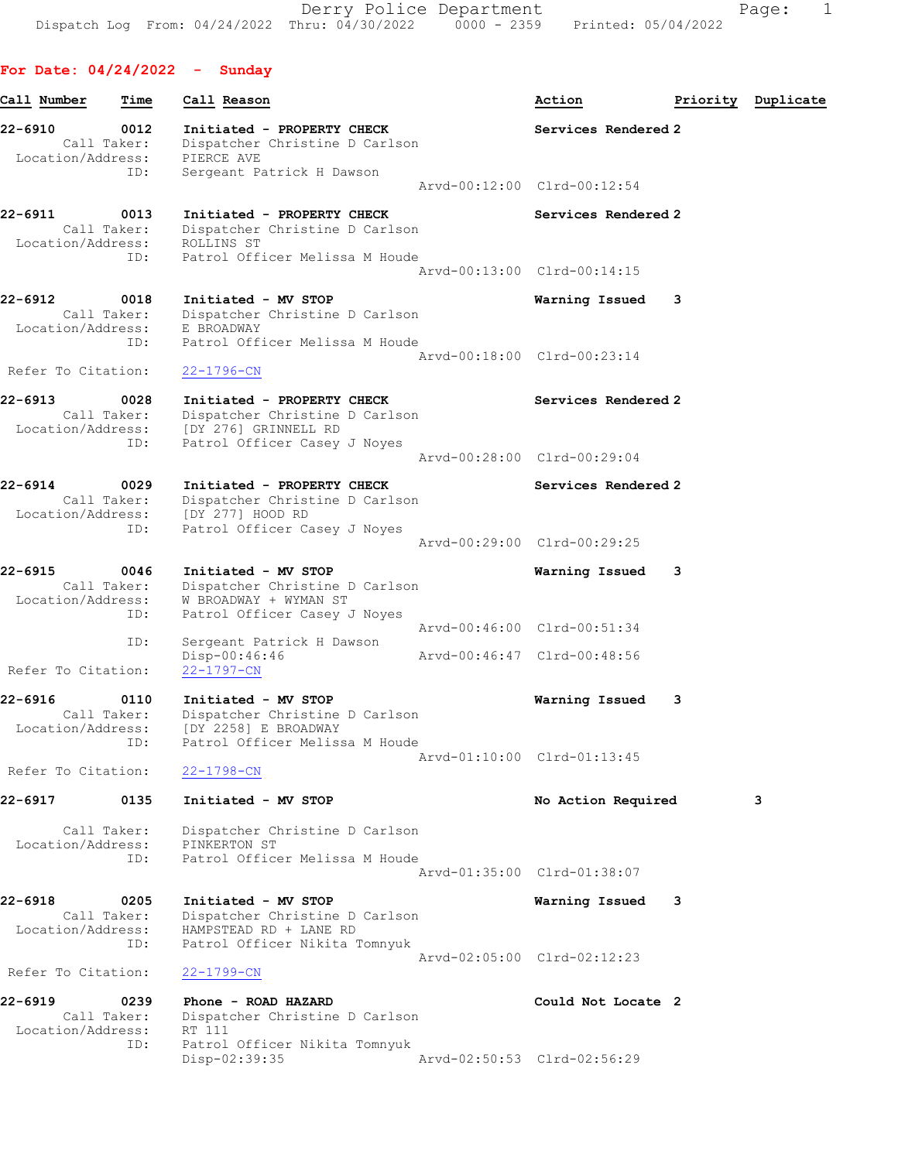Derry Police Department Fage: 1 Dispatch Log From: 04/24/2022 Thru: 04/30/2022 0000 - 2359 Printed: 05/04/2022

ID: Patrol Officer Nikita Tomnyuk

For Date: 04/24/2022 - Sunday Call Number Time Call Reason and Call Cassette Call Call Action and Priority Duplicate 22-6910 0012 Initiated - PROPERTY CHECK Services Rendered 2 Call Taker: Dispatcher Christine D Carlson Location/Address: PIERCE AVE ID: Sergeant Patrick H Dawson Arvd-00:12:00 Clrd-00:12:54 22-6911 0013 Initiated - PROPERTY CHECK Services Rendered 2 Call Taker: Dispatcher Christine D Carlson Location/Address: ROLLINS ST ID: Patrol Officer Melissa M Houde Arvd-00:13:00 Clrd-00:14:15 22-6912 0018 Initiated - MV STOP Warning Issued 3 Call Taker: Dispatcher Christine D Carlson Location/Address: E BROADWAY ID: Patrol Officer Melissa M Houde Arvd-00:18:00 Clrd-00:23:14 Refer To Citation: 22-1796-CN 22-6913 0028 Initiated - PROPERTY CHECK Services Rendered 2 Call Taker: Dispatcher Christine D Carlson Location/Address: [DY 276] GRINNELL RD ID: Patrol Officer Casey J Noyes Arvd-00:28:00 Clrd-00:29:04 22-6914 0029 Initiated - PROPERTY CHECK Services Rendered 2 Call Taker: Dispatcher Christine D Carlson Location/Address: [DY 277] HOOD RD ID: Patrol Officer Casey J Noyes Arvd-00:29:00 Clrd-00:29:25 22-6915 0046 Initiated - MV STOP Warning Issued 3 Call Taker: Dispatcher Christine D Carlson Location/Address: W BROADWAY + WYMAN ST ID: Patrol Officer Casey J Noyes<br>Arvd-00:46:00 Clrd-00:51:34 Arvd-00:46:00 Clrd-00:51:34 ID: Sergeant Patrick H Dawson Disp-00:46:46 Arvd-00:46:47 Clrd-00:48:56 Refer To Citation: 22-1797-CN 22-6916 0110 Initiated - MV STOP Warning Issued 3 Call Taker: Dispatcher Christine D Carlson Location/Address: [DY 2258] E BROADWAY ID: Patrol Officer Melissa M Houde Arvd-01:10:00 Clrd-01:13:45 Refer To Citation: 22-1798-CN 22-6917 0135 Initiated - MV STOP No Action Required 3 Call Taker: Dispatcher Christine D Carlson Location/Address: PINKERTON ST ID: Patrol Officer Melissa M Houde Arvd-01:35:00 Clrd-01:38:07 22-6918 0205 Initiated - MV STOP Warning Issued 3 Call Taker: Dispatcher Christine D Carlson Location/Address: HAMPSTEAD RD + LANE RD ID: Patrol Officer Nikita Tomnyuk Arvd-02:05:00 Clrd-02:12:23 Refer To Citation: 22-1799-CN 22-6919 0239 Phone - ROAD HAZARD Could Not Locate 2 Call Taker: Dispatcher Christine D Carlson Location/Address: RT 111 Patrol Officer Nikita Tomnyuk<br>Disp-02:39:35 Arvd-02:50:53 Clrd-02:56:29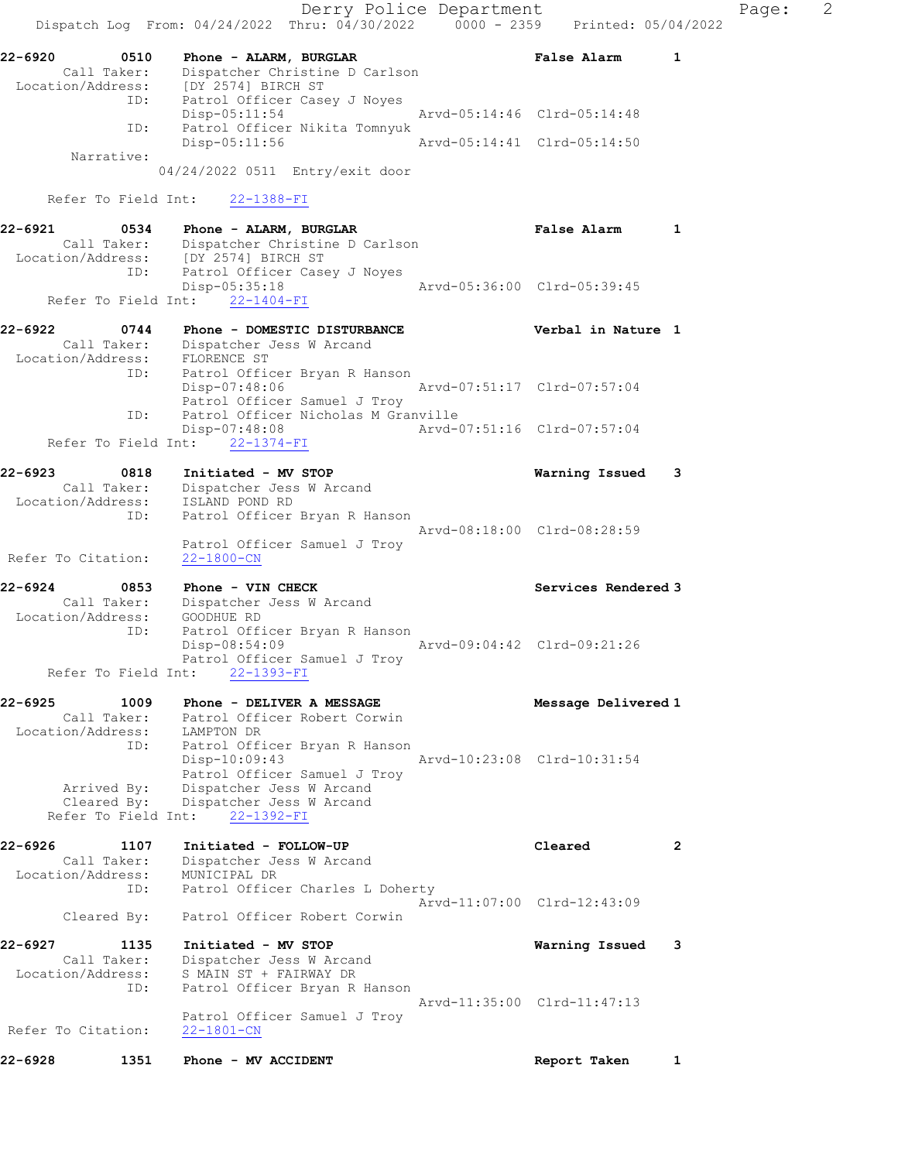Derry Police Department Fage: 2 Dispatch Log From: 04/24/2022 Thru: 04/30/2022 0000 - 2359 Printed: 05/04/2022 22-6920 0510 Phone - ALARM, BURGLAR False Alarm 1 Call Taker: Dispatcher Christine D Carlson Location/Address: [DY 2574] BIRCH ST ID: Patrol Officer Casey J Noyes Disp-05:11:54 Arvd-05:14:46 Clrd-05:14:48 ID: Patrol Officer Nikita Tomnyuk Disp-05:11:56 Arvd-05:14:41 Clrd-05:14:50 Narrative: 04/24/2022 0511 Entry/exit door Refer To Field Int: 22-1388-FI 22-6921 0534 Phone - ALARM, BURGLAR False Alarm 1 Call Taker: Dispatcher Christine D Carlson Location/Address: [DY 2574] BIRCH ST ID: Patrol Officer Casey J Noyes Disp-05:35:18 Arvd-05:36:00 Clrd-05:39:45 Refer To Field Int: 22-1404-FI 22-6922 0744 Phone - DOMESTIC DISTURBANCE Verbal in Nature 1 Call Taker: Dispatcher Jess W Arcand Location/Address: FLORENCE ST ID: Patrol Officer Bryan R Hanson Disp-07:48:06 Arvd-07:51:17 Clrd-07:57:04 Patrol Officer Samuel J Troy ID: Patrol Officer Nicholas M Granville<br>Disp-07:48:08 Arvd-0 Disp-07:48:08 Arvd-07:51:16 Clrd-07:57:04 Refer To Field Int: 22-1374-FI 22-6923 0818 Initiated - MV STOP Warning Issued 3 Call Taker: Dispatcher Jess W Arcand Location/Address: ISLAND POND RD ID: Patrol Officer Bryan R Hanson Arvd-08:18:00 Clrd-08:28:59 Patrol Officer Samuel J Troy Refer To Citation: 22-1800-CN 22-6924 0853 Phone - VIN CHECK Services Rendered 3 Call Taker: Dispatcher Jess W Arcand Location/Address: GOODHUE RD ID: Patrol Officer Bryan R Hanson Disp-08:54:09 Arvd-09:04:42 Clrd-09:21:26 Patrol Officer Samuel J Troy Refer To Field Int: 22-1393-FI 22-6925 1009 Phone - DELIVER A MESSAGE Message Delivered 1 Call Taker: Patrol Officer Robert Corwin Location/Address: LAMPTON DR ID: Patrol Officer Bryan R Hanson Disp-10:09:43 Arvd-10:23:08 Clrd-10:31:54 Patrol Officer Samuel J Troy Arrived By: Dispatcher Jess W Arcand Cleared By: Dispatcher Jess W Arcand Refer To Field Int: 22-1392-FI 22-6926 1107 Initiated - FOLLOW-UP Cleared 2 Call Taker: Dispatcher Jess W Arcand Location/Address: MUNICIPAL DR ID: Patrol Officer Charles L Doherty Arvd-11:07:00 Clrd-12:43:09 Cleared By: Patrol Officer Robert Corwin 22-6927 1135 Initiated - MV STOP Warning Issued 3 Call Taker: Dispatcher Jess W Arcand Location/Address: S MAIN ST + FAIRWAY DR ID: Patrol Officer Bryan R Hanson Arvd-11:35:00 Clrd-11:47:13 Patrol Officer Samuel J Troy Refer To Citation: 22-1801-CN 22-6928 1351 Phone - MV ACCIDENT Report Taken 1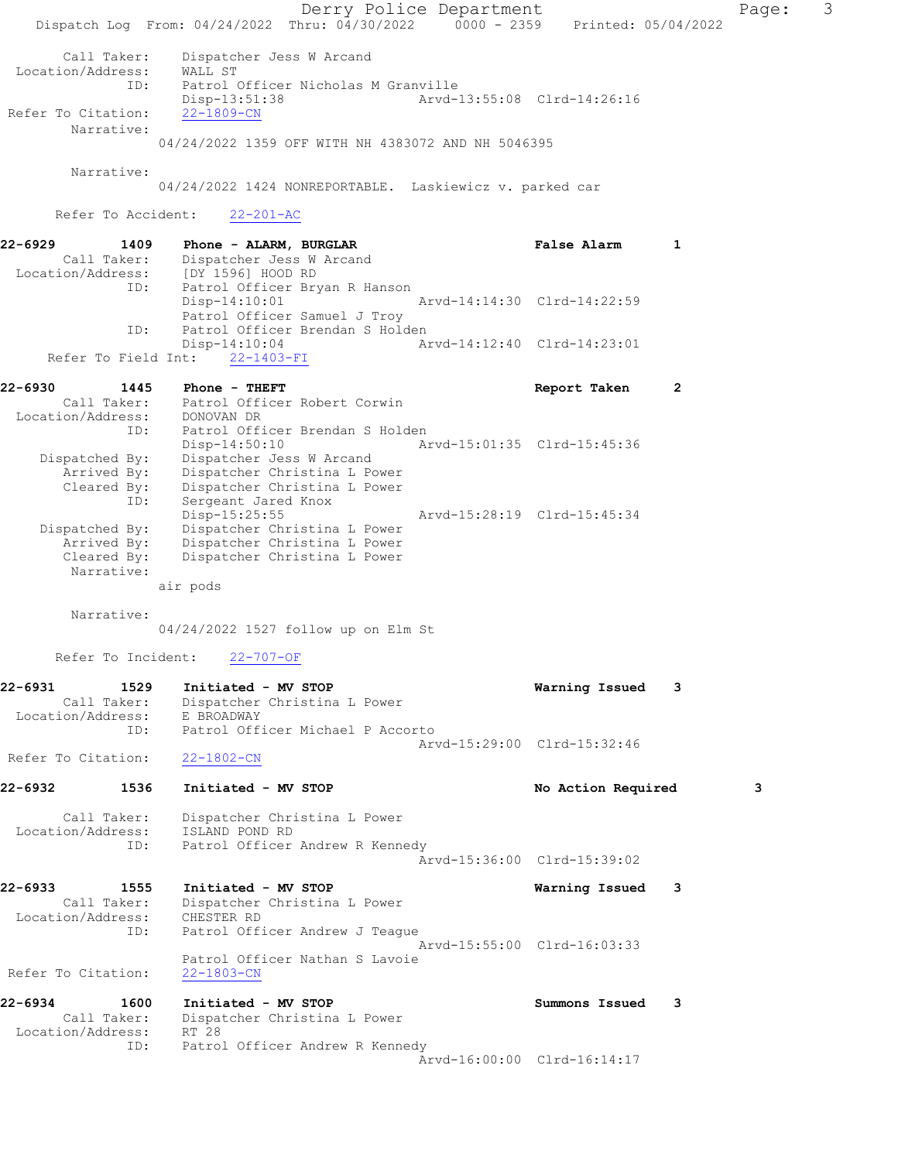Derry Police Department Fage: 3 Dispatch Log From: 04/24/2022 Thru: 04/30/2022 0000 - 2359 Printed: 05/04/2022 Call Taker: Dispatcher Jess W Arcand Location/Address: WALL ST<br>ID: Patrol ( Patrol Officer Nicholas M Granville Disp-13:51:38 Arvd-13:55:08 Clrd-14:26:16<br>22-1809-CN Refer To Citation: Narrative: 04/24/2022 1359 OFF WITH NH 4383072 AND NH 5046395 Narrative: 04/24/2022 1424 NONREPORTABLE. Laskiewicz v. parked car Refer To Accident: 22-201-AC 22-6929 1409 Phone - ALARM, BURGLAR TREAST TRANSPORT Range Alarm 1 Call Taker: Dispatcher Jess W Arcand Location/Address: [DY 1596] HOOD RD<br>ID: Patrol Officer Bryan Patrol Officer Bryan R Hanson<br>Disp-14:10:01 Arvd-14:14:30 Clrd-14:22:59 Patrol Officer Samuel J Troy ID: Patrol Officer Brendan S Holden Disp-14:10:04 Arvd-14:12:40 Clrd-14:23:01 Refer To Field Int: 22-1403-FI 22-6930 1445 Phone - THEFT Report Taken 2 Call Taker: Patrol Officer Robert Corwin Location/Address: DONOVAN DR ID: Patrol Officer Brendan S Holden<br>Disp-14:50:10 Ar Arvd-15:01:35 Clrd-15:45:36 Dispatched By: Dispatcher Jess W Arcand Arrived By: Dispatcher Christina L Power Cleared By: Dispatcher Christina L Power ID: Sergeant Jared Knox Disp-15:25:55 Arvd-15:28:19 Clrd-15:45:34 Dispatched By: Dispatcher Christina L Power Arrived By: Dispatcher Christina L Power Cleared By: Dispatcher Christina L Power Narrative: air pods Narrative: 04/24/2022 1527 follow up on Elm St Refer To Incident: 22-707-OF 22-6931 1529 Initiated - MV STOP Warning Issued 3 Call Taker: Dispatcher Christina L Power Location/Address: E BROADWAY ID: Patrol Officer Michael P Accorto Arvd-15:29:00 Clrd-15:32:46 Refer To Citation: 22-1802-CN 22-6932 1536 Initiated - MV STOP 1988 1989 No Action Required 3 Call Taker: Dispatcher Christina L Power Location/Address: ISLAND POND RD ID: Patrol Officer Andrew R Kennedy Arvd-15:36:00 Clrd-15:39:02 22-6933 1555 Initiated - MV STOP Warning Issued 3 Call Taker: Dispatcher Christina L Power Location/Address: CHESTER RD ID: Patrol Officer Andrew J Teague Arvd-15:55:00 Clrd-16:03:33 Patrol Officer Nathan S Lavoie<br>22-1803-CN Refer To Citation: 22-6934 1600 Initiated - MV STOP Summons Issued 3 Call Taker: Dispatcher Christina L Power Location/Address: RT 28 ID: Patrol Officer Andrew R Kennedy Arvd-16:00:00 Clrd-16:14:17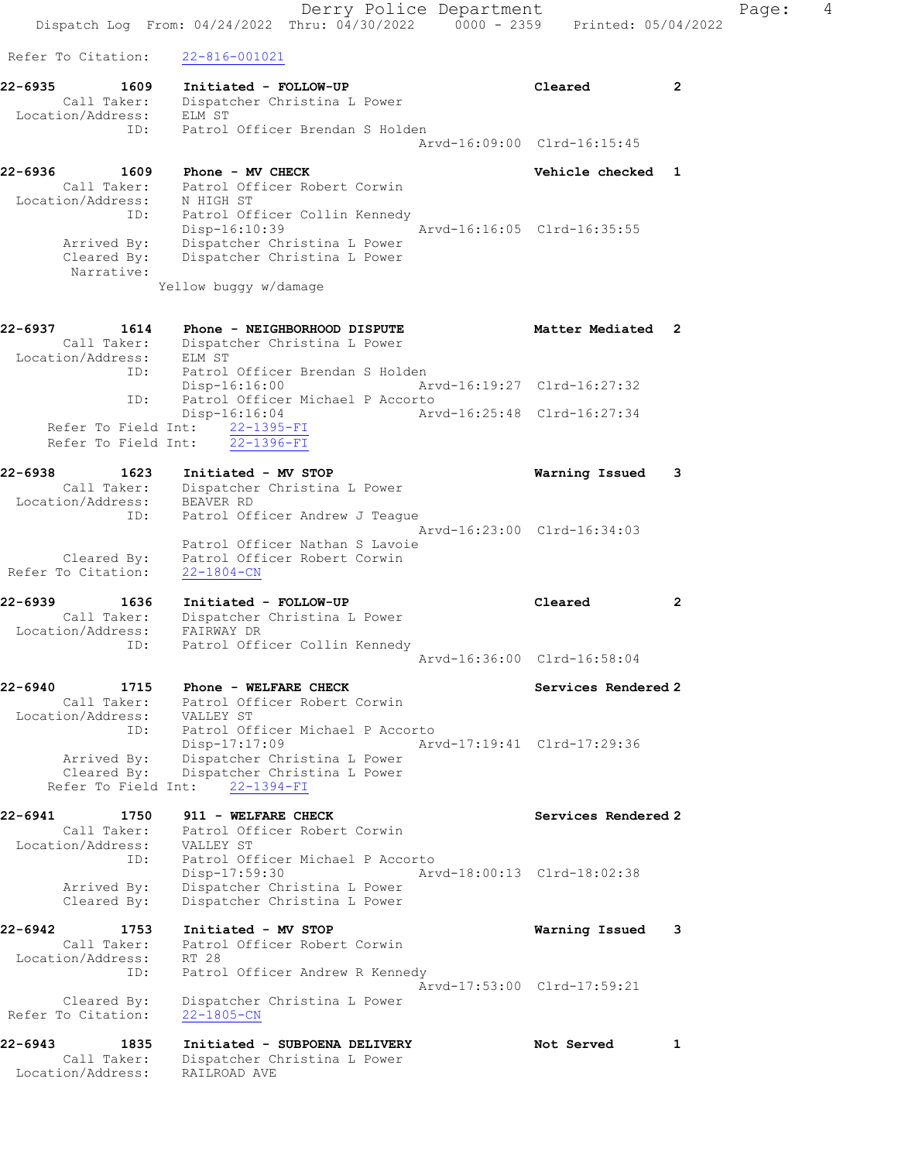Derry Police Department Controller Page: 4 Dispatch Log From: 04/24/2022 Thru: 04/30/2022 0000 - 2359 Printed: 05/04/2022 Refer To Citation: 22-816-001021 22-6935 1609 Initiated - FOLLOW-UP Cleared 2 Call Taker: Dispatcher Christina L Power Location/Address: ELM ST ID: Patrol Officer Brendan S Holden Arvd-16:09:00 Clrd-16:15:45 22-6936 1609 Phone - MV CHECK Vehicle checked 1 Call Taker: Patrol Officer Robert Corwin Location/Address: N HIGH ST ID: Patrol Officer Collin Kennedy Disp-16:10:39 Arvd-16:16:05 Clrd-16:35:55 Arrived By: Dispatcher Christina L Power Cleared By: Dispatcher Christina L Power Narrative: Yellow buggy w/damage 22-6937 1614 Phone - NEIGHBORHOOD DISPUTE 1988 Matter Mediated 2 Call Taker: Dispatcher Christina L Power Location/Address: ELM ST ID: Patrol Officer Brendan S Holden Disp-16:16:00 Arvd-16:19:27 Clrd-16:27:32 ID: Patrol Officer Michael P Accorto Disp-16:16:04 Arvd-16:25:48 Clrd-16:27:34 Refer To Field Int: 22-1395-FI Refer To Field Int: 22-1396-FI 22-6938 1623 Initiated - MV STOP Warning Issued 3 Call Taker: Dispatcher Christina L Power Location/Address: BEAVER RD ID: Patrol Officer Andrew J Teague Arvd-16:23:00 Clrd-16:34:03 Patrol Officer Nathan S Lavoie Cleared By: Patrol Officer Robert Corwin Refer To Citation: 22-1804-CN 22-6939 1636 Initiated - FOLLOW-UP Cleared 2 Call Taker: Dispatcher Christina L Power Location/Address: FAIRWAY DR ID: Patrol Officer Collin Kennedy Arvd-16:36:00 Clrd-16:58:04 22-6940 1715 Phone - WELFARE CHECK Services Rendered 2 Call Taker: Patrol Officer Robert Corwin Location/Address: VALLEY ST ID: Patrol Officer Michael P Accorto Disp-17:17:09 Arvd-17:19:41 Clrd-17:29:36 Arrived By: Dispatcher Christina L Power Cleared By: Dispatcher Christina L Power Refer To Field Int: 22-1394-FI 22-6941 1750 911 - WELFARE CHECK Services Rendered 2 Call Taker: Patrol Officer Robert Corwin Location/Address: VALLEY ST ID: Patrol Officer Michael P Accorto Disp-17:59:30 Arvd-18:00:13 Clrd-18:02:38 Arrived By: Dispatcher Christina L Power Cleared By: Dispatcher Christina L Power 22-6942 1753 Initiated - MV STOP Warning Issued 3 Call Taker: Patrol Officer Robert Corwin Location/Address: RT 28 ID: Patrol Officer Andrew R Kennedy Arvd-17:53:00 Clrd-17:59:21 Cleared By: Dispatcher Christina L Power Refer To Citation: 22-1805-CN 22-6943 1835 Initiated - SUBPOENA DELIVERY Not Served 1 Call Taker: Dispatcher Christina L Power Location/Address: RAILROAD AVE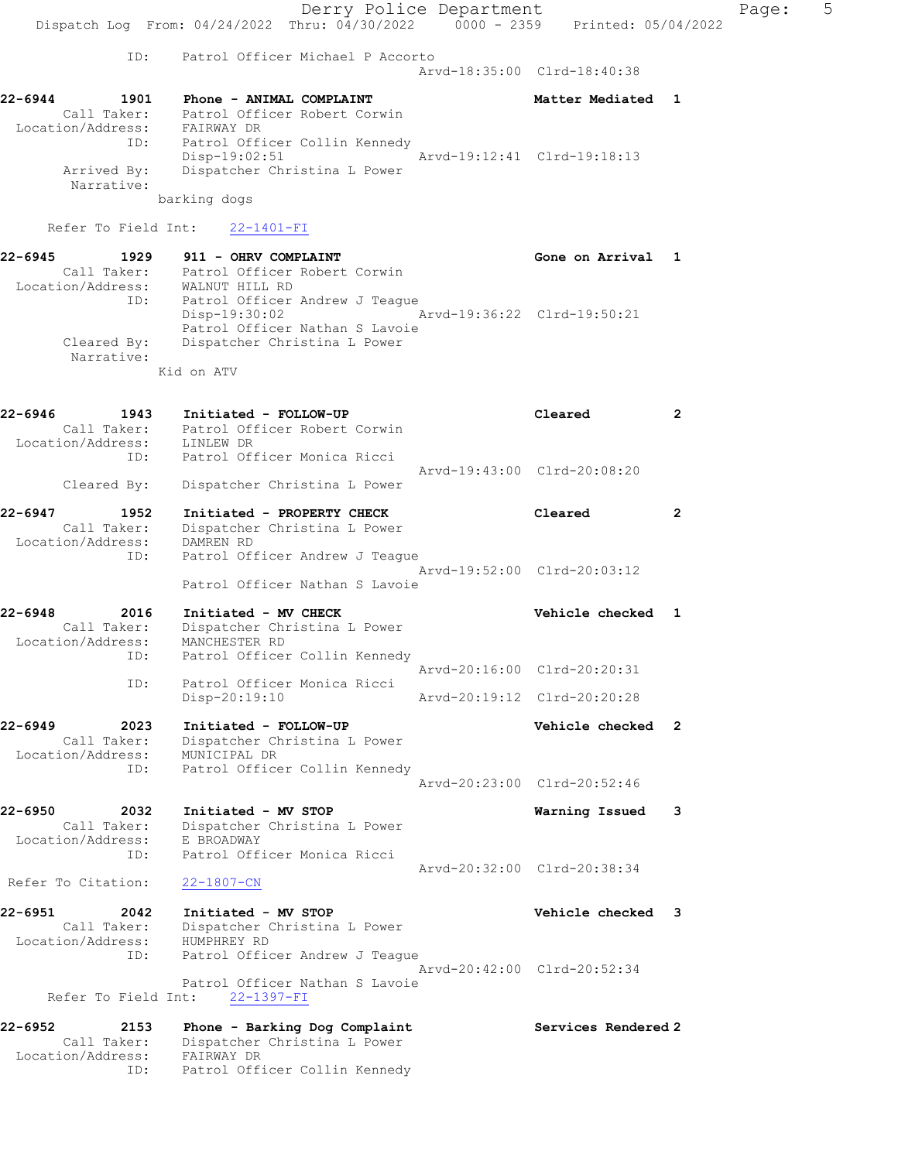Derry Police Department Fage: 5 Dispatch Log From: 04/24/2022 Thru: 04/30/2022 0000 - 2359 Printed: 05/04/2022 ID: Patrol Officer Michael P Accorto Arvd-18:35:00 Clrd-18:40:38 22-6944 1901 Phone - ANIMAL COMPLAINT Network and Matter Mediated 1 Call Taker: Patrol Officer Robert Corwin Location/Address: FAIRWAY DR ID: Patrol Officer Collin Kennedy Disp-19:02:51 Arvd-19:12:41 Clrd-19:18:13 Arrived By: Dispatcher Christina L Power Narrative: barking dogs Refer To Field Int: 22-1401-FI 22-6945 1929 911 - OHRV COMPLAINT COMERCLE CONE Gone on Arrival 1 Call Taker: Patrol Officer Robert Corwin Location/Address: WALNUT HILL RD ID: Patrol Officer Andrew J Teague Disp-19:30:02 Arvd-19:36:22 Clrd-19:50:21 Patrol Officer Nathan S Lavoie Cleared By: Dispatcher Christina L Power Narrative: Kid on ATV 22-6946 1943 Initiated - FOLLOW-UP Cleared 2 Call Taker: Patrol Officer Robert Corwin Location/Address: LINLEW DR ID: Patrol Officer Monica Ricci Arvd-19:43:00 Clrd-20:08:20 Cleared By: Dispatcher Christina L Power 22-6947 1952 Initiated - PROPERTY CHECK Cleared 2 Call Taker: Dispatcher Christina L Power Location/Address: DAMREN RD ID: Patrol Officer Andrew J Teague Arvd-19:52:00 Clrd-20:03:12 Patrol Officer Nathan S Lavoie 22-6948 2016 Initiated - MV CHECK Vehicle checked 1 Call Taker: Dispatcher Christina L Power Location/Address: MANCHESTER RD ID: Patrol Officer Collin Kennedy Arvd-20:16:00 Clrd-20:20:31 ID: Patrol Officer Monica Ricci Disp-20:19:10 Arvd-20:19:12 Clrd-20:20:28 22-6949 2023 Initiated - FOLLOW-UP Vehicle checked 2 Call Taker: Dispatcher Christina L Power Location/Address: MUNICIPAL DR ID: Patrol Officer Collin Kennedy Arvd-20:23:00 Clrd-20:52:46 22-6950 2032 Initiated - MV STOP Warning Issued 3 Call Taker: Dispatcher Christina L Power Location/Address: E BROADWAY ID: Patrol Officer Monica Ricci Arvd-20:32:00 Clrd-20:38:34 Refer To Citation: 22-1807-CN 22-6951 2042 Initiated - MV STOP Vehicle checked 3 Call Taker: Dispatcher Christina L Power Location/Address: HUMPHREY RD ID: Patrol Officer Andrew J Teague Arvd-20:42:00 Clrd-20:52:34 Patrol Officer Nathan S Lavoie Refer To Field Int: 22-1397-FI 22-6952 2153 Phone - Barking Dog Complaint Services Rendered 2 Call Taker: Dispatcher Christina L Power Location/Address: FAIRWAY DR

ID: Patrol Officer Collin Kennedy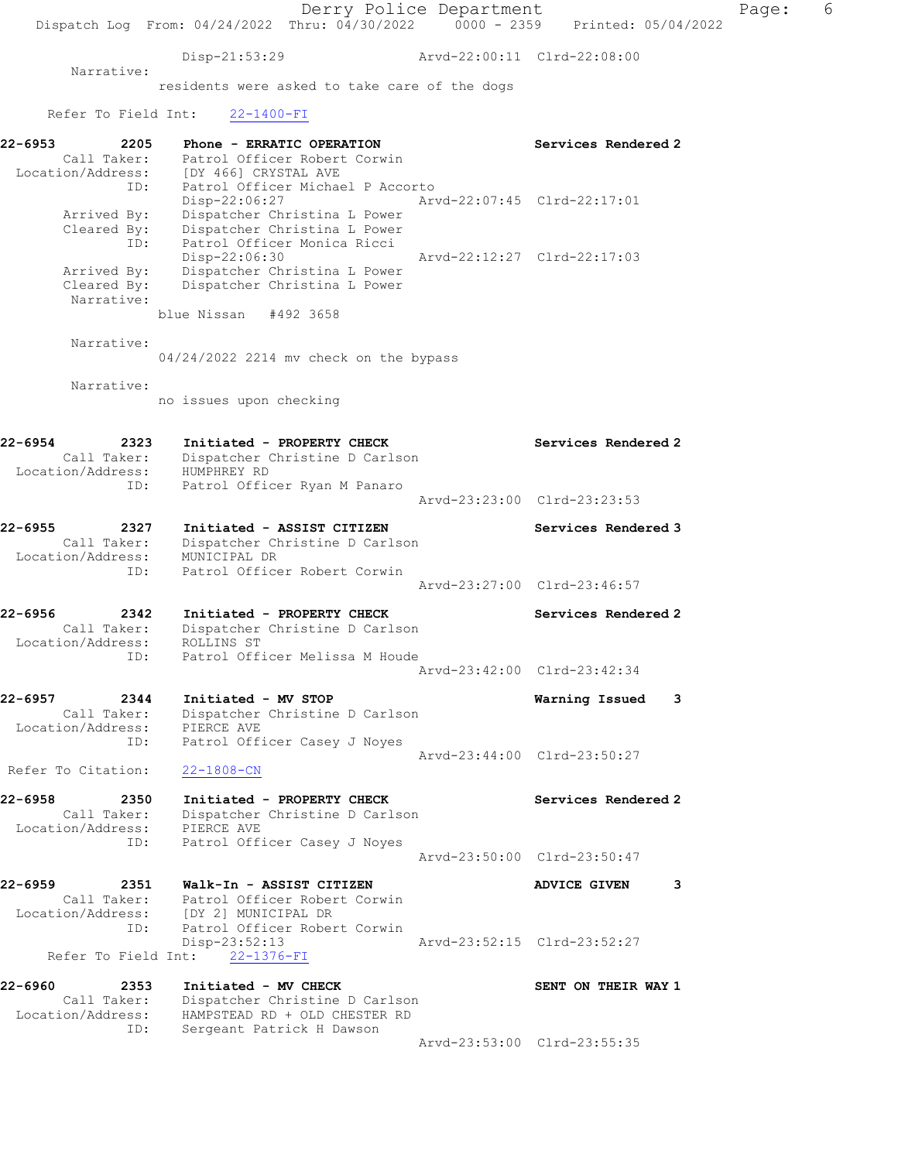Derry Police Department The Control of Page: 6 Dispatch Log From: 04/24/2022 Thru: 04/30/2022 0000 - 2359 Printed: 05/04/2022 Disp-21:53:29 Arvd-22:00:11 Clrd-22:08:00 Narrative: residents were asked to take care of the dogs Refer To Field Int: 22-1400-FI 22-6953 2205 Phone - ERRATIC OPERATION Services Rendered 2 Call Taker: Patrol Officer Robert Corwin Location/Address: [DY 466] CRYSTAL AVE ID: Patrol Officer Michael P Accorto<br>Disp-22:06:27 Arv Disp-22:06:27 Arvd-22:07:45 Clrd-22:17:01 Arrived By: Dispatcher Christina L Power Cleared By: Dispatcher Christina L Power ID: Patrol Officer Monica Ricci Disp-22:06:30 Arvd-22:12:27 Clrd-22:17:03 Arrived By: Dispatcher Christina L Power Cleared By: Dispatcher Christina L Power Narrative: blue Nissan #492 3658 Narrative: 04/24/2022 2214 mv check on the bypass Narrative: no issues upon checking 22-6954 2323 Initiated - PROPERTY CHECK Services Rendered 2 Call Taker: Dispatcher Christine D Carlson Location/Address: HUMPHREY RD ID: Patrol Officer Ryan M Panaro Arvd-23:23:00 Clrd-23:23:53 22-6955 2327 Initiated - ASSIST CITIZEN Services Rendered 3 Call Taker: Dispatcher Christine D Carlson Location/Address: MUNICIPAL DR ID: Patrol Officer Robert Corwin Arvd-23:27:00 Clrd-23:46:57 22-6956 2342 Initiated - PROPERTY CHECK Services Rendered 2 Call Taker: Dispatcher Christine D Carlson Location/Address: ROLLINS ST ID: Patrol Officer Melissa M Houde Arvd-23:42:00 Clrd-23:42:34 22-6957 2344 Initiated - MV STOP Warning Issued 3 Call Taker: Dispatcher Christine D Carlson Location/Address: PIERCE AVE ID: Patrol Officer Casey J Noyes Arvd-23:44:00 Clrd-23:50:27 Refer To Citation: 22-1808-CN 22-6958 2350 Initiated - PROPERTY CHECK Services Rendered 2 Call Taker: Dispatcher Christine D Carlson Location/Address: PIERCE AVE ID: Patrol Officer Casey J Noyes Arvd-23:50:00 Clrd-23:50:47 22-6959 2351 Walk-In - ASSIST CITIZEN ADVICE GIVEN 3<br>Call Taker: Patrol Officer Robert Corwin Call Taker: Patrol Officer Robert Corwin Location/Address: [DY 2] MUNICIPAL DR ID: Patrol Officer Robert Corwin Disp-23:52:13 Arvd-23:52:15 Clrd-23:52:27 Refer To Field Int: 22-1376-FI 22-6960 2353 Initiated - MV CHECK SENT ON THEIR WAY 1 Call Taker: Dispatcher Christine D Carlson Location/Address: HAMPSTEAD RD + OLD CHESTER RD ID: Sergeant Patrick H Dawson Arvd-23:53:00 Clrd-23:55:35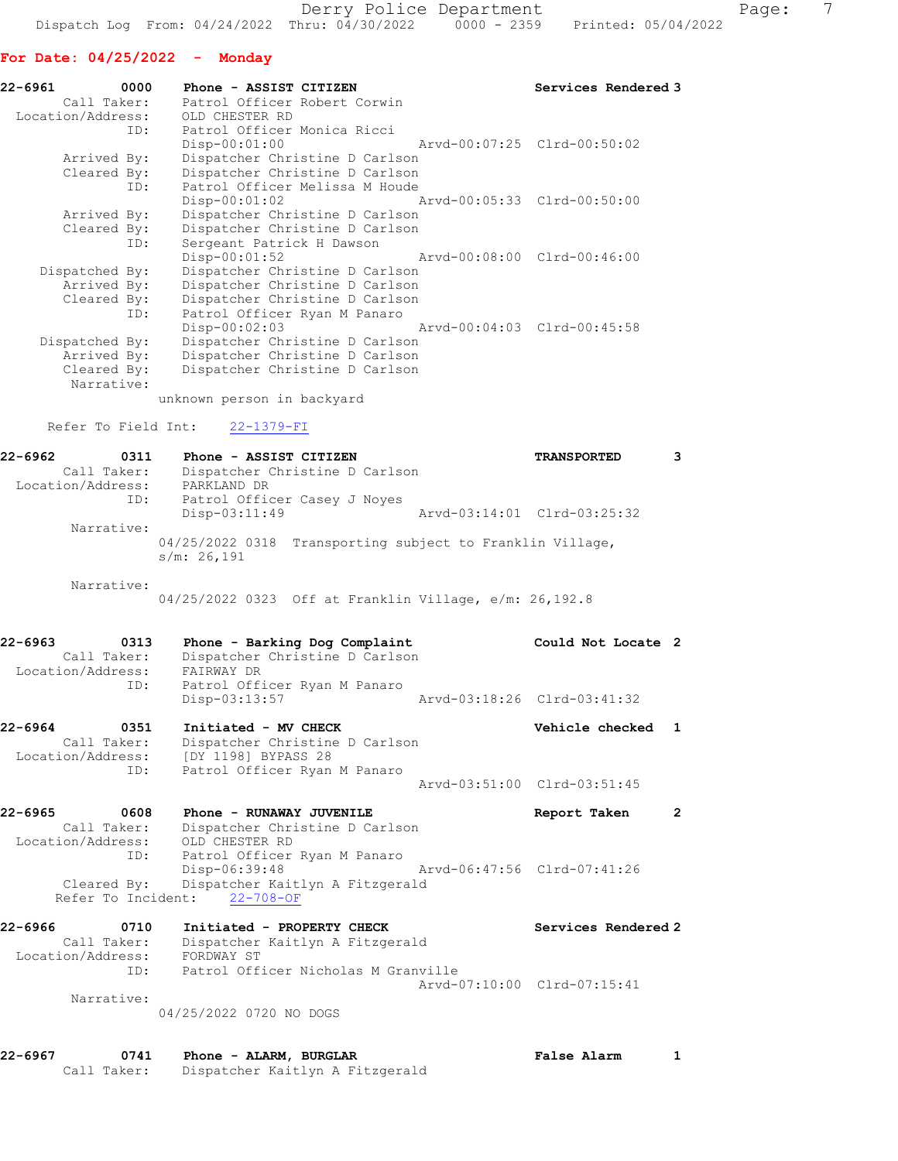# For Date: 04/25/2022 - Monday

| 22-6961<br>0000                  | Phone - ASSIST CITIZEN                         | Services Rendered 3 |
|----------------------------------|------------------------------------------------|---------------------|
|                                  | Call Taker: Patrol Officer Robert Corwin       |                     |
| Location/Address: OLD CHESTER RD |                                                |                     |
|                                  | ID: Patrol Officer Monica Ricci                |                     |
|                                  | $Disp-00:01:00$                                |                     |
| Arrived By:                      | Dispatcher Christine D Carlson                 |                     |
|                                  | Cleared By: Dispatcher Christine D Carlson     |                     |
|                                  | ID: Patrol Officer Melissa M Houde             |                     |
|                                  | Disp-00:01:02 Arvd-00:05:33 Clrd-00:50:00      |                     |
| Arrived By:                      | Dispatcher Christine D Carlson                 |                     |
|                                  | Cleared By: Dispatcher Christine D Carlson     |                     |
| ID:                              | Sergeant Patrick H Dawson                      |                     |
|                                  | $Disp-00:01:52$<br>Arvd-00:08:00 Clrd-00:46:00 |                     |
| Dispatched By:                   | Dispatcher Christine D Carlson                 |                     |
| Arrived By:                      | Dispatcher Christine D Carlson                 |                     |
|                                  | Cleared By: Dispatcher Christine D Carlson     |                     |
| ID:                              | Patrol Officer Ryan M Panaro                   |                     |
|                                  | Disp-00:02:03 Arvd-00:04:03 Clrd-00:45:58      |                     |
| Dispatched By:                   | Dispatcher Christine D Carlson                 |                     |
|                                  | Arrived By: Dispatcher Christine D Carlson     |                     |
| Cleared By:                      | Dispatcher Christine D Carlson                 |                     |
| Narrative:                       |                                                |                     |

unknown person in backyard

# Refer To Field Int: 22-1379-FI

| 22-6962           | 0311 | Phone - ASSIST CITIZEN                                                   |  | <b>TRANSPORTED</b>          |  |
|-------------------|------|--------------------------------------------------------------------------|--|-----------------------------|--|
| Call Taker:       |      | Dispatcher Christine D Carlson                                           |  |                             |  |
| Location/Address: |      | PARKLAND DR                                                              |  |                             |  |
|                   | ID:  | Patrol Officer Casey J Noyes                                             |  |                             |  |
|                   |      | $Disp-03:11:49$                                                          |  | Arvd-03:14:01 Clrd-03:25:32 |  |
| Narrative:        |      |                                                                          |  |                             |  |
|                   |      | 04/25/2022 0318 Transporting subject to Franklin Village,<br>s/m: 26,191 |  |                             |  |

Narrative:

04/25/2022 0323 Off at Franklin Village, e/m: 26,192.8

| 22-6963           | 0313        | Phone - Barking Dog Complaint  | Could Not Locate 2          |  |
|-------------------|-------------|--------------------------------|-----------------------------|--|
|                   | Call Taker: | Dispatcher Christine D Carlson |                             |  |
| Location/Address: |             | FAIRWAY DR                     |                             |  |
|                   | ID:         | Patrol Officer Ryan M Panaro   |                             |  |
|                   |             | Disp-03:13:57                  | Arvd-03:18:26 Clrd-03:41:32 |  |

| 22-6964           | 0351 | Initiated - MV CHECK           | Vehicle checked 1           |  |
|-------------------|------|--------------------------------|-----------------------------|--|
| Call Taker:       |      | Dispatcher Christine D Carlson |                             |  |
| Location/Address: |      | [DY 1198] BYPASS 28            |                             |  |
|                   | ID:  | Patrol Officer Ryan M Panaro   |                             |  |
|                   |      |                                | Arvd-03:51:00 Clrd-03:51:45 |  |

| 22-6965 | 0608              | Phone - RUNAWAY JUVENILE                    | Report Taken                |  |
|---------|-------------------|---------------------------------------------|-----------------------------|--|
|         | Call Taker:       | Dispatcher Christine D Carlson              |                             |  |
|         | Location/Address: | OLD CHESTER RD                              |                             |  |
|         | ID:               | Patrol Officer Ryan M Panaro                |                             |  |
|         |                   | Disp-06:39:48                               | Arvd-06:47:56 Clrd-07:41:26 |  |
|         |                   | Cleared By: Dispatcher Kaitlyn A Fitzgerald |                             |  |
|         |                   | Refer To Incident: 22-708-OF                |                             |  |

| 22-6966           | 0710        | Initiated - PROPERTY CHECK          | Services Rendered 2         |
|-------------------|-------------|-------------------------------------|-----------------------------|
|                   | Call Taker: | Dispatcher Kaitlyn A Fitzgerald     |                             |
| Location/Address: |             | FORDWAY ST                          |                             |
|                   | TD:         | Patrol Officer Nicholas M Granville |                             |
|                   |             |                                     | Aryd-07:10:00 Clrd-07:15:41 |
|                   | Narrative:  |                                     |                             |

04/25/2022 0720 NO DOGS

| 22-6967 | 0741        | Phone - ALARM, BURGLAR          | <b>False Alarm</b> |  |
|---------|-------------|---------------------------------|--------------------|--|
|         | Call Taker: | Dispatcher Kaitlyn A Fitzgerald |                    |  |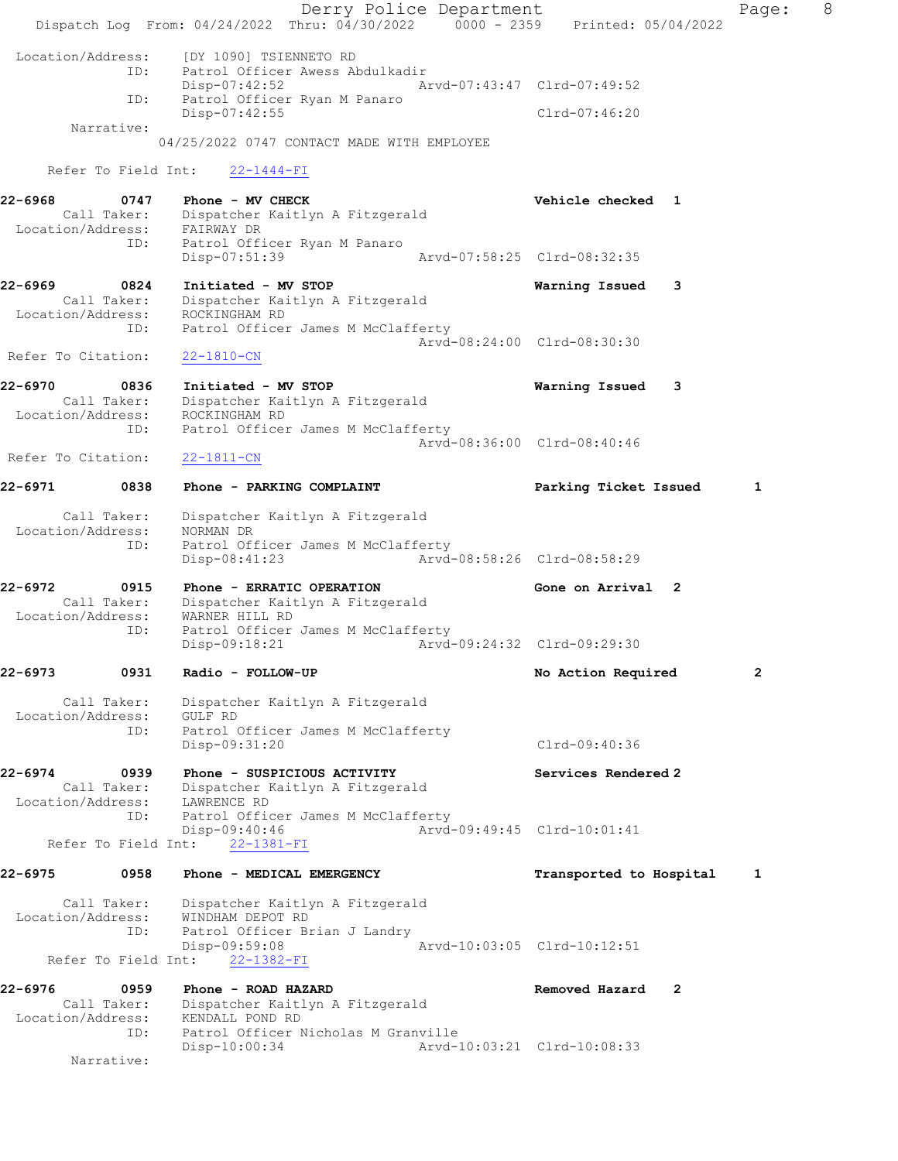Derry Police Department The Rage: 8 Dispatch Log From:  $04/24/2022$  Thru:  $04/30/2022$  0000 - 2359 Printed: 05/04/2022 Location/Address: [DY 1090] TSIENNETO RD<br>ID: Patrol Officer Awess Ab Patrol Officer Awess Abdulkadir Disp-07:42:52 Arvd-07:43:47 Clrd-07:49:52 ID: Patrol Officer Ryan M Panaro Disp-07:42:55 Clrd-07:46:20 Narrative: 04/25/2022 0747 CONTACT MADE WITH EMPLOYEE Refer To Field Int: 22-1444-FI 22-6968 0747 Phone - MV CHECK Vehicle checked 1 Call Taker: Dispatcher Kaitlyn A Fitzgerald Location/Address: FAIRWAY DR ID: Patrol Officer Ryan M Panaro Disp-07:51:39 22-6969 0824 Initiated - MV STOP Warning Issued 3 Call Taker: Dispatcher Kaitlyn A Fitzgerald Location/Address: ROCKINGHAM RD ID: Patrol Officer James M McClafferty Arvd-08:24:00 Clrd-08:30:30 Refer To Citation: 22-1810-CN 22-6970 0836 Initiated - MV STOP Warning Issued 3 Call Taker: Dispatcher Kaitlyn A Fitzgerald Location/Address: ROCKINGHAM RD ID: Patrol Officer James M McClafferty Arvd-08:36:00 Clrd-08:40:46 Refer To Citation: 22-1811-CN 22-6971 0838 Phone - PARKING COMPLAINT Parking Ticket Issued 1 Call Taker: Dispatcher Kaitlyn A Fitzgerald Location/Address: NORMAN DR ID: Patrol Officer James M McClafferty Disp-08:41:23 Arvd-08:58:26 Clrd-08:58:29 22-6972 0915 Phone - ERRATIC OPERATION Gone on Arrival 2 Call Taker: Dispatcher Kaitlyn A Fitzgerald Location/Address: WARNER HILL RD ID: Patrol Officer James M McClafferty<br>Disp-09:18:21 Arvd- Disp-09:18:21 Arvd-09:24:32 Clrd-09:29:30 22-6973 0931 Radio - FOLLOW-UP No Action Required 2 Call Taker: Dispatcher Kaitlyn A Fitzgerald Location/Address: GULF RD ID: Patrol Officer James M McClafferty Disp-09:31:20 Clrd-09:40:36 22-6974 0939 Phone - SUSPICIOUS ACTIVITY Services Rendered 2 Call Taker: Dispatcher Kaitlyn A Fitzgerald Location/Address: LAWRENCE RD ID: Patrol Officer James M McClafferty Disp-09:40:46 Arvd-09:49:45 Clrd-10:01:41 Refer To Field Int: 22-1381-FI 22-6975 0958 Phone - MEDICAL EMERGENCY Transported to Hospital 1 Call Taker: Dispatcher Kaitlyn A Fitzgerald Location/Address: WINDHAM DEPOT RD ID: Patrol Officer Brian J Landry Disp-09:59:08 Arvd-10:03:05 Clrd-10:12:51 Refer To Field Int: 22-1382-FI 22-6976 0959 Phone - ROAD HAZARD Removed Hazard 2 Call Taker: Dispatcher Kaitlyn A Fitzgerald Location/Address: KENDALL POND RD ID: Patrol Officer Nicholas M Granville Disp-10:00:34 Arvd-10:03:21 Clrd-10:08:33 Narrative: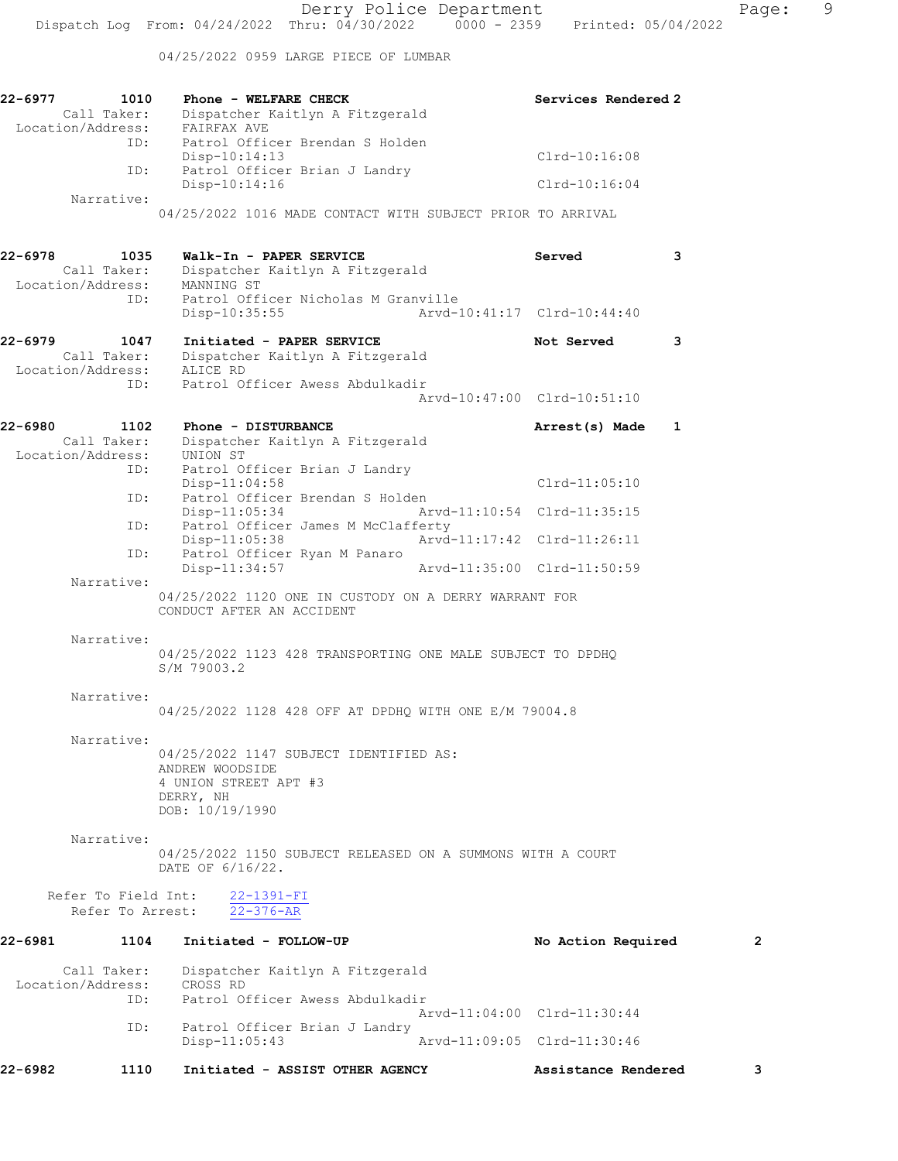04/25/2022 0959 LARGE PIECE OF LUMBAR

| 22-6977 | 1010                                     | Phone - WELFARE CHECK<br>Call Taker: Dispatcher I<br>Location/Address: FAIRFAX AVE<br>Dispatcher Kaitlyn A Fitzgerald | Services Rendered 2         |                |
|---------|------------------------------------------|-----------------------------------------------------------------------------------------------------------------------|-----------------------------|----------------|
|         | ID:                                      | Patrol Officer Brendan S Holden<br>$Disp-10:14:13$                                                                    | Clrd-10:16:08               |                |
|         | ID:                                      | Patrol Officer Brian J Landry<br>Disp-10:14:16                                                                        | $Clrd-10:16:04$             |                |
|         | Narrative:                               | 04/25/2022 1016 MADE CONTACT WITH SUBJECT PRIOR TO ARRIVAL                                                            |                             |                |
| 22-6978 | 1035<br>Call Taker:                      | Walk-In - PAPER SERVICE<br>Dispatcher Kaitlyn A Fitzgerald                                                            | Served<br>3                 |                |
|         | ID:                                      | Location/Address: MANNING ST<br>Patrol Officer Nicholas M Granville<br>Disp-10:35:55                                  | Arvd-10:41:17 Clrd-10:44:40 |                |
|         |                                          |                                                                                                                       |                             |                |
| 22-6979 | 1047<br>Call Taker:                      | Initiated - PAPER SERVICE<br>Dispatcher Kaitlyn A Fitzgerald<br>Location/Address: ALICE RD                            | Not Served<br>3             |                |
|         |                                          | ID: Patrol Officer Awess Abdulkadir                                                                                   | Arvd-10:47:00 Clrd-10:51:10 |                |
| 22-6980 | 1102<br>Call Taker:<br>Location/Address: | Phone - DISTURBANCE<br>Dispatcher Kaitlyn A Fitzgerald<br>UNION ST                                                    | Arrest(s) Made<br>1         |                |
|         | ID:                                      | Patrol Officer Brian J Landry<br>$Disp-11:04:58$                                                                      | $Clrd-11:05:10$             |                |
|         |                                          | ID: Patrol Officer Brendan S Holden<br>Disp-11:05:34                                                                  | Arvd-11:10:54 Clrd-11:35:15 |                |
|         | ID:                                      | Patrol Officer James M McClafferty<br>$Disp-11:05:38$                                                                 | Arvd-11:17:42 Clrd-11:26:11 |                |
|         | ID:                                      | Patrol Officer Ryan M Panaro<br>Disp-11:34:57                                                                         | Arvd-11:35:00 Clrd-11:50:59 |                |
|         | Narrative:                               | 04/25/2022 1120 ONE IN CUSTODY ON A DERRY WARRANT FOR<br>CONDUCT AFTER AN ACCIDENT                                    |                             |                |
|         | Narrative:                               | 04/25/2022 1123 428 TRANSPORTING ONE MALE SUBJECT TO DPDHQ<br>S/M 79003.2                                             |                             |                |
|         | Narrative:                               | 04/25/2022 1128 428 OFF AT DPDHO WITH ONE E/M 79004.8                                                                 |                             |                |
|         | Narrative:                               | 04/25/2022 1147 SUBJECT IDENTIFIED AS:<br>ANDREW WOODSIDE<br>4 UNION STREET APT #3<br>DERRY, NH<br>DOB: 10/19/1990    |                             |                |
|         | Narrative:                               | 04/25/2022 1150 SUBJECT RELEASED ON A SUMMONS WITH A COURT<br>DATE OF 6/16/22.                                        |                             |                |
|         | Refer To Field Int:<br>Refer To Arrest:  | $22 - 1391 - FI$<br>$22 - 376 - AR$                                                                                   |                             |                |
| 22-6981 | 1104                                     | Initiated - FOLLOW-UP                                                                                                 | No Action Required          | $\overline{2}$ |
|         | Call Taker:<br>Location/Address:         | Dispatcher Kaitlyn A Fitzgerald<br>CROSS RD                                                                           |                             |                |
|         | ID:                                      | Patrol Officer Awess Abdulkadir                                                                                       | Arvd-11:04:00 Clrd-11:30:44 |                |
|         | ID:                                      | Patrol Officer Brian J Landry<br>Disp-11:05:43                                                                        | Arvd-11:09:05 Clrd-11:30:46 |                |
| 22-6982 | 1110                                     | Initiated - ASSIST OTHER AGENCY                                                                                       | Assistance Rendered         | 3              |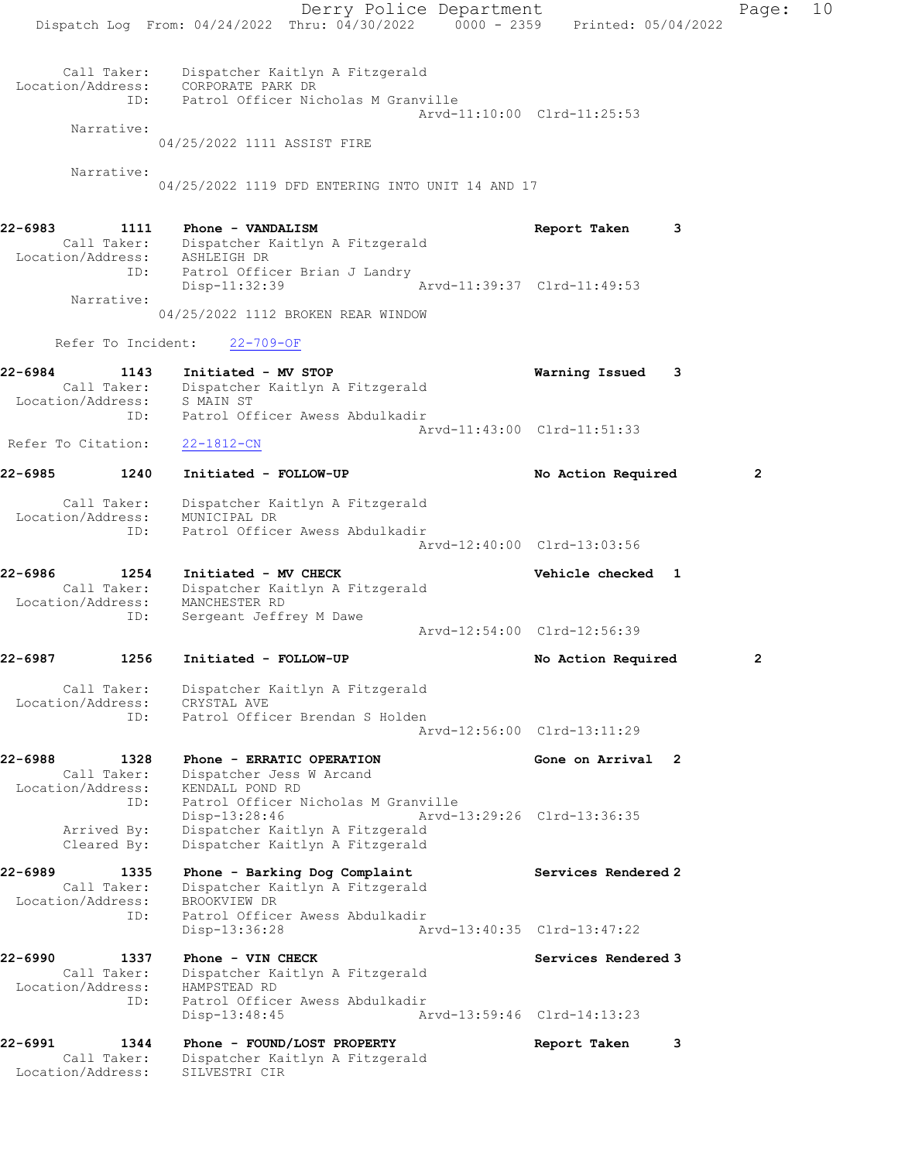Derry Police Department Fage: 10 Dispatch Log From: 04/24/2022 Thru: 04/30/2022 0000 - 2359 Printed: 05/04/2022 Call Taker: Dispatcher Kaitlyn A Fitzgerald Location/Address: CORPORATE PARK DR ID: Patrol Officer Nicholas M Granville Arvd-11:10:00 Clrd-11:25:53 Narrative: 04/25/2022 1111 ASSIST FIRE Narrative: 04/25/2022 1119 DFD ENTERING INTO UNIT 14 AND 17 22-6983 1111 Phone - VANDALISM Report Taken 3 Call Taker: Dispatcher Kaitlyn A Fitzgerald Location/Address: ASHLEIGH DR ID: Patrol Officer Brian J Landry Disp-11:32:39 Arvd-11:39:37 Clrd-11:49:53 Narrative: 04/25/2022 1112 BROKEN REAR WINDOW Refer To Incident: 22-709-OF 22-6984 1143 Initiated - MV STOP Warning Issued 3 Call Taker: Dispatcher Kaitlyn A Fitzgerald Location/Address: S MAIN ST ID: Patrol Officer Awess Abdulkadir Arvd-11:43:00 Clrd-11:51:33 Refer To Citation: 22-1812-CN 22-6985 1240 Initiated - FOLLOW-UP No Action Required 2 Call Taker: Dispatcher Kaitlyn A Fitzgerald Location/Address: MUNICIPAL DR ID: Patrol Officer Awess Abdulkadir Arvd-12:40:00 Clrd-13:03:56 22-6986 1254 Initiated - MV CHECK Vehicle checked 1 Call Taker: Dispatcher Kaitlyn A Fitzgerald Location/Address: MANCHESTER RD ID: Sergeant Jeffrey M Dawe Arvd-12:54:00 Clrd-12:56:39 22-6987 1256 Initiated - FOLLOW-UP No Action Required 2 Call Taker: Dispatcher Kaitlyn A Fitzgerald Location/Address: CRYSTAL AVE ID: Patrol Officer Brendan S Holden Arvd-12:56:00 Clrd-13:11:29 22-6988 1328 Phone - ERRATIC OPERATION 1988 Gone on Arrival 2 Call Taker: Dispatcher Jess W Arcand Location/Address: KENDALL POND RD ID: Patrol Officer Nicholas M Granville Disp-13:28:46 Arvd-13:29:26 Clrd-13:36:35 Arrived By: Dispatcher Kaitlyn A Fitzgerald Cleared By: Dispatcher Kaitlyn A Fitzgerald 22-6989 1335 Phone - Barking Dog Complaint Services Rendered 2 Call Taker: Dispatcher Kaitlyn A Fitzgerald Location/Address: BROOKVIEW DR ID: Patrol Officer Awess Abdulkadir Disp-13:36:28 Arvd-13:40:35 Clrd-13:47:22 22-6990 1337 Phone - VIN CHECK Services Rendered 3 Call Taker: Dispatcher Kaitlyn A Fitzgerald Location/Address: HAMPSTEAD RD ID: Patrol Officer Awess Abdulkadir<br>Disp-13:48:45 Ar Disp-13:48:45 Arvd-13:59:46 Clrd-14:13:23 22-6991 1344 Phone - FOUND/LOST PROPERTY Report Taken 3 Call Taker: Dispatcher Kaitlyn A Fitzgerald Location/Address: SILVESTRI CIR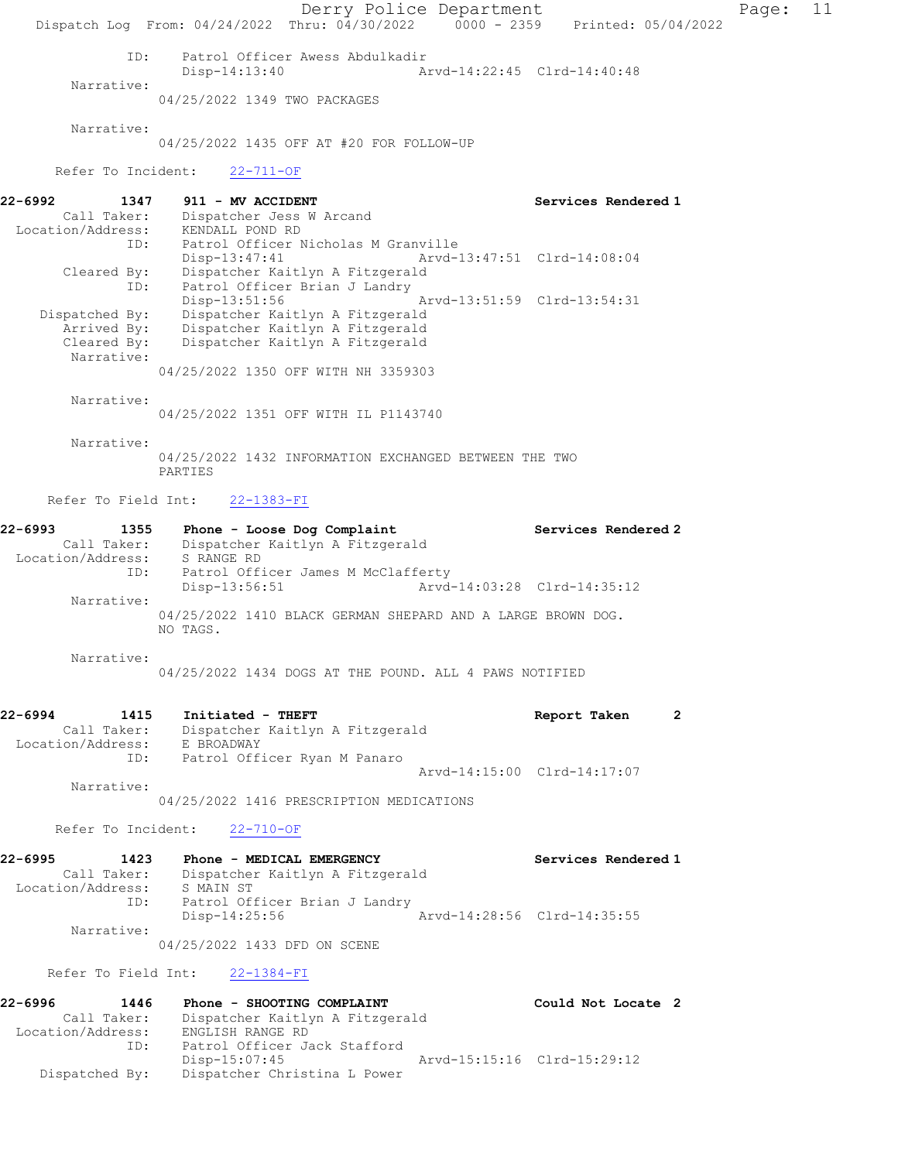Derry Police Department Fage: 11 Dispatch Log From: 04/24/2022 Thru: 04/30/2022 0000 - 2359 Printed: 05/04/2022 ID: Patrol Officer Awess Abdulkadir Disp-14:13:40 Arvd-14:22:45 Clrd-14:40:48 Narrative: 04/25/2022 1349 TWO PACKAGES Narrative: 04/25/2022 1435 OFF AT #20 FOR FOLLOW-UP Refer To Incident: 22-711-OF 22-6992 1347 911 - MV ACCIDENT Services Rendered 1 Call Taker: Dispatcher Jess W Arcand Location/Address: KENDALL POND RD ID: Patrol Officer Nicholas M Granville Disp-13:47:41 Arvd-13:47:51 Clrd-14:08:04 Cleared By: Dispatcher Kaitlyn A Fitzgerald ID: Patrol Officer Brian J Landry Disp-13:51:56 Arvd-13:51:59 Clrd-13:54:31 Dispatched By: Dispatcher Kaitlyn A Fitzgerald Arrived By: Dispatcher Kaitlyn A Fitzgerald Cleared By: Dispatcher Kaitlyn A Fitzgerald Narrative: 04/25/2022 1350 OFF WITH NH 3359303 Narrative: 04/25/2022 1351 OFF WITH IL P1143740 Narrative: 04/25/2022 1432 INFORMATION EXCHANGED BETWEEN THE TWO PARTIES Refer To Field Int: 22-1383-FI 22-6993 1355 Phone - Loose Dog Complaint Services Rendered 2 Call Taker: Dispatcher Kaitlyn A Fitzgerald Location/Address: S RANGE RD ID: Patrol Officer James M McClafferty Disp-13:56:51 Arvd-14:03:28 Clrd-14:35:12 Narrative: 04/25/2022 1410 BLACK GERMAN SHEPARD AND A LARGE BROWN DOG. NO TAGS. Narrative: 04/25/2022 1434 DOGS AT THE POUND. ALL 4 PAWS NOTIFIED 22-6994 1415 Initiated - THEFT Report Taken 2 Call Taker: Dispatcher Kaitlyn A Fitzgerald Location/Address: E BROADWAY ID: Patrol Officer Ryan M Panaro Arvd-14:15:00 Clrd-14:17:07 Narrative: 04/25/2022 1416 PRESCRIPTION MEDICATIONS Refer To Incident: 22-710-OF 22-6995 1423 Phone - MEDICAL EMERGENCY Services Rendered 1 Call Taker: Dispatcher Kaitlyn A Fitzgerald Location/Address: S MAIN ST ID: Patrol Officer Brian J Landry Disp-14:25:56 Arvd-14:28:56 Clrd-14:35:55 Narrative: 04/25/2022 1433 DFD ON SCENE Refer To Field Int: 22-1384-FI

22-6996 1446 Phone - SHOOTING COMPLAINT Could Not Locate 2 Call Taker: Dispatcher Kaitlyn A Fitzgerald Location/Address: ENGLISH RANGE RD ID: Patrol Officer Jack Stafford<br>Disp-15:07:45 Arvd-15:15:16 Clrd-15:29:12 Dispatched By: Dispatcher Christina L Power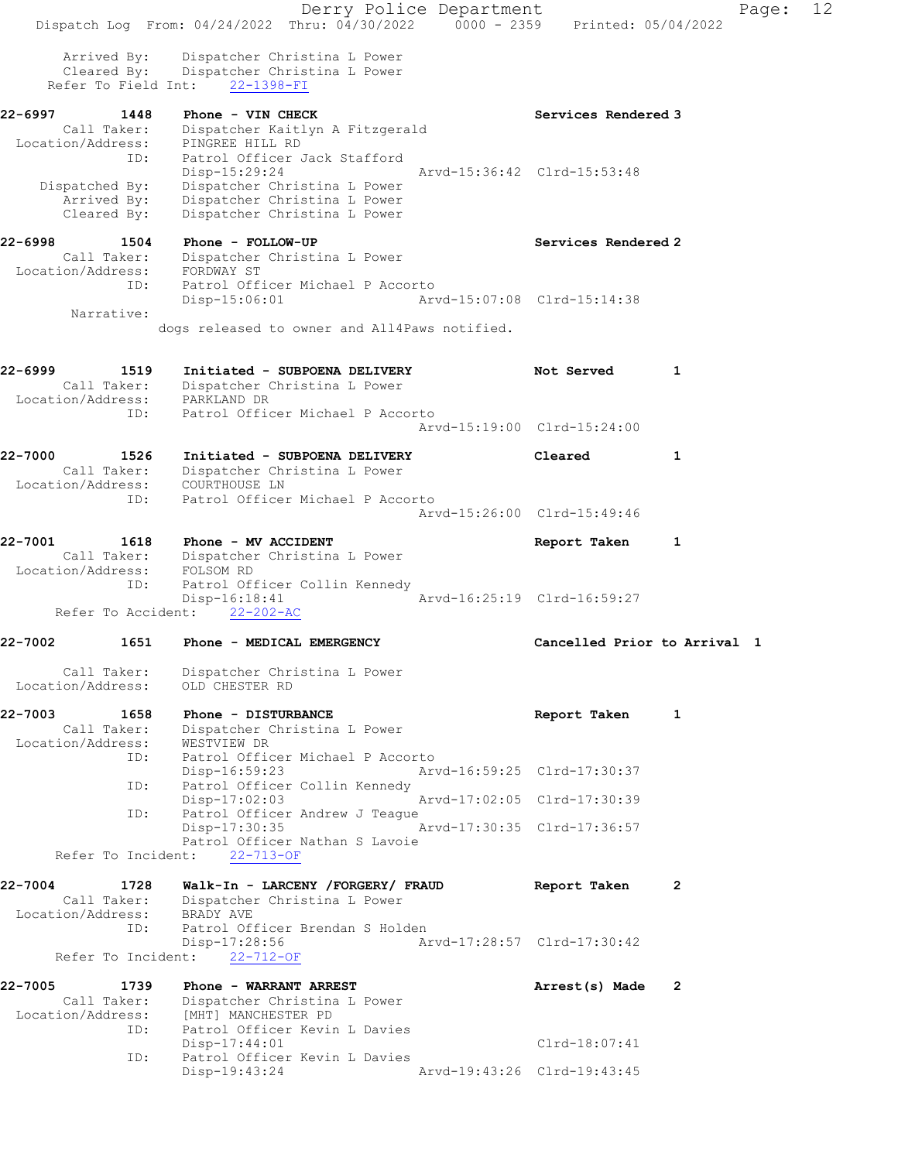Derry Police Department Fage: 12 Dispatch Log From: 04/24/2022 Thru: 04/30/2022 0000 - 2359 Printed: 05/04/2022 Arrived By: Dispatcher Christina L Power Cleared By: Dispatcher Christina L Power Refer To Field Int: 22-1398-FI 22-6997 1448 Phone - VIN CHECK Services Rendered 3 Call Taker: Dispatcher Kaitlyn A Fitzgerald Location/Address: PINGREE HILL RD ID: Patrol Officer Jack Stafford Disp-15:29:24 Arvd-15:36:42 Clrd-15:53:48 Dispatched By: Dispatcher Christina L Power Arrived By: Dispatcher Christina L Power Cleared By: Dispatcher Christina L Power 22-6998 1504 Phone - FOLLOW-UP Services Rendered 2 Call Taker: Dispatcher Christina L Power Location/Address: FORDWAY ST ID: Patrol Officer Michael P Accorto Disp-15:06:01 Arvd-15:07:08 Clrd-15:14:38 Narrative: dogs released to owner and All4Paws notified. 22-6999 1519 Initiated - SUBPOENA DELIVERY 1 Not Served 1 Call Taker: Dispatcher Christina L Power Location/Address: PARKLAND DR ID: Patrol Officer Michael P Accorto Arvd-15:19:00 Clrd-15:24:00 22-7000 1526 Initiated - SUBPOENA DELIVERY Cleared 1 Call Taker: Dispatcher Christina L Power Location/Address: COURTHOUSE LN ID: Patrol Officer Michael P Accorto Arvd-15:26:00 Clrd-15:49:46 22-7001 1618 Phone - MV ACCIDENT Report Taken 1 Call Taker: Dispatcher Christina L Power Location/Address: FOLSOM RD ID: Patrol Officer Collin Kennedy Disp-16:18:41 Arvd-16:25:19 Clrd-16:59:27 Refer To Accident: 22-202-AC 22-7002 1651 Phone - MEDICAL EMERGENCY Cancelled Prior to Arrival 1 Call Taker: Dispatcher Christina L Power Location/Address: OLD CHESTER RD 22-7003 1658 Phone - DISTURBANCE 1 Report Taken 1 Call Taker: Dispatcher Christina L Power Location/Address: WESTVIEW DR ID: Patrol Officer Michael P Accorto Disp-16:59:23 Arvd-16:59:25 Clrd-17:30:37 ID: Patrol Officer Collin Kennedy<br>Disp-17:02:03 Disp-17:02:03 Arvd-17:02:05 Clrd-17:30:39<br>ID: Patrol Officer Andrew J Teague ID: Patrol Officer Andrew J Teague Disp-17:30:35 Arvd-17:30:35 Clrd-17:36:57 Patrol Officer Nathan S Lavoie Refer To Incident: 22-713-OF 22-7004 1728 Walk-In - LARCENY /FORGERY/ FRAUD Report Taken 2 Call Taker: Dispatcher Christina L Power Location/Address: BRADY AVE ID: Patrol Officer Brendan S Holden Disp-17:28:56 Arvd-17:28:57 Clrd-17:30:42 Refer To Incident: 22-712-OF 22-7005 1739 Phone - WARRANT ARREST Arrest(s) Made 2 Call Taker: Dispatcher Christina L Power Location/Address: [MHT] MANCHESTER PD ID: Patrol Officer Kevin L Davies Disp-17:44:01 Clrd-18:07:41 ID: Patrol Officer Kevin L Davies<br>Disp-19:43:24 Disp-19:43:24 Arvd-19:43:26 Clrd-19:43:45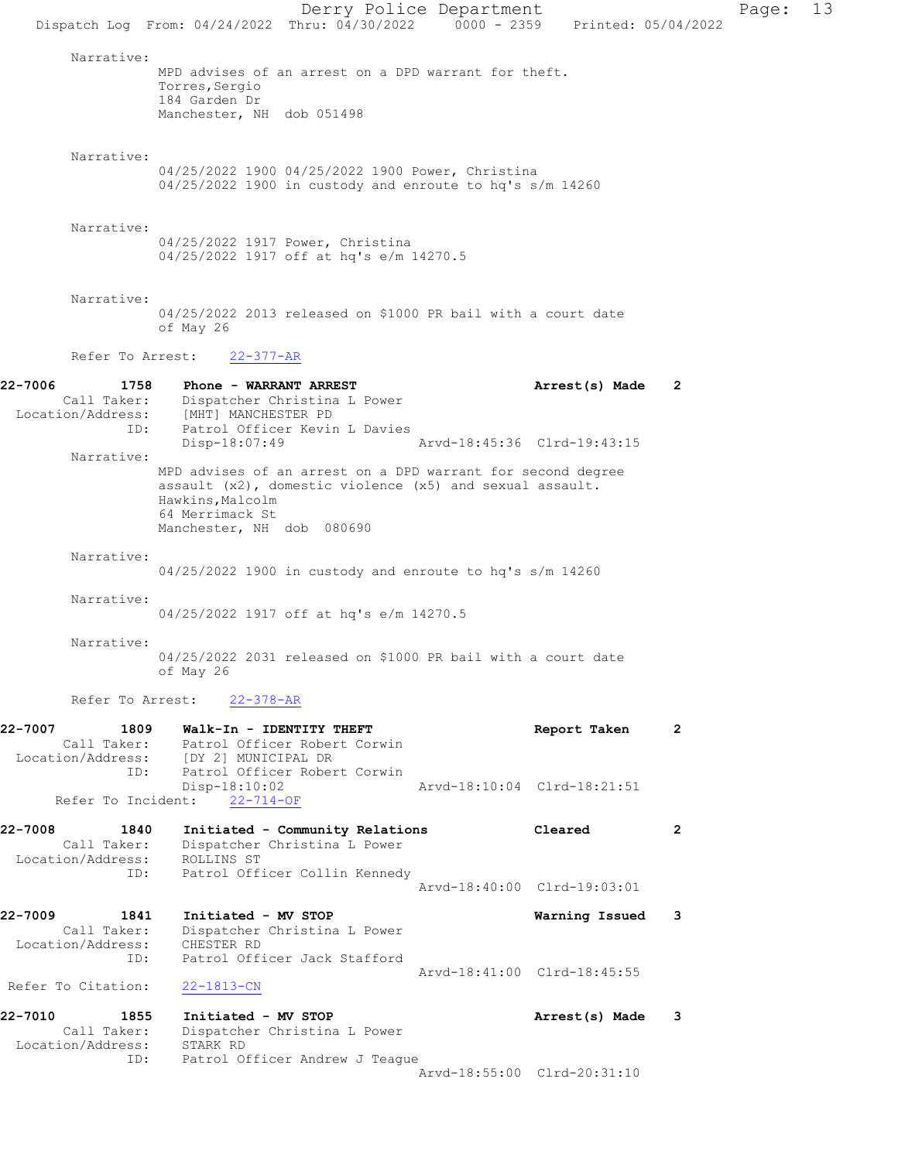Derry Police Department Page: 13 Dispatch Log From: 04/24/2022 Thru: 04/30/2022 0000 - 2359 Printed: 05/04/2022 Narrative: MPD advises of an arrest on a DPD warrant for theft. Torres,Sergio 184 Garden Dr Manchester, NH dob 051498 Narrative: 04/25/2022 1900 04/25/2022 1900 Power, Christina 04/25/2022 1900 in custody and enroute to hq's s/m 14260 Narrative: 04/25/2022 1917 Power, Christina 04/25/2022 1917 off at hq's e/m 14270.5 Narrative: 04/25/2022 2013 released on \$1000 PR bail with a court date of May 26 Refer To Arrest: 22-377-AR 22-7006 1758 Phone - WARRANT ARREST Arrest(s) Made 2 Call Taker: Dispatcher Christina L Power Location/Address: [MHT] MANCHESTER PD ID: Patrol Officer Kevin L Davies Disp-18:07:49 Narrative: MPD advises of an arrest on a DPD warrant for second degree assault (x2), domestic violence (x5) and sexual assault. Hawkins,Malcolm 64 Merrimack St Manchester, NH dob 080690 Narrative: 04/25/2022 1900 in custody and enroute to hq's s/m 14260 Narrative: 04/25/2022 1917 off at hq's e/m 14270.5 Narrative: 04/25/2022 2031 released on \$1000 PR bail with a court date of May 26 Refer To Arrest: 22-378-AR 22-7007 1809 Walk-In - IDENTITY THEFT **Report Taken** 2 Call Taker: Patrol Officer Robert Corwin Location/Address: [DY 2] MUNICIPAL DR ID: Patrol Officer Robert Corwin Disp-18:10:02 Arvd-18:10:04 Clrd-18:21:51 Refer To Incident: 22-714-OF 22-7008 1840 Initiated - Community Relations Cleared 2 Call Taker: Dispatcher Christina L Power Location/Address: ROLLINS ST ID: Patrol Officer Collin Kennedy Arvd-18:40:00 Clrd-19:03:01 22-7009 1841 Initiated - MV STOP Warning Issued 3 Call Taker: Dispatcher Christina L Power Location/Address: CHESTER RD ID: Patrol Officer Jack Stafford Arvd-18:41:00 Clrd-18:45:55 Refer To Citation: 22-1813-CN 22-7010 1855 Initiated - MV STOP Arrest(s) Made 3 Call Taker: Dispatcher Christina L Power Location/Address: STARK RD ID: Patrol Officer Andrew J Teague Arvd-18:55:00 Clrd-20:31:10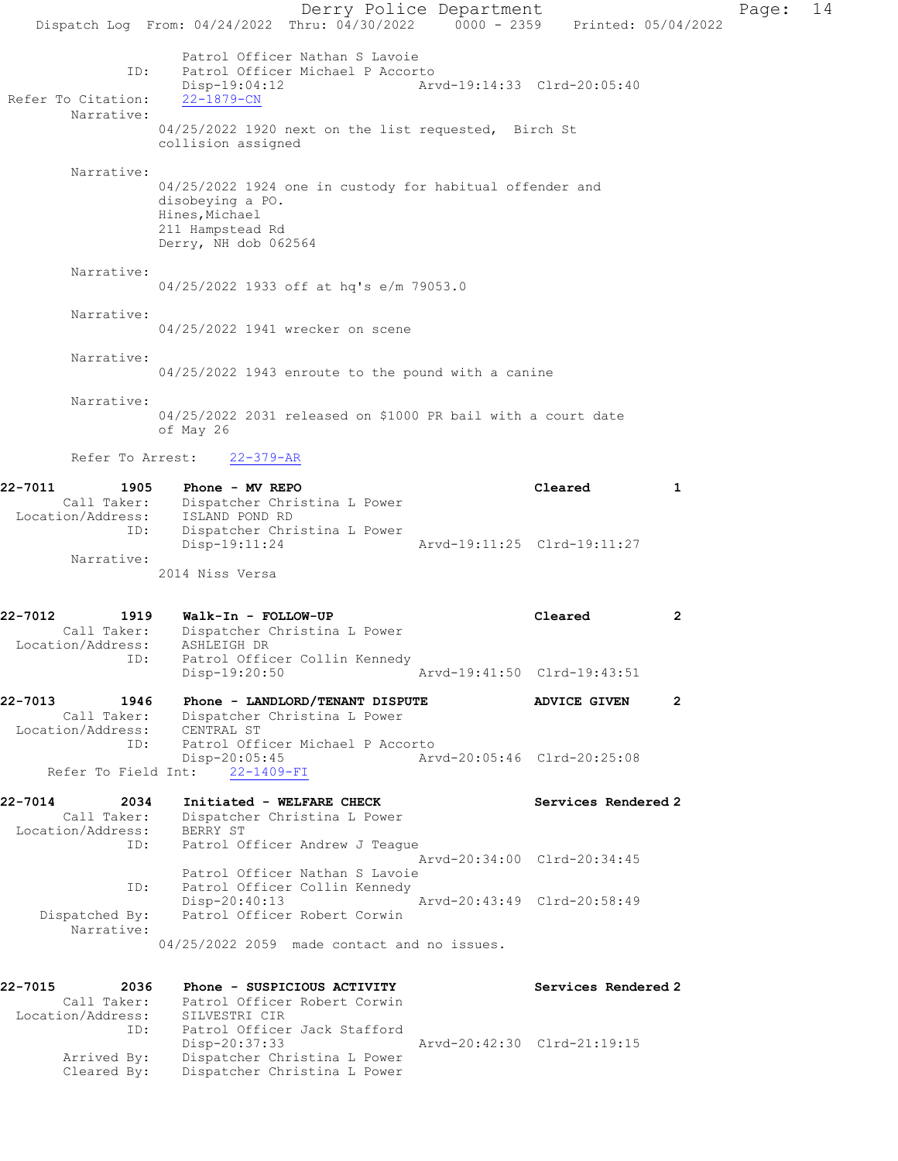Derry Police Department Fage: 14 Dispatch Log From: 04/24/2022 Thru: 04/30/2022 0000 - 2359 Printed: 05/04/2022 Patrol Officer Nathan S Lavoie ID: Patrol Officer Michael P Accorto Disp-19:04:12 Arvd-19:14:33 Clrd-20:05:40 Refer To Citation: 22-1879-CN Narrative: 04/25/2022 1920 next on the list requested, Birch St collision assigned Narrative: 04/25/2022 1924 one in custody for habitual offender and disobeying a PO. Hines,Michael 211 Hampstead Rd Derry, NH dob 062564 Narrative: 04/25/2022 1933 off at hq's e/m 79053.0 Narrative: 04/25/2022 1941 wrecker on scene Narrative: 04/25/2022 1943 enroute to the pound with a canine Narrative: 04/25/2022 2031 released on \$1000 PR bail with a court date of May 26 Refer To Arrest: 22-379-AR 22-7011 1905 Phone - MV REPO 1999 1999 Research Cleared 1 Call Taker: Dispatcher Christina L Power Location/Address: ISLAND POND RD ID: Dispatcher Christina L Power Disp-19:11:24 Arvd-19:11:25 Clrd-19:11:27 Narrative: 2014 Niss Versa 22-7012 1919 Walk-In - FOLLOW-UP Cleared 2 Call Taker: Dispatcher Christina L Power Location/Address: ASHLEIGH DR ID: Patrol Officer Collin Kennedy Disp-19:20:50 Arvd-19:41:50 Clrd-19:43:51 22-7013 1946 Phone - LANDLORD/TENANT DISPUTE ADVICE GIVEN 2 Call Taker: Dispatcher Christina L Power Location/Address: CENTRAL ST ID: Patrol Officer Michael P Accorto Disp-20:05:45 Arvd-20:05:46 Clrd-20:25:08 Refer To Field Int: 22-1409-FI 22-7014 2034 Initiated - WELFARE CHECK Services Rendered 2 Call Taker: Dispatcher Christina L Power Location/Address: BERRY ST ID: Patrol Officer Andrew J Teague Arvd-20:34:00 Clrd-20:34:45 Patrol Officer Nathan S Lavoie ID: Patrol Officer Collin Kennedy Disp-20:40:13 Arvd-20:43:49 Clrd-20:58:49 Dispatched By: Patrol Officer Robert Corwin Narrative: 04/25/2022 2059 made contact and no issues. 22-7015 2036 Phone - SUSPICIOUS ACTIVITY Services Rendered 2 Call Taker: Patrol Officer Robert Corwin Location/Address: SILVESTRI CIR ID: Patrol Officer Jack Stafford Disp-20:37:33 Arvd-20:42:30 Clrd-21:19:15 Arrived By: Dispatcher Christina L Power Cleared By: Dispatcher Christina L Power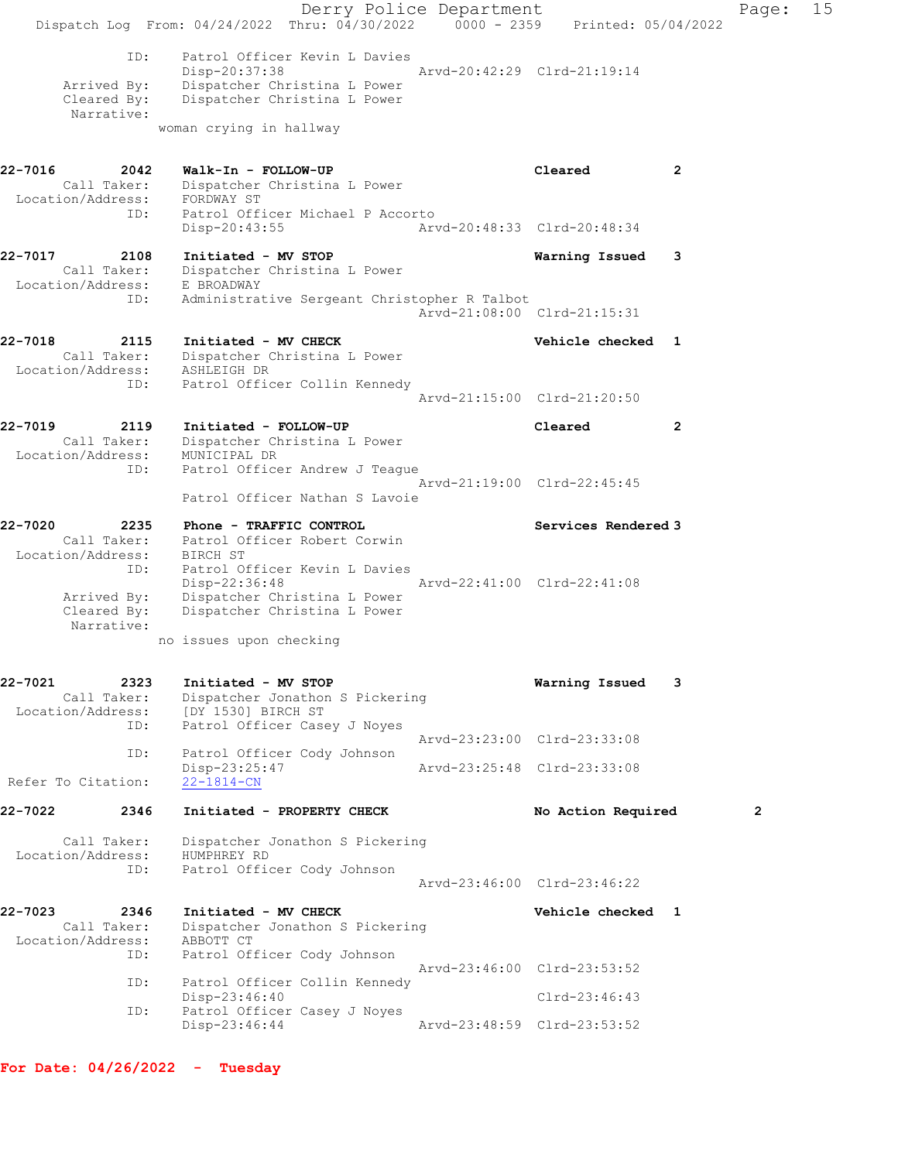Derry Police Department Fage: 15 Dispatch Log From:  $04/24/2022$  Thru:  $04/30/2022$  0000 - 2359 Printed: 05/04/2022 ID: Patrol Officer Kevin L Davies Disp-20:37:38 Arvd-20:42:29 Clrd-21:19:14 Arrived By: Dispatcher Christina L Power Cleared By: Dispatcher Christina L Power Narrative: woman crying in hallway 22-7016 2042 Walk-In - FOLLOW-UP Cleared 2 Call Taker: Dispatcher Christina L Power Location/Address: FORDWAY ST ID: Patrol Officer Michael P Accorto Disp-20:43:55 Arvd-20:48:33 Clrd-20:48:34 22-7017 2108 Initiated - MV STOP Warning Issued 3 Call Taker: Dispatcher Christina L Power Location/Address: E BROADWAY ID: Administrative Sergeant Christopher R Talbot Arvd-21:08:00 Clrd-21:15:31 22-7018 2115 Initiated - MV CHECK Need Checked 1 Call Taker: Dispatcher Christina L Power Location/Address: ASHLEIGH DR ID: Patrol Officer Collin Kennedy Arvd-21:15:00 Clrd-21:20:50 22-7019 2119 Initiated - FOLLOW-UP Cleared 2 Call Taker: Dispatcher Christina L Power Location/Address: MUNICIPAL DR ID: Patrol Officer Andrew J Teague Arvd-21:19:00 Clrd-22:45:45 Patrol Officer Nathan S Lavoie 22-7020 2235 Phone - TRAFFIC CONTROL Services Rendered 3 Call Taker: Patrol Officer Robert Corwin Location/Address: BIRCH ST ID: Patrol Officer Kevin L Davies<br>Disp-22:36:48 Arvd-22:41:00 Clrd-22:41:08 Disp-22:36:48 Arvd-22:41:00 Clrd-22:41:08 Arrived By: Dispatcher Christina L Power Cleared By: Dispatcher Christina L Power Narrative: no issues upon checking 22-7021 2323 Initiated - MV STOP Warning Issued 3 Call Taker: Dispatcher Jonathon S Pickering Location/Address: [DY 1530] BIRCH ST ID: Patrol Officer Casey J Noyes Arvd-23:23:00 Clrd-23:33:08 ID: Patrol Officer Cody Johnson Disp-23:25:47 Arvd-23:25:48 Clrd-23:33:08 Refer To Citation: 22-1814-CN 22-7022 2346 Initiated - PROPERTY CHECK No Action Required 2 Call Taker: Dispatcher Jonathon S Pickering Location/Address: HUMPHREY RD ID: Patrol Officer Cody Johnson Arvd-23:46:00 Clrd-23:46:22 22-7023 2346 Initiated - MV CHECK Vehicle checked 1 Call Taker: Dispatcher Jonathon S Pickering Location/Address: ABBOTT CT ID: Patrol Officer Cody Johnson Arvd-23:46:00 Clrd-23:53:52 ID: Patrol Officer Collin Kennedy Disp-23:46:40 Clrd-23:46:43 ID: Patrol Officer Casey J Noyes<br>Disp-23:46:44 Arvd-23:48:59 Clrd-23:53:52

For Date: 04/26/2022 - Tuesday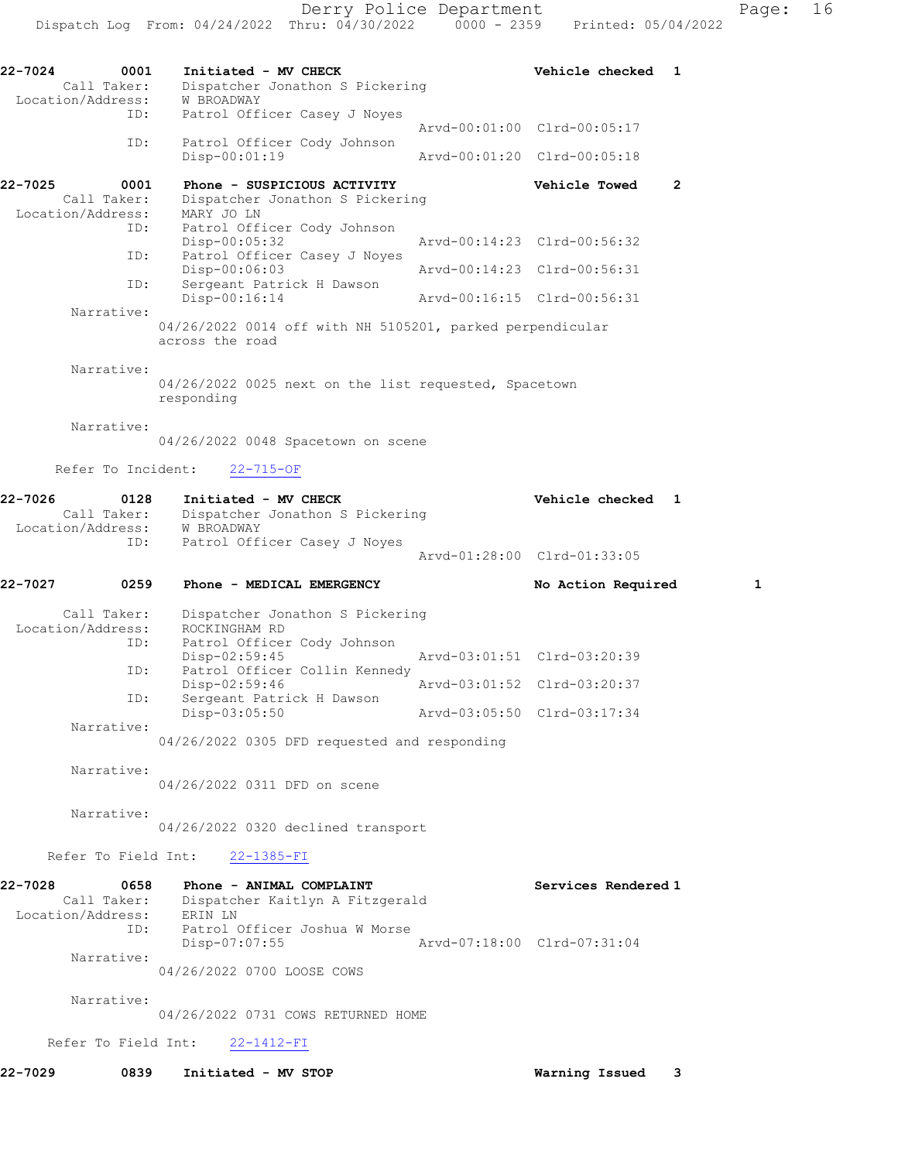| $22 - 7024$ | 0001<br>Call Taker:<br>Location/Address: | Initiated - MV CHECK<br>Dispatcher Jonathon S Pickering<br>W BROADWAY                                | Vehicle checked             | 1              |
|-------------|------------------------------------------|------------------------------------------------------------------------------------------------------|-----------------------------|----------------|
|             | ID:                                      | Patrol Officer Casey J Noyes                                                                         | Arvd-00:01:00 Clrd-00:05:17 |                |
|             | ID:                                      | Patrol Officer Cody Johnson<br>Disp-00:01:19                                                         | Arvd-00:01:20 Clrd-00:05:18 |                |
| 22-7025     | 0001<br>Call Taker:<br>Location/Address: | Phone - SUSPICIOUS ACTIVITY<br>Dispatcher Jonathon S Pickering<br>MARY JO LN                         | Vehicle Towed               | $\overline{2}$ |
|             | ID:                                      | Patrol Officer Cody Johnson<br>$Disp-00:05:32$                                                       | Arvd-00:14:23 Clrd-00:56:32 |                |
|             | ID:                                      | Patrol Officer Casey J Noyes<br>Disp-00:06:03                                                        | Arvd-00:14:23 Clrd-00:56:31 |                |
|             | ID:                                      | Sergeant Patrick H Dawson<br>Disp-00:16:14                                                           | Arvd-00:16:15 Clrd-00:56:31 |                |
|             | Narrative:                               | 04/26/2022 0014 off with NH 5105201, parked perpendicular<br>across the road                         |                             |                |
|             | Narrative:                               | 04/26/2022 0025 next on the list requested, Spacetown<br>responding                                  |                             |                |
|             | Narrative:                               | 04/26/2022 0048 Spacetown on scene                                                                   |                             |                |
|             | Refer To Incident:                       | $22 - 715 - OF$                                                                                      |                             |                |
| 22-7026     | 0128<br>Call Taker:<br>Location/Address: | Initiated - MV CHECK<br>Dispatcher Jonathon S Pickering<br>W BROADWAY                                | Vehicle checked 1           |                |
|             | ID:                                      | Patrol Officer Casey J Noyes                                                                         | Arvd-01:28:00 Clrd-01:33:05 |                |
| 22-7027     | 0259                                     | Phone - MEDICAL EMERGENCY                                                                            | No Action Required          | 1              |
|             | Call Taker:<br>Location/Address:         | Dispatcher Jonathon S Pickering<br>ROCKINGHAM RD                                                     |                             |                |
|             | ID:                                      | Patrol Officer Cody Johnson<br>Disp-02:59:45                                                         | Arvd-03:01:51 Clrd-03:20:39 |                |
|             | ID:                                      | Patrol Officer Collin Kennedy<br>Disp-02:59:46                                                       | Arvd-03:01:52 Clrd-03:20:37 |                |
|             | ID:                                      | Sergeant Patrick H Dawson<br>$Disp-03:05:50$                                                         | Arvd-03:05:50 Clrd-03:17:34 |                |
|             | Narrative:                               | 04/26/2022 0305 DFD requested and responding                                                         |                             |                |
|             | Narrative:                               | 04/26/2022 0311 DFD on scene                                                                         |                             |                |
|             | Narrative:                               | 04/26/2022 0320 declined transport                                                                   |                             |                |
|             |                                          | Refer To Field Int: 22-1385-FI                                                                       |                             |                |
| 22-7028     | 0658                                     | Phone - ANIMAL COMPLAINT<br>Call Taker: Dispatcher Kaitlyn A Fitzgerald<br>Location/Address: ERIN LN | Services Rendered 1         |                |
|             | ID:<br>Narrative:                        | Patrol Officer Joshua W Morse<br>Disp-07:07:55                                                       | Arvd-07:18:00 Clrd-07:31:04 |                |
|             |                                          | 04/26/2022 0700 LOOSE COWS                                                                           |                             |                |
|             | Narrative:                               | 04/26/2022 0731 COWS RETURNED HOME                                                                   |                             |                |
|             |                                          |                                                                                                      |                             |                |

Refer To Field Int: 22-1412-FI

22-7029 0839 Initiated - MV STOP Warning Issued 3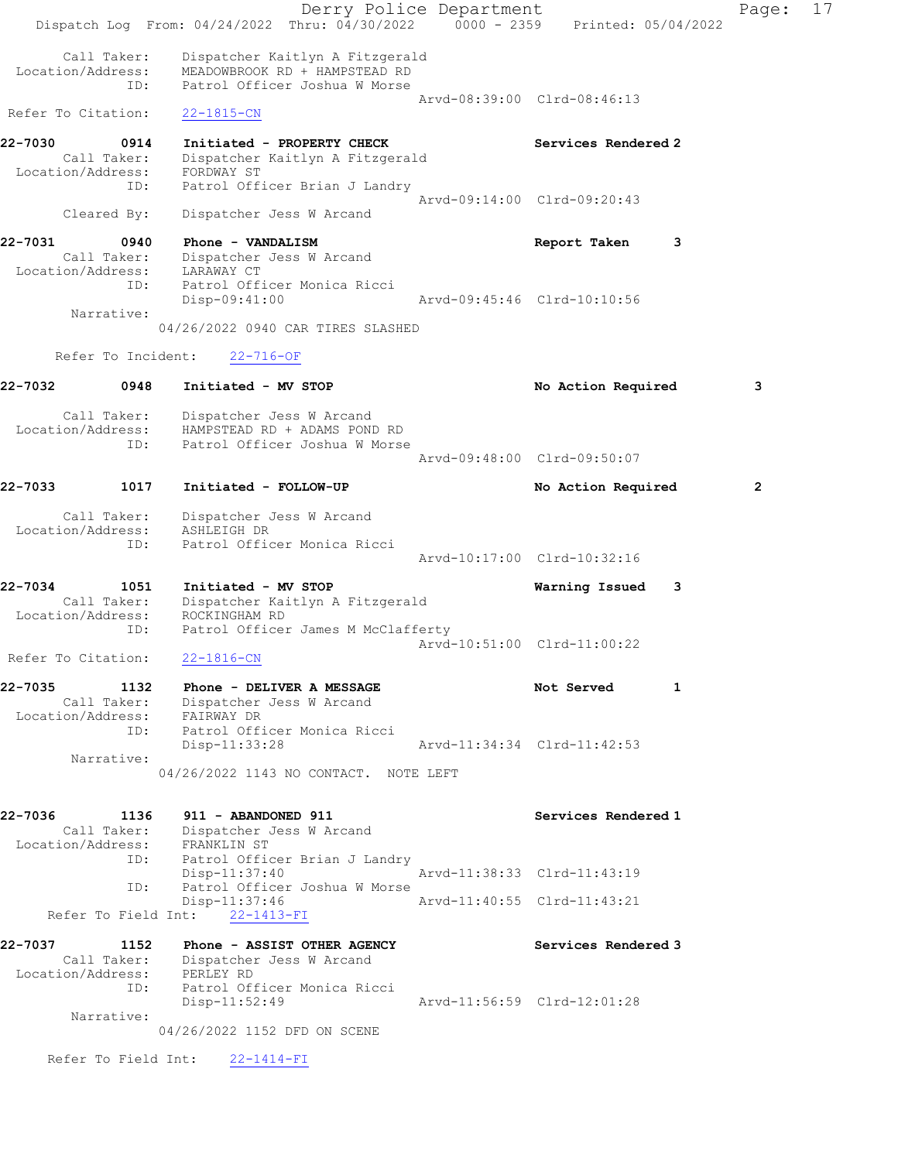Derry Police Department Fage: 17 Dispatch Log From: 04/24/2022 Thru: 04/30/2022 0000 - 2359 Printed: 05/04/2022 Call Taker: Dispatcher Kaitlyn A Fitzgerald Location/Address: MEADOWBROOK RD + HAMPSTEAD RD ID: Patrol Officer Joshua W Morse Arvd-08:39:00 Clrd-08:46:13 Refer To Citation: 22-1815-CN 22-7030 0914 Initiated - PROPERTY CHECK Services Rendered 2 Call Taker: Dispatcher Kaitlyn A Fitzgerald Location/Address: FORDWAY ST ID: Patrol Officer Brian J Landry Arvd-09:14:00 Clrd-09:20:43 Cleared By: Dispatcher Jess W Arcand 22-7031 0940 Phone - VANDALISM Report Taken 3 Call Taker: Dispatcher Jess W Arcand Location/Address: LARAWAY CT ID: Patrol Officer Monica Ricci Disp-09:41:00 Arvd-09:45:46 Clrd-10:10:56 Narrative: 04/26/2022 0940 CAR TIRES SLASHED Refer To Incident: 22-716-OF 22-7032 0948 Initiated - MV STOP **No Action Required** 3 Call Taker: Dispatcher Jess W Arcand Location/Address: HAMPSTEAD RD + ADAMS POND RD ID: Patrol Officer Joshua W Morse Arvd-09:48:00 Clrd-09:50:07 22-7033 1017 Initiated - FOLLOW-UP No Action Required 2 Call Taker: Dispatcher Jess W Arcand Location/Address: ASHLEIGH DR ID: Patrol Officer Monica Ricci Arvd-10:17:00 Clrd-10:32:16 22-7034 1051 Initiated - MV STOP Warning Issued 3 Call Taker: Dispatcher Kaitlyn A Fitzgerald Location/Address: ROCKINGHAM RD ID: Patrol Officer James M McClafferty Arvd-10:51:00 Clrd-11:00:22 Refer To Citation: 22-1816-CN 22-7035 1132 Phone - DELIVER A MESSAGE Not Served 1 Call Taker: Dispatcher Jess W Arcand Location/Address: FAIRWAY DR ID: Patrol Officer Monica Ricci Disp-11:33:28 Arvd-11:34:34 Clrd-11:42:53 Narrative: 04/26/2022 1143 NO CONTACT. NOTE LEFT 22-7036 1136 911 - ABANDONED 911 Services Rendered 1 Call Taker: Dispatcher Jess W Arcand Location/Address: FRANKLIN ST ID: Patrol Officer Brian J Landry Disp-11:37:40 Arvd-11:38:33 Clrd-11:43:19 ID: Patrol Officer Joshua W Morse Disp-11:37:46 Arvd-11:40:55 Clrd-11:43:21 Refer To Field Int: 22-1413-FI 22-7037 1152 Phone - ASSIST OTHER AGENCY Services Rendered 3 Call Taker: Dispatcher Jess W Arcand Location/Address: PERLEY RD ID: Patrol Officer Monica Ricci<br>Disp-11:52:49 Arvd-11:56:59 Clrd-12:01:28 Narrative: 04/26/2022 1152 DFD ON SCENE Refer To Field Int: 22-1414-FI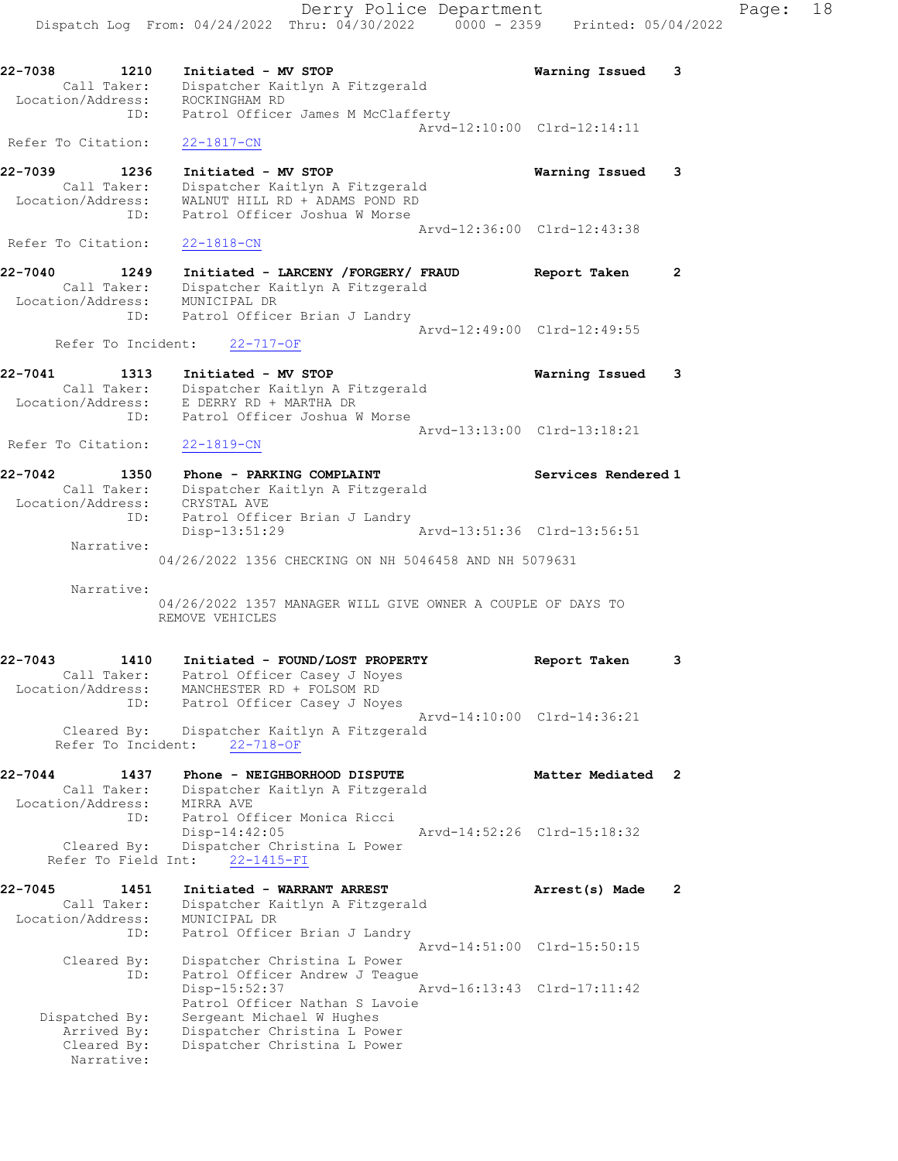22-7038 1210 Initiated - MV STOP Warning Issued 3 Call Taker: Dispatcher Kaitlyn A Fitzgerald Location/Address: ROCKINGHAM RD ID: Patrol Officer James M McClafferty Arvd-12:10:00 Clrd-12:14:11 Refer To Citation: 22-1817-CN

22-7039 1236 Initiated - MV STOP Warning Issued 3 Call Taker: Dispatcher Kaitlyn A Fitzgerald Location/Address: WALNUT HILL RD + ADAMS POND RD ID: Patrol Officer Joshua W Morse Arvd-12:36:00 Clrd-12:43:38 Refer To Citation: 22-1818-CN

22-7040 1249 Initiated - LARCENY /FORGERY/ FRAUD Report Taken 2 Call Taker: Dispatcher Kaitlyn A Fitzgerald Location/Address: MUNICIPAL DR ID: Patrol Officer Brian J Landry Arvd-12:49:00 Clrd-12:49:55

# Refer To Incident: 22-717-OF

| 22-7041 | 1313              | Initiated - MV STOP             | Warning Issued 3 |  |
|---------|-------------------|---------------------------------|------------------|--|
|         | Call Taker:       | Dispatcher Kaitlyn A Fitzgerald |                  |  |
|         | Location/Address: | E DERRY RD + MARTHA DR          |                  |  |
|         | ID:               | Patrol Officer Joshua W Morse   |                  |  |
|         |                   | Arvd-13:13:00 Clrd-13:18:21     |                  |  |

Refer To Citation: 22-1819-CN

| 22-7042           | 1350 | Phone - PARKING COMPLAINT       | Services Rendered 1         |
|-------------------|------|---------------------------------|-----------------------------|
| Call Taker:       |      | Dispatcher Kaitlyn A Fitzgerald |                             |
| Location/Address: |      | CRYSTAL AVE                     |                             |
|                   | ID:  | Patrol Officer Brian J Landry   |                             |
|                   |      | Disp-13:51:29                   | Arvd-13:51:36 Clrd-13:56:51 |
| Narrative:        |      |                                 |                             |

# 04/26/2022 1356 CHECKING ON NH 5046458 AND NH 5079631

#### Narrative:

# 04/26/2022 1357 MANAGER WILL GIVE OWNER A COUPLE OF DAYS TO REMOVE VEHICLES

22-7043 1410 Initiated - FOUND/LOST PROPERTY Report Taken 3 Call Taker: Patrol Officer Casey J Noyes Location/Address: MANCHESTER RD + FOLSOM RD ID: Patrol Officer Casey J Noyes Arvd-14:10:00 Clrd-14:36:21 Cleared By: Dispatcher Kaitlyn A Fitzgerald Refer To Incident: 22-718-OF

22-7044 1437 Phone - NEIGHBORHOOD DISPUTE Matter Mediated 2 Call Taker: Dispatcher Kaitlyn A Fitzgerald Location/Address: MIRRA AVE ID: Patrol Officer Monica Ricci Disp-14:42:05 Arvd-14:52:26 Clrd-15:18:32 Cleared By: Dispatcher Christina L Power Refer To Field Int: 22-1415-FI

#### 22-7045 1451 Initiated - WARRANT ARREST Arrest(s) Made 2 Call Taker: Dispatcher Kaitlyn A Fitzgerald Location/Address: MUNICIPAL DR ID: Patrol Officer Brian J Landry Arvd-14:51:00 Clrd-15:50:15 Cleared By: Dispatcher Christina L Power ID: Patrol Officer Andrew J Teague Disp-15:52:37 Arvd-16:13:43 Clrd-17:11:42 Patrol Officer Nathan S Lavoie Dispatched By: Sergeant Michael W Hughes Arrived By: Dispatcher Christina L Power Cleared By: Dispatcher Christina L Power Narrative: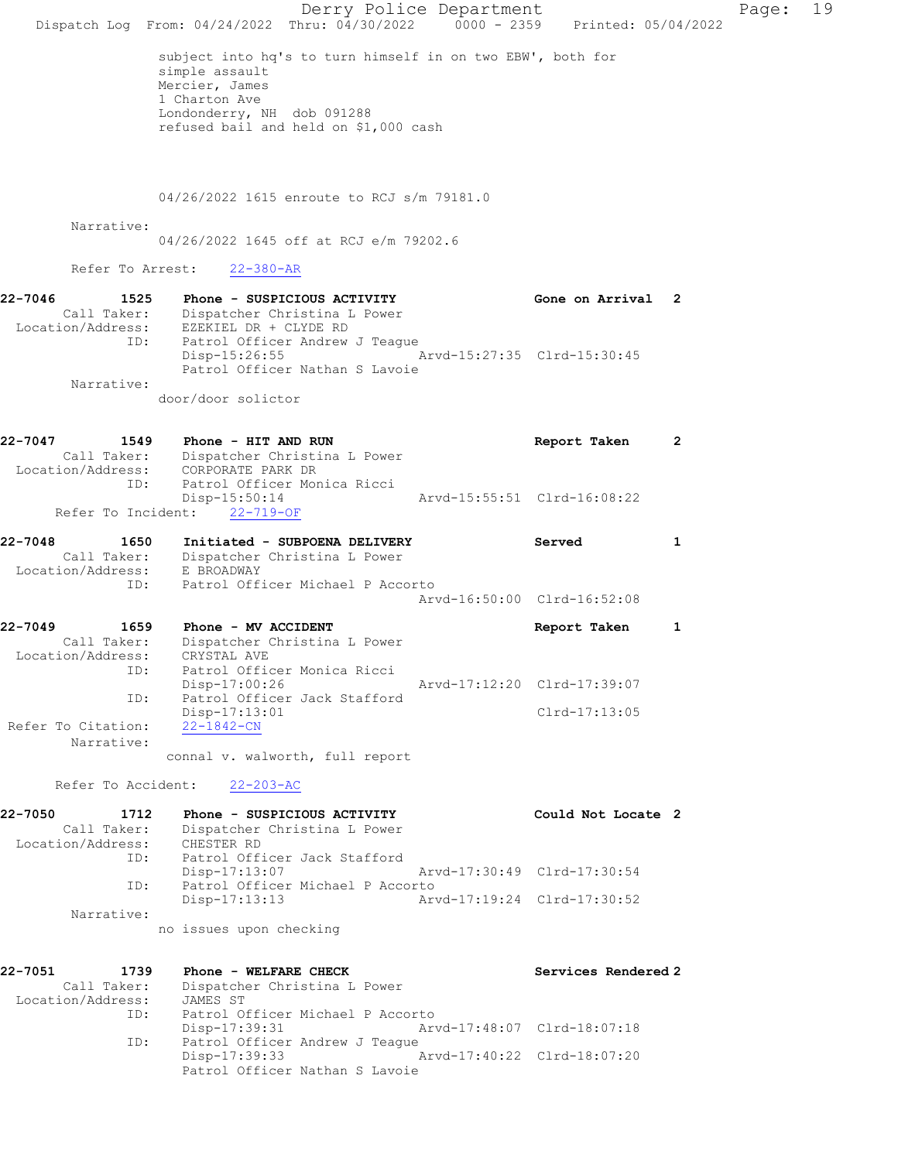|                                                                        | Dispatch Log From: 04/24/2022 Thru: 04/30/2022 0000 - 2359 Printed: 05/04/2022                                                                                                         | Derry Police Department     |                     |              | 19<br>Page: |
|------------------------------------------------------------------------|----------------------------------------------------------------------------------------------------------------------------------------------------------------------------------------|-----------------------------|---------------------|--------------|-------------|
|                                                                        | subject into hq's to turn himself in on two EBW', both for<br>simple assault<br>Mercier, James<br>1 Charton Ave<br>Londonderry, NH dob 091288<br>refused bail and held on \$1,000 cash |                             |                     |              |             |
|                                                                        | 04/26/2022 1615 enroute to RCJ s/m 79181.0                                                                                                                                             |                             |                     |              |             |
| Narrative:                                                             | 04/26/2022 1645 off at RCJ e/m 79202.6                                                                                                                                                 |                             |                     |              |             |
| Refer To Arrest:                                                       | $22 - 380 - AR$                                                                                                                                                                        |                             |                     |              |             |
| 22-7046<br>1525<br>ID:                                                 | Phone - SUSPICIOUS ACTIVITY<br>Call Taker: Dispatcher Christina L Power<br>Location/Address: EZEKIEL DR + CLYDE RD<br>Patrol Officer Andrew J Teague                                   |                             | Gone on Arrival 2   |              |             |
| Narrative:                                                             | Disp-15:26:55<br>Patrol Officer Nathan S Lavoie                                                                                                                                        | Arvd-15:27:35 Clrd-15:30:45 |                     |              |             |
|                                                                        | door/door solictor                                                                                                                                                                     |                             |                     |              |             |
| 22-7047<br>Location/Address:                                           | 1549 Phone - HIT AND RUN<br>Call Taker: Dispatcher Christina L Power<br>CORPORATE PARK DR                                                                                              |                             | Report Taken        | $\mathbf{2}$ |             |
| ID:<br>Refer To Incident:                                              | Patrol Officer Monica Ricci<br>$Disp-15:50:14$<br>$22 - 719 - OF$                                                                                                                      | Arvd-15:55:51 Clrd-16:08:22 |                     |              |             |
| 22-7048<br>1650<br>Call Taker:<br>Location/Address:<br>ID:             | Initiated - SUBPOENA DELIVERY<br>Dispatcher Christina L Power<br>E BROADWAY<br>Patrol Officer Michael P Accorto                                                                        |                             | Served              | 1            |             |
|                                                                        |                                                                                                                                                                                        | Arvd-16:50:00 Clrd-16:52:08 |                     |              |             |
| 22-7049<br>1659<br>Call Taker:<br>Location/Address: CRYSTAL AVE<br>ID: | Phone - MV ACCIDENT<br>Dispatcher Christina L Power<br>Patrol Officer Monica Ricci                                                                                                     |                             | Report Taken        | 1            |             |
| ID:                                                                    | $Disp-17:00:26$<br>Patrol Officer Jack Stafford<br>Disp-17:13:01                                                                                                                       | Arvd-17:12:20 Clrd-17:39:07 | Clrd-17:13:05       |              |             |
| Refer To Citation:<br>Narrative:                                       | $22 - 1842 - CN$<br>connal v. walworth, full report                                                                                                                                    |                             |                     |              |             |
|                                                                        | Refer To Accident: 22-203-AC                                                                                                                                                           |                             |                     |              |             |
| 22-7050<br>1712<br>Call Taker:<br>Location/Address: CHESTER RD         | Phone - SUSPICIOUS ACTIVITY<br>Dispatcher Christina L Power                                                                                                                            |                             | Could Not Locate 2  |              |             |
| ID:                                                                    | Patrol Officer Jack Stafford<br>Disp-17:13:07                                                                                                                                          | Arvd-17:30:49 Clrd-17:30:54 |                     |              |             |
| ID:<br>Narrative:                                                      | Patrol Officer Michael P Accorto<br>$Disp-17:13:13$                                                                                                                                    | Arvd-17:19:24 Clrd-17:30:52 |                     |              |             |
|                                                                        | no issues upon checking                                                                                                                                                                |                             |                     |              |             |
| 22-7051<br>1739<br>Call Taker:<br>Location/Address:                    | Phone - WELFARE CHECK<br>Dispatcher Christina L Power<br>JAMES ST                                                                                                                      |                             | Services Rendered 2 |              |             |
| ID:<br>ID:                                                             | Patrol Officer Michael P Accorto<br>Disp-17:39:31<br>Patrol Officer Andrew J Teague                                                                                                    | Arvd-17:48:07 Clrd-18:07:18 |                     |              |             |
|                                                                        | Disp-17:39:33<br>Patrol Officer Nathan S Lavoie                                                                                                                                        | Arvd-17:40:22 Clrd-18:07:20 |                     |              |             |
|                                                                        |                                                                                                                                                                                        |                             |                     |              |             |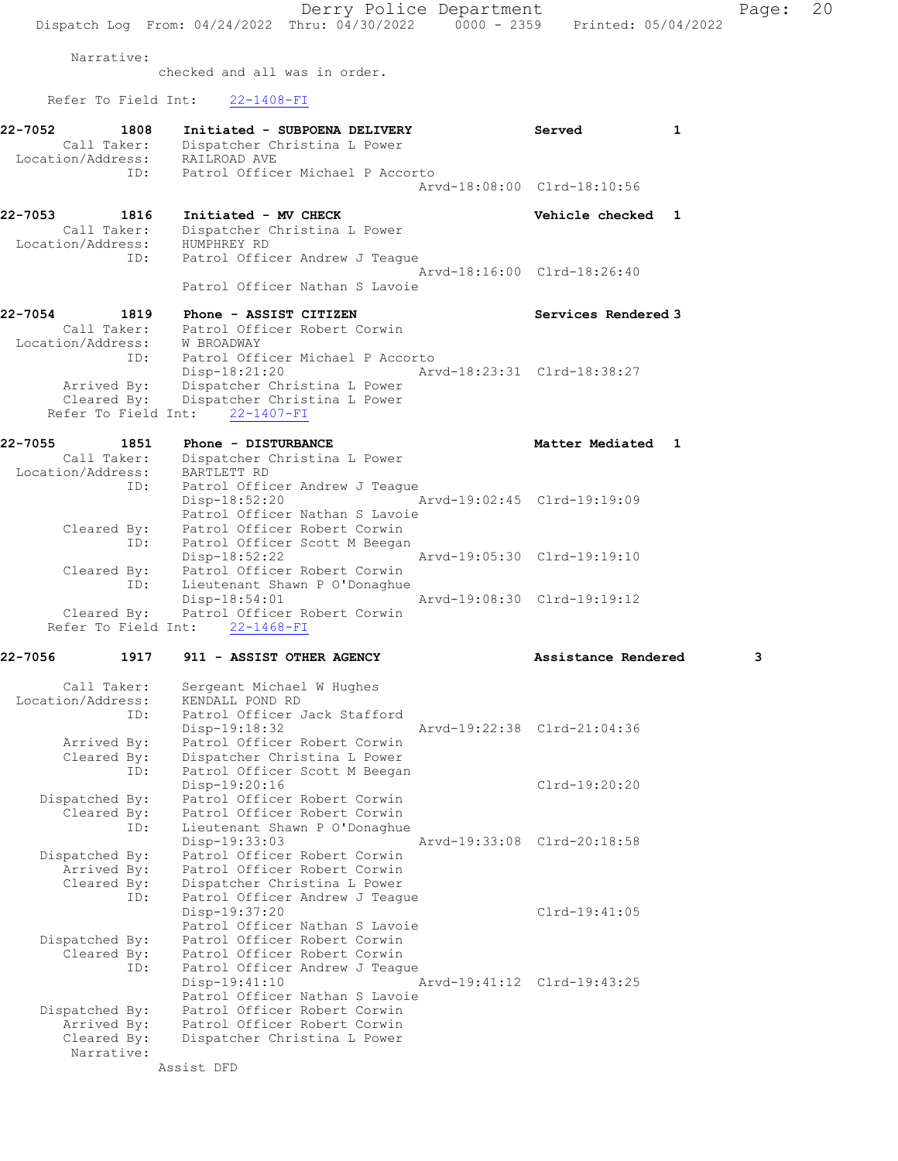Derry Police Department Fage: 20 Dispatch Log From: 04/24/2022 Thru: 04/30/2022 0000 - 2359 Printed: 05/04/2022

Narrative:

checked and all was in order.

Refer To Field Int: 22-1408-FI

| 22-7052<br>1808<br>Call Taker:<br>Location/Address: | Initiated - SUBPOENA DELIVERY<br>Dispatcher Christina L Power<br>RAILROAD AVE                                                                               | Served                      | 1 |
|-----------------------------------------------------|-------------------------------------------------------------------------------------------------------------------------------------------------------------|-----------------------------|---|
| ID:                                                 | Patrol Officer Michael P Accorto                                                                                                                            | Arvd-18:08:00 Clrd-18:10:56 |   |
| 22-7053<br>1816<br>Call Taker:<br>Location/Address: | Initiated - MV CHECK<br>Dispatcher Christina L Power<br>HUMPHREY RD                                                                                         | Vehicle checked 1           |   |
| ID:                                                 | Patrol Officer Andrew J Teague<br>Patrol Officer Nathan S Lavoie                                                                                            | Arvd-18:16:00 Clrd-18:26:40 |   |
| 22-7054<br>1819                                     | Phone - ASSIST CITIZEN                                                                                                                                      | Services Rendered 3         |   |
| Call Taker:<br>Location/Address: W BROADWAY<br>ID:  | Patrol Officer Robert Corwin<br>Patrol Officer Michael P Accorto                                                                                            |                             |   |
| Refer To Field Int:                                 | $Disp-18:21:20$<br>Dispatcher Christina L Power<br>Arrived By: Dispatcher Christina L Power<br>Cleared By: Dispatcher Christina L Power<br>$22 - 1407 - FI$ | Arvd-18:23:31 Clrd-18:38:27 |   |
| 22-7055<br>1851                                     | Phone - DISTURBANCE                                                                                                                                         | Matter Mediated 1           |   |
| Call Taker:<br>Location/Address:<br>ID:             | Dispatcher Christina L Power<br>BARTLETT RD<br>Patrol Officer Andrew J Teague                                                                               |                             |   |
| Cleared By:<br>ID:                                  | Disp-18:52:20<br>Patrol Officer Nathan S Lavoie<br>Patrol Officer Robert Corwin<br>Patrol Officer Scott M Beegan                                            | Arvd-19:02:45 Clrd-19:19:09 |   |
|                                                     | Disp-18:52:22<br>Cleared By: Patrol Officer Robert Corwin<br>ID: Lieutenant Shawn P O'Donaghue<br>Lieutenant Shawn P O'Donaghue                             | Arvd-19:05:30 Clrd-19:19:10 |   |
| Cleared By:                                         | Disp-18:54:01<br>Patrol Officer Robert Corwin<br>Refer To Field Int: 22-1468-FI                                                                             | Arvd-19:08:30 Clrd-19:19:12 |   |
| 22-7056<br>1917                                     | 911 - ASSIST OTHER AGENCY                                                                                                                                   | Assistance Rendered         | з |
| Call Taker:                                         | Sergeant Michael W Hughes                                                                                                                                   |                             |   |
| Location/Address:<br>ID:                            | KENDALL POND RD<br>Patrol Officer Jack Stafford                                                                                                             |                             |   |
| Arrived By:                                         | Disp-19:18:32<br>Patrol Officer Robert Corwin                                                                                                               | Arvd-19:22:38 Clrd-21:04:36 |   |
| Cleared By:<br>ID:                                  | Dispatcher Christina L Power<br>Patrol Officer Scott M Beegan<br>Disp-19:20:16                                                                              | Clrd-19:20:20               |   |
| Dispatched By:<br>Cleared By:                       | Patrol Officer Robert Corwin<br>Patrol Officer Robert Corwin                                                                                                |                             |   |
| ID:<br>Dispatched By:                               | Lieutenant Shawn P O'Donaghue<br>Disp-19:33:03<br>Patrol Officer Robert Corwin                                                                              | Arvd-19:33:08 Clrd-20:18:58 |   |
| Arrived By:                                         | Patrol Officer Robert Corwin                                                                                                                                |                             |   |
| Cleared By:<br>ID:                                  | Dispatcher Christina L Power<br>Patrol Officer Andrew J Teague                                                                                              |                             |   |
|                                                     | Disp-19:37:20<br>Patrol Officer Nathan S Lavoie                                                                                                             | $Clrd-19:41:05$             |   |
| Dispatched By:<br>Cleared By:                       | Patrol Officer Robert Corwin<br>Patrol Officer Robert Corwin                                                                                                |                             |   |
| ID:                                                 | Patrol Officer Andrew J Teaque<br>$Disp-19:41:10$<br>Patrol Officer Nathan S Lavoie                                                                         | Arvd-19:41:12 Clrd-19:43:25 |   |
| Dispatched By:                                      | Patrol Officer Robert Corwin                                                                                                                                |                             |   |
| Arrived By:<br>Cleared By:                          | Patrol Officer Robert Corwin<br>Dispatcher Christina L Power                                                                                                |                             |   |
| Narrative:                                          |                                                                                                                                                             |                             |   |

Assist DFD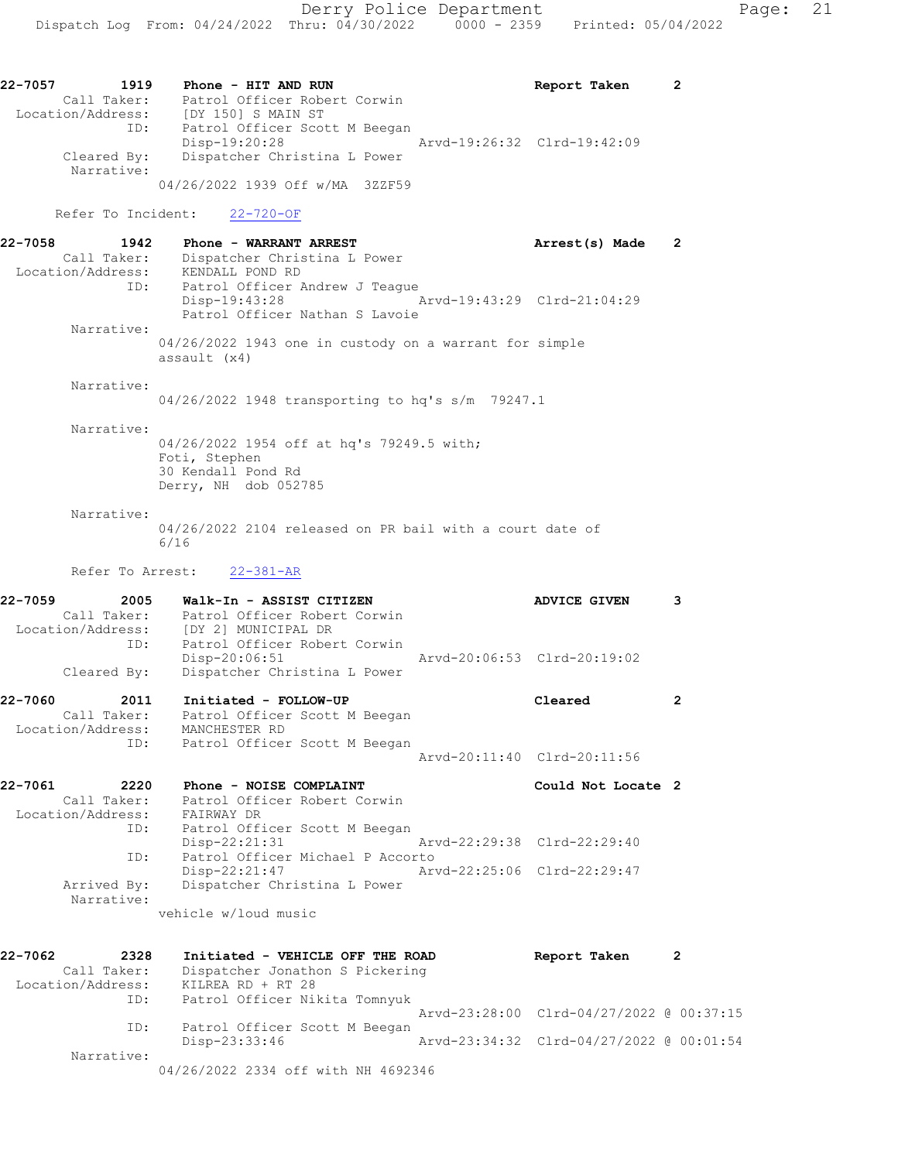04/26/2022 1939 Off w/MA 3ZZF59

Refer To Incident: 22-720-OF

| 22-7058<br>1942   | Phone - WARRANT ARREST                                 | Arrest(s) Made              | -2 |
|-------------------|--------------------------------------------------------|-----------------------------|----|
| Call Taker:       | Dispatcher Christina L Power                           |                             |    |
| Location/Address: | KENDALL POND RD                                        |                             |    |
| ID:               | Patrol Officer Andrew J Teague                         |                             |    |
|                   | Disp-19:43:28                                          | Arvd-19:43:29 Clrd-21:04:29 |    |
|                   | Patrol Officer Nathan S Lavoie                         |                             |    |
| Narrative:        |                                                        |                             |    |
|                   | 04/26/2022 1943 one in custody on a warrant for simple |                             |    |
|                   | assault (x4)                                           |                             |    |
|                   |                                                        |                             |    |

### Narrative:

04/26/2022 1948 transporting to hq's s/m 79247.1

#### Narrative:

04/26/2022 1954 off at hq's 79249.5 with; Foti, Stephen 30 Kendall Pond Rd Derry, NH dob 052785

### Narrative:

04/26/2022 2104 released on PR bail with a court date of 6/16

Refer To Arrest: 22-381-AR

| 22-7060 | 2011              | Initiated - FOLLOW-UP                         | Cleared                     |  |
|---------|-------------------|-----------------------------------------------|-----------------------------|--|
|         |                   | Cleared By: Dispatcher Christina L Power      |                             |  |
|         | ID:               | Patrol Officer Robert Corwin<br>Disp-20:06:51 | Arvd-20:06:53 Clrd-20:19:02 |  |
|         | Location/Address: | [DY 2] MUNICIPAL DR                           |                             |  |
|         | Call Taker:       | Patrol Officer Robert Corwin                  |                             |  |
| 22-7059 | 2005              | Walk-In - ASSIST CITIZEN                      | <b>ADVICE GIVEN</b>         |  |

| Call Taker:       | Patrol Officer Scott M Beegan |  |
|-------------------|-------------------------------|--|
| Location/Address: | MANCHESTER RD                 |  |
| ID:               | Patrol Officer Scott M Beegan |  |
|                   | Arvd-20:11:40 Clrd-20:11:56   |  |

| 22-7061           | 2220                      | Phone - NOISE COMPLAINT |                                  |                             | Could Not Locate 2 |  |
|-------------------|---------------------------|-------------------------|----------------------------------|-----------------------------|--------------------|--|
|                   | Call Taker:               |                         | Patrol Officer Robert Corwin     |                             |                    |  |
| Location/Address: |                           | FAIRWAY DR              |                                  |                             |                    |  |
|                   | ID:                       |                         | Patrol Officer Scott M Beegan    |                             |                    |  |
|                   |                           | $Disp-22:21:31$         |                                  | Arvd-22:29:38 Clrd-22:29:40 |                    |  |
|                   | ID:                       |                         | Patrol Officer Michael P Accorto |                             |                    |  |
|                   |                           | $Disp-22:21:47$         |                                  | Arvd-22:25:06 Clrd-22:29:47 |                    |  |
|                   | Arrived By:<br>Narrative: |                         | Dispatcher Christina L Power     |                             |                    |  |

vehicle w/loud music

| 22-7062           | 2328 | Initiated - VEHICLE OFF THE ROAD    | Report Taken                             | 2 |
|-------------------|------|-------------------------------------|------------------------------------------|---|
| Call Taker:       |      | Dispatcher Jonathon S Pickering     |                                          |   |
| Location/Address: |      | KILREA RD + RT 28                   |                                          |   |
|                   | ID:  | Patrol Officer Nikita Tomnyuk       |                                          |   |
|                   |      |                                     | Arvd-23:28:00 Clrd-04/27/2022 @ 00:37:15 |   |
|                   | ID:  | Patrol Officer Scott M Beegan       |                                          |   |
|                   |      | Disp-23:33:46                       | Arvd-23:34:32 Clrd-04/27/2022 @ 00:01:54 |   |
| Narrative:        |      |                                     |                                          |   |
|                   |      | 04/26/2022 2334 off with NH 4692346 |                                          |   |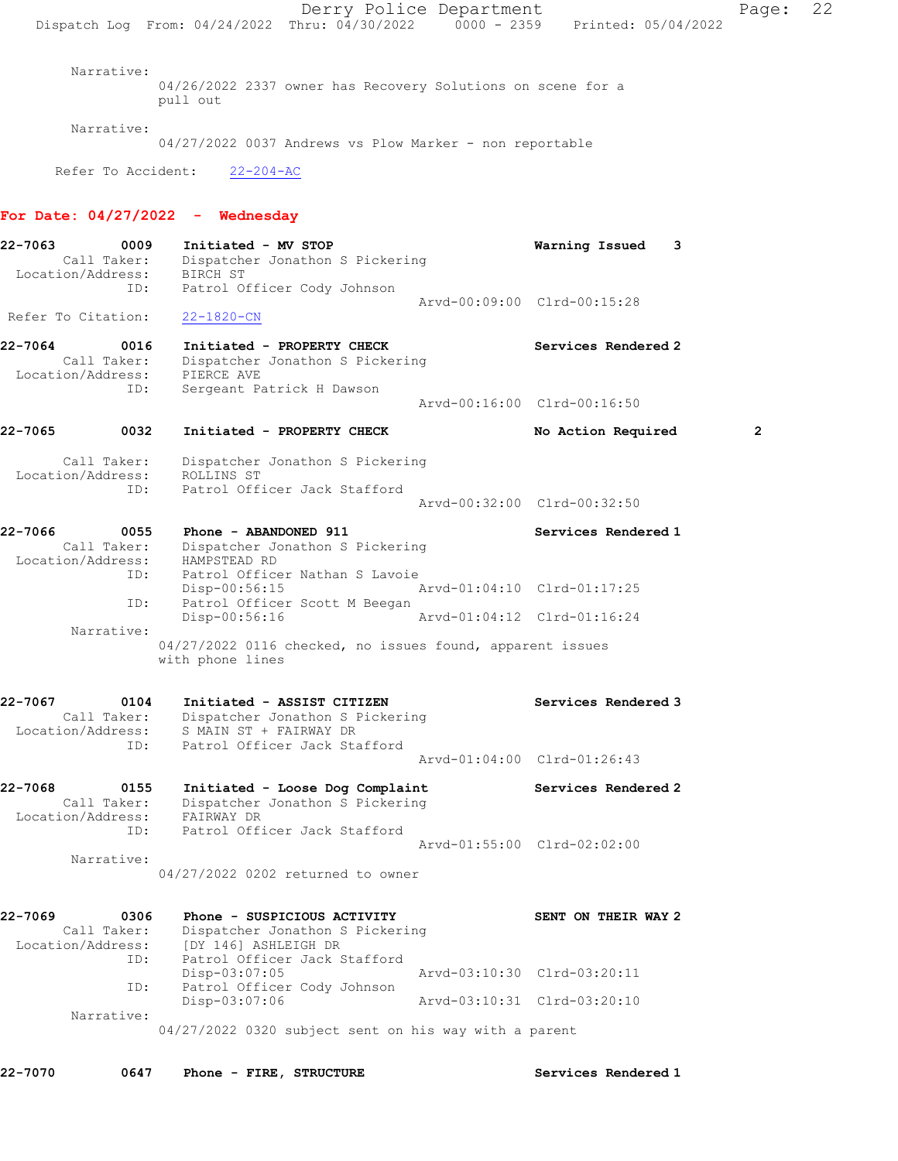Derry Police Department Page: 22 Dispatch Log From: 04/24/2022 Thru: 04/30/2022 0000 - 2359 Printed: 05/04/2022 Narrative: 04/26/2022 2337 owner has Recovery Solutions on scene for a pull out Narrative: 04/27/2022 0037 Andrews vs Plow Marker - non reportable Refer To Accident: 22-204-AC For Date:  $04/27/2022 -$  Wednesday 22-7063 0009 Initiated - MV STOP Warning Issued 3 Call Taker: Dispatcher Jonathon S Pickering Location/Address: BIRCH ST ID: Patrol Officer Cody Johnson Arvd-00:09:00 Clrd-00:15:28 Refer To Citation: 22-1820-CN 22-7064 0016 Initiated - PROPERTY CHECK Services Rendered 2 Call Taker: Dispatcher Jonathon S Pickering Location/Address: PIERCE AVE ID: Sergeant Patrick H Dawson Arvd-00:16:00 Clrd-00:16:50 22-7065 0032 Initiated - PROPERTY CHECK No Action Required 2 Call Taker: Dispatcher Jonathon S Pickering Location/Address: ROLLINS ST ID: Patrol Officer Jack Stafford Arvd-00:32:00 Clrd-00:32:50 22-7066 0055 Phone - ABANDONED 911 Services Rendered 1 Call Taker: Dispatcher Jonathon S Pickering Location/Address: HAMPSTEAD RD ID: Patrol Officer Nathan S Lavoie Disp-00:56:15 Arvd-01:04:10 Clrd-01:17:25<br>
Disp-00:56:16 Arvd-01:04:12 Clrd-01:16:24<br>
Disp-00:56:16 Arvd-01:04:12 Clrd-01:16:24 Patrol Officer Scott M Beegan Arvd-01:04:12 Clrd-01:16:24 Narrative: 04/27/2022 0116 checked, no issues found, apparent issues with phone lines 22-7067 0104 Initiated - ASSIST CITIZEN Services Rendered 3 Call Taker: Dispatcher Jonathon S Pickering Location/Address: S MAIN ST + FAIRWAY DR ID: Patrol Officer Jack Stafford Arvd-01:04:00 Clrd-01:26:43 22-7068 0155 Initiated - Loose Dog Complaint Services Rendered 2 Call Taker: Dispatcher Jonathon S Pickering Location/Address: FAIRWAY DR ID: Patrol Officer Jack Stafford Arvd-01:55:00 Clrd-02:02:00 Narrative: 04/27/2022 0202 returned to owner 22-7069 0306 Phone - SUSPICIOUS ACTIVITY SENT ON THEIR WAY 2 Call Taker: Dispatcher Jonathon S Pickering Location/Address: [DY 146] ASHLEIGH DR ID: Patrol Officer Jack Stafford Disp-03:07:05 Arvd-03:10:30 Clrd-03:20:11 ID: Patrol Officer Cody Johnson<br>Disp-03:07:06 Disp-03:07:06 Arvd-03:10:31 Clrd-03:20:10 Narrative: 04/27/2022 0320 subject sent on his way with a parent 22-7070 0647 Phone - FIRE, STRUCTURE Services Rendered 1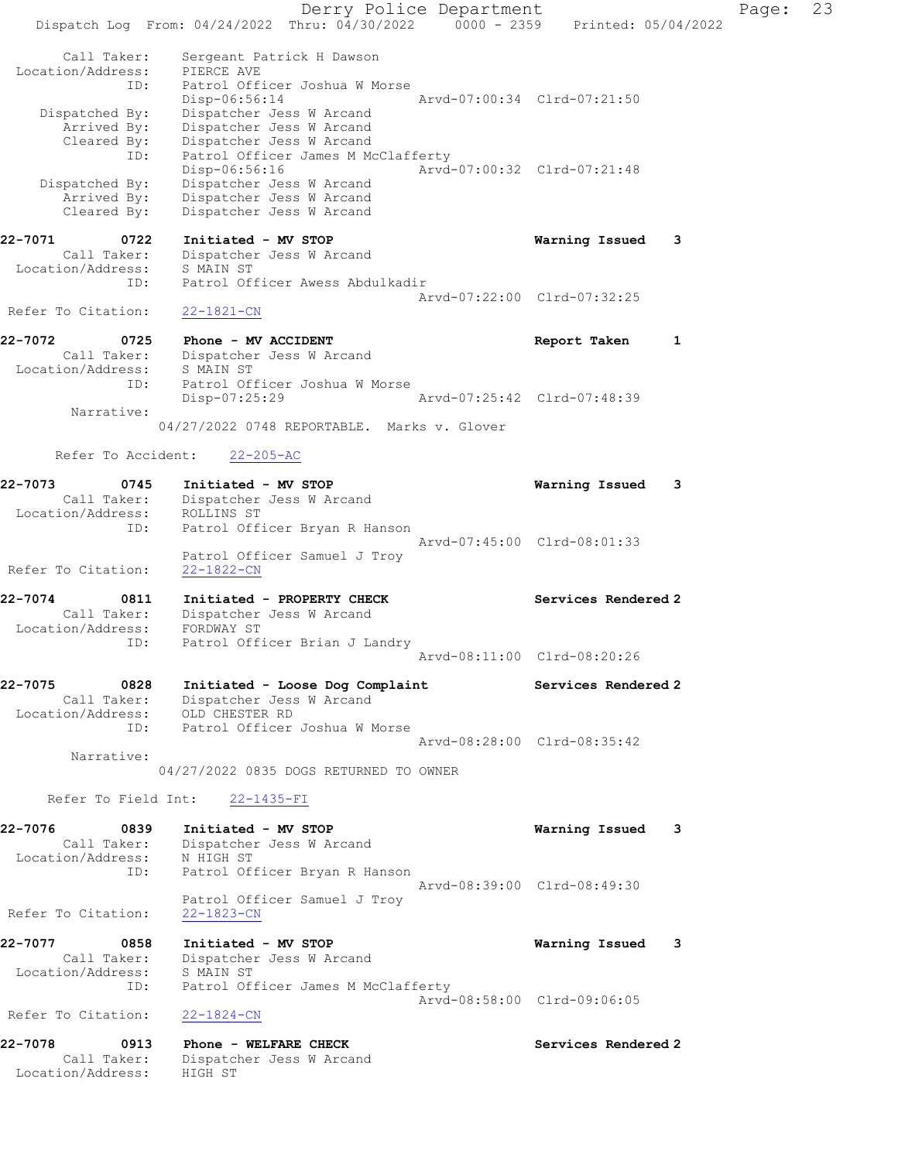Derry Police Department Fage: 23 Dispatch Log From: 04/24/2022 Thru: 04/30/2022 0000 - 2359 Printed: 05/04/2022 Call Taker: Sergeant Patrick H Dawson Location/Address: PIERCE AVE ID: Patrol Officer Joshua W Morse Disp-06:56:14 Arvd-07:00:34 Clrd-07:21:50 Dispatched By: Dispatcher Jess W Arcand Arrived By: Dispatcher Jess W Arcand Cleared By: Dispatcher Jess W Arcand ID: Patrol Officer James M McClafferty Disp-06:56:16 Arvd-07:00:32 Clrd-07:21:48 Dispatched By: Dispatcher Jess W Arcand Arrived By: Dispatcher Jess W Arcand Cleared By: Dispatcher Jess W Arcand 22-7071 0722 Initiated - MV STOP Warning Issued 3 Call Taker: Dispatcher Jess W Arcand Location/Address: S MAIN ST ID: Patrol Officer Awess Abdulkadir Arvd-07:22:00 Clrd-07:32:25 Refer To Citation: 22-1821-CN 22-7072 0725 Phone - MV ACCIDENT Report Taken 1 Call Taker: Dispatcher Jess W Arcand Location/Address: S MAIN ST ID: Patrol Officer Joshua W Morse Disp-07:25:29 Arvd-07:25:42 Clrd-07:48:39 Narrative: 04/27/2022 0748 REPORTABLE. Marks v. Glover Refer To Accident: 22-205-AC 22-7073 0745 Initiated - MV STOP Warning Issued 3 Call Taker: Dispatcher Jess W Arcand Location/Address: ROLLINS ST ID: Patrol Officer Bryan R Hanson Arvd-07:45:00 Clrd-08:01:33 Patrol Officer Samuel J Troy<br>22-1822-CN Refer To Citation: 22-7074 0811 Initiated - PROPERTY CHECK Services Rendered 2 Call Taker: Dispatcher Jess W Arcand Location/Address: FORDWAY ST ID: Patrol Officer Brian J Landry Arvd-08:11:00 Clrd-08:20:26 22-7075 0828 Initiated - Loose Dog Complaint Services Rendered 2 Call Taker: Dispatcher Jess W Arcand Location/Address: OLD CHESTER RD ID: Patrol Officer Joshua W Morse Arvd-08:28:00 Clrd-08:35:42 Narrative: 04/27/2022 0835 DOGS RETURNED TO OWNER Refer To Field Int: 22-1435-FI 22-7076 0839 Initiated - MV STOP Warning Issued 3 Call Taker: Dispatcher Jess W Arcand Location/Address: N HIGH ST ID: Patrol Officer Bryan R Hanson Arvd-08:39:00 Clrd-08:49:30 Patrol Officer Samuel J Troy Refer To Citation: 22-1823-CN 22-7077 0858 Initiated - MV STOP Warning Issued 3 Call Taker: Dispatcher Jess W Arcand Location/Address: S MAIN ST ID: Patrol Officer James M McClafferty Arvd-08:58:00 Clrd-09:06:05 Refer To Citation: 22-1824-CN 22-7078 0913 Phone - WELFARE CHECK Services Rendered 2 Call Taker: Dispatcher Jess W Arcand Location/Address: HIGH ST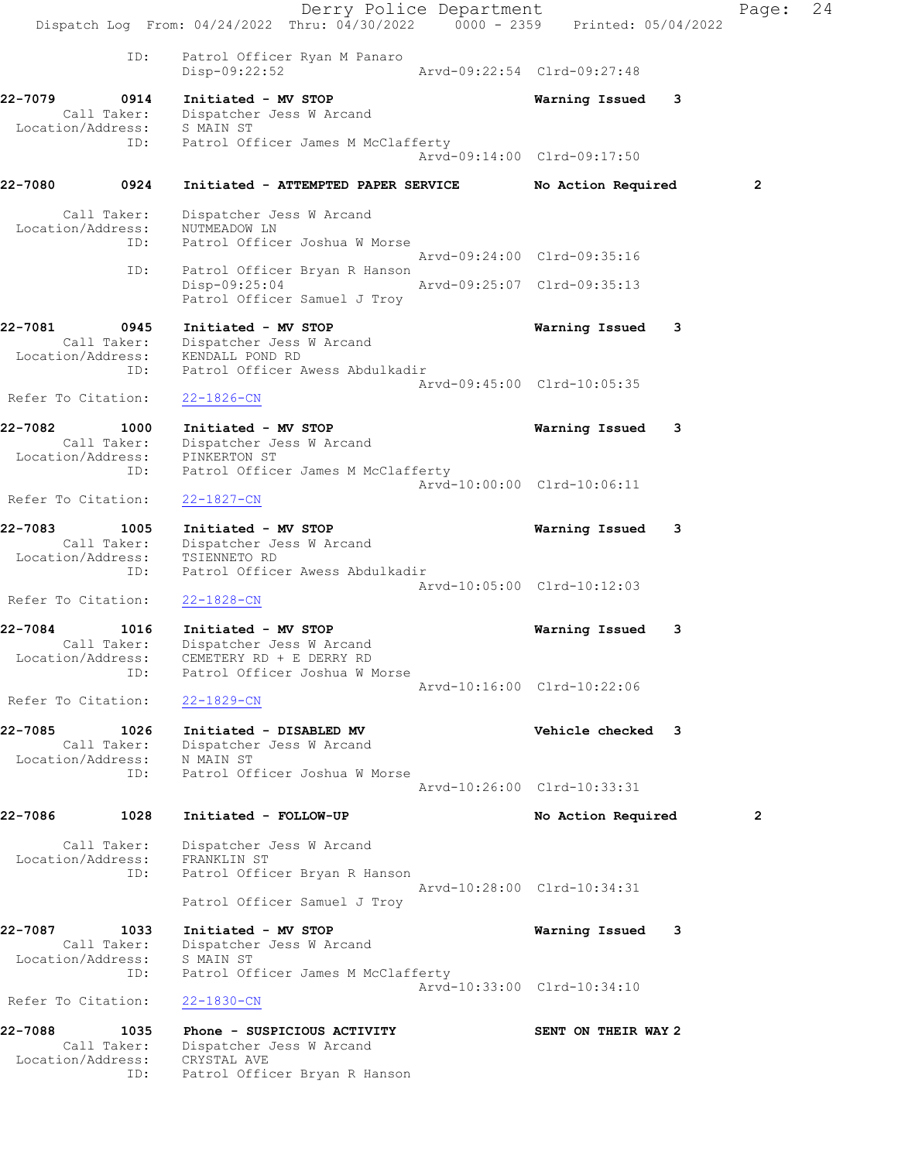|                              |                            | Dispatch Log From: $04/24/2022$ Thru: $04/30/2022$ 0000 - 2359 Printed: 05/04/2022            | Derry Police Department             |                             |   | Page:        | 24 |
|------------------------------|----------------------------|-----------------------------------------------------------------------------------------------|-------------------------------------|-----------------------------|---|--------------|----|
|                              | ID:                        | Patrol Officer Ryan M Panaro<br>Disp-09:22:52                                                 |                                     | Arvd-09:22:54 Clrd-09:27:48 |   |              |    |
| 22-7079                      | 0914                       | Initiated - MV STOP<br>Call Taker: Dispatcher Jess W Arcand                                   |                                     | Warning Issued 3            |   |              |    |
| Location/Address: S MAIN ST  |                            | ID: Patrol Officer James M McClafferty                                                        |                                     | Arvd-09:14:00 Clrd-09:17:50 |   |              |    |
| 22-7080                      | 0924                       |                                                                                               | Initiated - ATTEMPTED PAPER SERVICE | No Action Required          |   | $\mathbf{2}$ |    |
| Location/Address:            | Call Taker:<br>ID:         | Dispatcher Jess W Arcand<br>NUTMEADOW LN                                                      | Patrol Officer Joshua W Morse       |                             |   |              |    |
|                              |                            |                                                                                               |                                     | Arvd-09:24:00 Clrd-09:35:16 |   |              |    |
|                              | ID:                        | $Disp-09:25:04$<br>Patrol Officer Samuel J Troy                                               | Patrol Officer Bryan R Hanson       | Arvd-09:25:07 Clrd-09:35:13 |   |              |    |
| 22-7081                      | 0945<br>Call Taker:<br>ID: | Initiated - MV STOP<br>Dispatcher Jess W Arcand<br>Location/Address: KENDALL POND RD          | Patrol Officer Awess Abdulkadir     | Warning Issued              | 3 |              |    |
| Refer To Citation:           |                            | $22 - 1826 - CN$                                                                              |                                     | Arvd-09:45:00 Clrd-10:05:35 |   |              |    |
| 22-7082<br>Location/Address: | 1000<br>ID:                | Initiated - MV STOP<br>Call Taker: Dispatcher Jess W Arcand<br>PINKERTON ST                   | Patrol Officer James M McClafferty  | Warning Issued              | 3 |              |    |
| Refer To Citation:           |                            | $22 - 1827 - CN$                                                                              |                                     | Arvd-10:00:00 Clrd-10:06:11 |   |              |    |
| 22-7083<br>Location/Address: | 1005<br>Call Taker:<br>ID: | Initiated - MV STOP<br>Dispatcher Jess W Arcand<br>TSIENNETO RD                               | Patrol Officer Awess Abdulkadir     | Warning Issued              | 3 |              |    |
| Refer To Citation:           |                            | $22 - 1828 - CN$                                                                              |                                     | Arvd-10:05:00 Clrd-10:12:03 |   |              |    |
| 22-7084<br>Call Taker:       | 1016<br>ID:                | Initiated - MV STOP<br>Dispatcher Jess W Arcand<br>Location/Address: CEMETERY RD + E DERRY RD | Patrol Officer Joshua W Morse       | Warning Issued              | 3 |              |    |
| Refer To Citation:           |                            | $22 - 1829 - CN$                                                                              |                                     | Arvd-10:16:00 Clrd-10:22:06 |   |              |    |
| 22-7085<br>Location/Address: | 1026<br>Call Taker:<br>ID: | Initiated - DISABLED MV<br>Dispatcher Jess W Arcand<br>N MAIN ST                              | Patrol Officer Joshua W Morse       | Vehicle checked 3           |   |              |    |
|                              |                            |                                                                                               |                                     | Aryd-10:26:00 Clrd-10:33:31 |   |              |    |
| 22-7086                      | 1028                       | Initiated - FOLLOW-UP                                                                         |                                     | No Action Required          |   | $\mathbf{2}$ |    |
| Location/Address:            | Call Taker:<br>ID:         | Dispatcher Jess W Arcand<br>FRANKLIN ST                                                       | Patrol Officer Bryan R Hanson       | Arvd-10:28:00 Clrd-10:34:31 |   |              |    |
|                              |                            | Patrol Officer Samuel J Troy                                                                  |                                     |                             |   |              |    |
| 22-7087<br>Location/Address: | 1033<br>Call Taker:<br>ID: | Initiated - MV STOP<br>Dispatcher Jess W Arcand<br>S MAIN ST                                  | Patrol Officer James M McClafferty  | Warning Issued              | 3 |              |    |
| Refer To Citation:           |                            | $22 - 1830 - CN$                                                                              |                                     | Arvd-10:33:00 Clrd-10:34:10 |   |              |    |
| 22-7088<br>Location/Address: | 1035<br>Call Taker:<br>ID: | Phone - SUSPICIOUS ACTIVITY<br>Dispatcher Jess W Arcand<br>CRYSTAL AVE                        | Patrol Officer Bryan R Hanson       | SENT ON THEIR WAY 2         |   |              |    |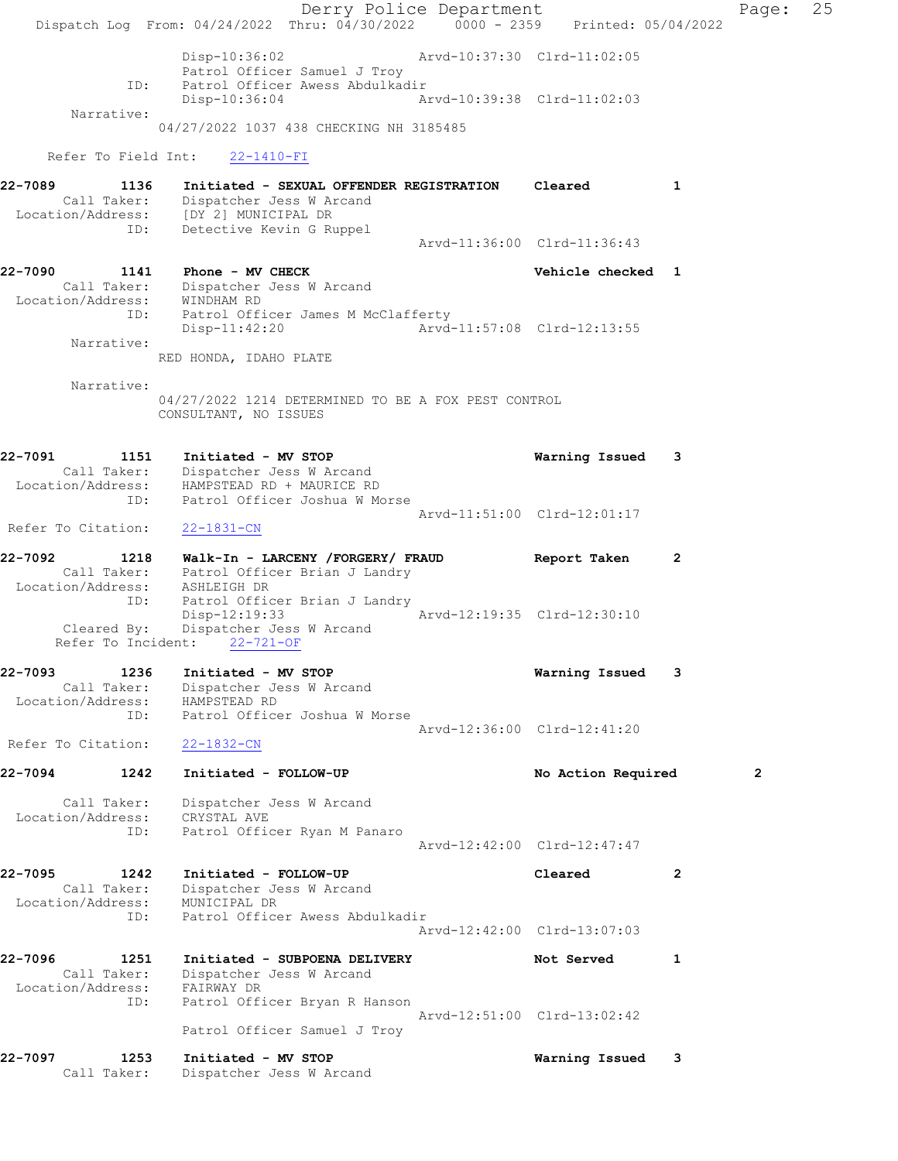Derry Police Department Fage: 25 Dispatch Log From: 04/24/2022 Thru: 04/30/2022 0000 - 2359 Printed: 05/04/2022 Disp-10:36:02 Arvd-10:37:30 Clrd-11:02:05 Patrol Officer Samuel J Troy<br>ID: Patrol Officer Awess Abdulkad Patrol Officer Awess Abdulkadir Disp-10:36:04 Arvd-10:39:38 Clrd-11:02:03 Narrative: 04/27/2022 1037 438 CHECKING NH 3185485 Refer To Field Int: 22-1410-FI 22-7089 1136 Initiated - SEXUAL OFFENDER REGISTRATION Cleared 1 Call Taker: Dispatcher Jess W Arcand Location/Address: [DY 2] MUNICIPAL DR ID: Detective Kevin G Ruppel Arvd-11:36:00 Clrd-11:36:43 22-7090 1141 Phone - MV CHECK Vehicle checked 1 Call Taker: Dispatcher Jess W Arcand Location/Address: WINDHAM RD ID: Patrol Officer James M McClafferty Disp-11:42:20 Arvd-11:57:08 Clrd-12:13:55 Narrative: RED HONDA, IDAHO PLATE Narrative: 04/27/2022 1214 DETERMINED TO BE A FOX PEST CONTROL CONSULTANT, NO ISSUES 22-7091 1151 Initiated - MV STOP Warning Issued 3 Call Taker: Dispatcher Jess W Arcand Location/Address: HAMPSTEAD RD + MAURICE RD ID: Patrol Officer Joshua W Morse Arvd-11:51:00 Clrd-12:01:17 Refer To Citation: 22-1831-CN 22-7092 1218 Walk-In - LARCENY /FORGERY/ FRAUD Report Taken 2 Call Taker: Patrol Officer Brian J Landry Location/Address: ASHLEIGH DR ID: Patrol Officer Brian J Landry Disp-12:19:33 Arvd-12:19:35 Clrd-12:30:10 Cleared By: Dispatcher Jess W Arcand Refer To Incident: 22-721-OF 22-7093 1236 Initiated - MV STOP Warning Issued 3 Call Taker: Dispatcher Jess W Arcand Location/Address: HAMPSTEAD RD ID: Patrol Officer Joshua W Morse Arvd-12:36:00 Clrd-12:41:20 Refer To Citation: 22-1832-CN 22-7094 1242 Initiated - FOLLOW-UP No Action Required 2 Call Taker: Dispatcher Jess W Arcand Location/Address: CRYSTAL AVE ID: Patrol Officer Ryan M Panaro Arvd-12:42:00 Clrd-12:47:47 22-7095 1242 Initiated - FOLLOW-UP Cleared 2 Call Taker: Dispatcher Jess W Arcand Location/Address: MUNICIPAL DR ID: Patrol Officer Awess Abdulkadir Arvd-12:42:00 Clrd-13:07:03 22-7096 1251 Initiated - SUBPOENA DELIVERY Not Served 1 Call Taker: Dispatcher Jess W Arcand Location/Address: FAIRWAY DR ID: Patrol Officer Bryan R Hanson Arvd-12:51:00 Clrd-13:02:42 Patrol Officer Samuel J Troy 22-7097 1253 Initiated - MV STOP Warning Issued 3 Call Taker: Dispatcher Jess W Arcand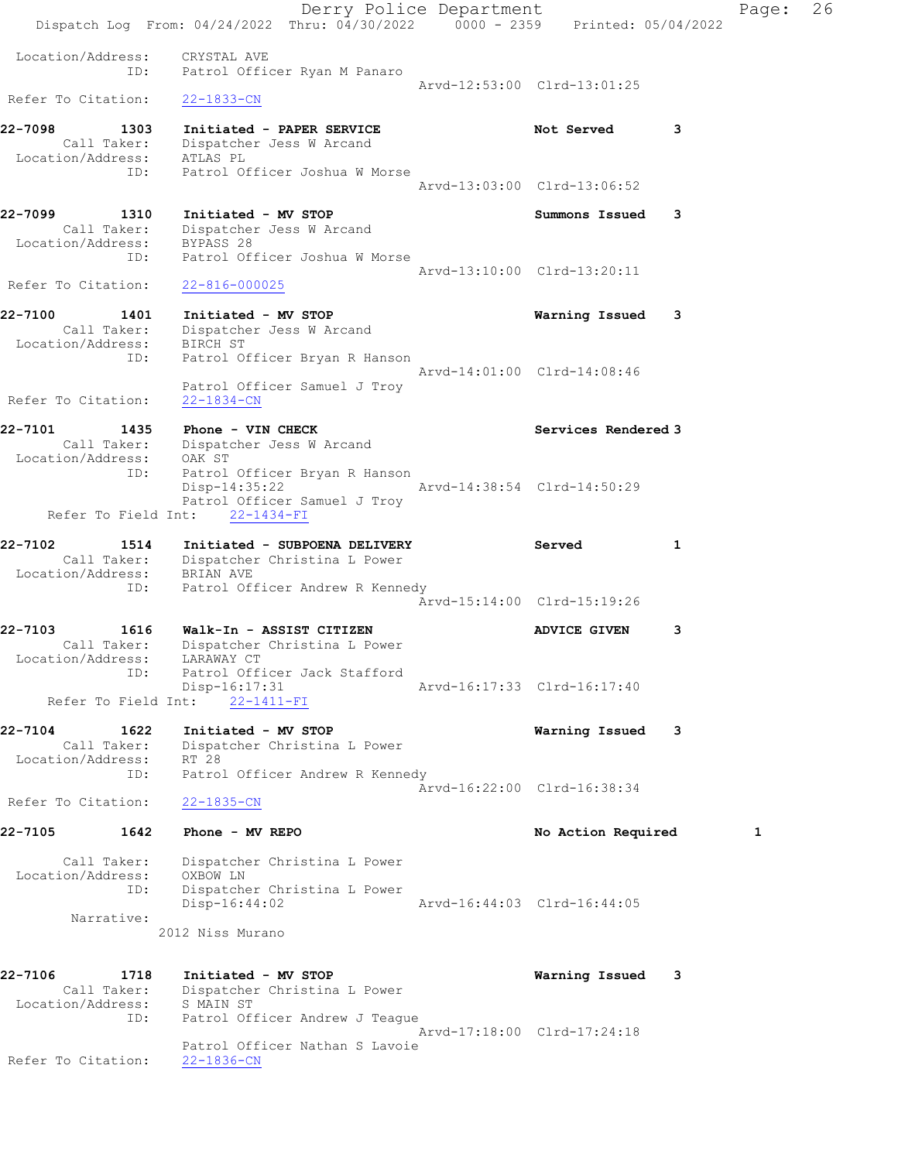Derry Police Department Fage: 26 Dispatch Log From:  $04/24/2022$  Thru:  $04/30/2022$  0000 - 2359 Printed: 05/04/2022 Location/Address: CRYSTAL AVE ID: Patrol Officer Ryan M Panaro Arvd-12:53:00 Clrd-13:01:25 Refer To Citation: 22-1833-CN 22-7098 1303 Initiated - PAPER SERVICE 1988 Not Served 3 Call Taker: Dispatcher Jess W Arcand Location/Address: ATLAS PL ID: Patrol Officer Joshua W Morse Arvd-13:03:00 Clrd-13:06:52 22-7099 1310 Initiated - MV STOP Summons Issued 3 Call Taker: Dispatcher Jess W Arcand Location/Address: BYPASS 28 ID: Patrol Officer Joshua W Morse Arvd-13:10:00 Clrd-13:20:11 Refer To Citation: 22-816-000025 22-7100 1401 Initiated - MV STOP Warning Issued 3 Call Taker: Dispatcher Jess W Arcand Location/Address: BIRCH ST ID: Patrol Officer Bryan R Hanson Arvd-14:01:00 Clrd-14:08:46 Patrol Officer Samuel J Troy Refer To Citation: 22-1834-CN eddieself of the U.S. of the U.S. of the U.S. of the Services of the Services Rendered 3 and the Services Rendered 3 and the Services Rendered 3 and the Services Rendered 3 and the Services Rendered 3 and the Services Rend Call Taker: Dispatcher Jess W Arcand Location/Address: OAK ST ID: Patrol Officer Bryan R Hanson Disp-14:35:22 Arvd-14:38:54 Clrd-14:50:29 Patrol Officer Samuel J Troy Refer To Field Int: 22-1434-FI 22-7102 1514 Initiated - SUBPOENA DELIVERY Served 1 Call Taker: Dispatcher Christina L Power Location/Address: BRIAN AVE ID: Patrol Officer Andrew R Kennedy Arvd-15:14:00 Clrd-15:19:26 22-7103 1616 Walk-In - ASSIST CITIZEN ADVICE GIVEN 3 Call Taker: Dispatcher Christina L Power Location/Address: LARAWAY CT ID: Patrol Officer Jack Stafford Disp-16:17:31 Arvd-16:17:33 Clrd-16:17:40 Refer To Field Int: 22-1411-FI 22-7104 1622 Initiated - MV STOP Warning Issued 3 Call Taker: Dispatcher Christina L Power Location/Address: RT 28 ID: Patrol Officer Andrew R Kennedy Arvd-16:22:00 Clrd-16:38:34 Refer To Citation: 22-1835-CN 22-7105 1642 Phone - MV REPO No Action Required 1 Call Taker: Dispatcher Christina L Power Location/Address: OXBOW LN ID: Dispatcher Christina L Power Disp-16:44:02 Arvd-16:44:03 Clrd-16:44:05 Narrative: 2012 Niss Murano 22-7106 1718 Initiated - MV STOP Warning Issued 3 Call Taker: Dispatcher Christina L Power Location/Address: S MAIN ST ESS. STRINGS<br>ID: Patrol Officer Andrew J Teague Arvd-17:18:00 Clrd-17:24:18 Patrol Officer Nathan S Lavoie Refer To Citation: 22-1836-CN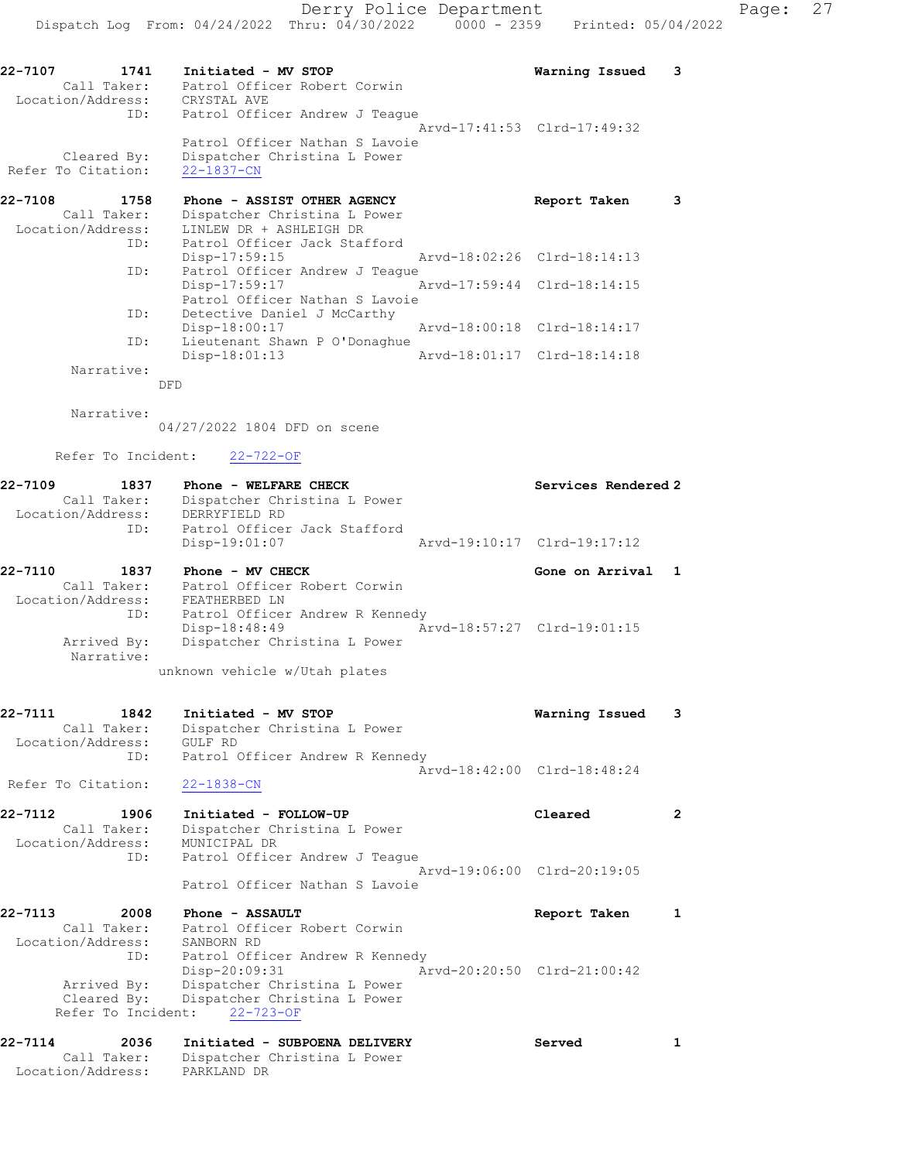| 22-7107                           | 1741 | Initiated - MV STOP                        |  |                             | Warning Issued 3 |  |
|-----------------------------------|------|--------------------------------------------|--|-----------------------------|------------------|--|
| Call Taker:                       |      | Patrol Officer Robert Corwin               |  |                             |                  |  |
| Location/Address:                 |      | CRYSTAL AVE                                |  |                             |                  |  |
|                                   | ID:  | Patrol Officer Andrew J Teaque             |  |                             |                  |  |
|                                   |      |                                            |  | Arvd-17:41:53 Clrd-17:49:32 |                  |  |
|                                   |      | Patrol Officer Nathan S Lavoie             |  |                             |                  |  |
| Cleared By:<br>Refer To Citation: |      | Dispatcher Christina L Power<br>22-1837-CN |  |                             |                  |  |

| 22-7108<br>1758   | Phone - ASSIST OTHER AGENCY    | Report Taken                |  |
|-------------------|--------------------------------|-----------------------------|--|
| Call Taker:       | Dispatcher Christina L Power   |                             |  |
| Location/Address: | LINLEW DR + ASHLEIGH DR        |                             |  |
| ID:               | Patrol Officer Jack Stafford   |                             |  |
|                   | $Disp-17:59:15$                | Arvd-18:02:26 Clrd-18:14:13 |  |
| ID:               | Patrol Officer Andrew J Teaque |                             |  |
|                   | Disp-17:59:17                  | Arvd-17:59:44 Clrd-18:14:15 |  |
|                   | Patrol Officer Nathan S Lavoie |                             |  |
| ID:               | Detective Daniel J McCarthy    |                             |  |
|                   | Disp-18:00:17                  | Arvd-18:00:18 Clrd-18:14:17 |  |
| ID:               | Lieutenant Shawn P O'Donaghue  |                             |  |
|                   | $Disp-18:01:13$                | Arvd-18:01:17 Clrd-18:14:18 |  |
| Narrative:        |                                |                             |  |

DFD

Narrative:

04/27/2022 1804 DFD on scene

Refer To Incident: 22-722-OF

| Location/Address: | Call Taker:                          | Dispatcher Christina L Power<br>DERRYFIELD RD        |                             |  |
|-------------------|--------------------------------------|------------------------------------------------------|-----------------------------|--|
|                   | ID:                                  | Patrol Officer Jack Stafford<br>Disp-19:01:07        | Arvd-19:10:17 Clrd-19:17:12 |  |
| 22-7110           | 1837<br>$C1$ $11$ $m2$ $12$ $\cdots$ | $Phone - MV$ $CHECK$<br>Dotrol Officer Bobort Contin | Gone on Arrival 1           |  |

| Call Taker:       | Patrol Officer Robert Corwin                 |
|-------------------|----------------------------------------------|
| Location/Address: | FEATHERBED IN                                |
| ID:               | Patrol Officer Andrew R Kennedy              |
|                   | Aryd-18:57:27 Clrd-19:01:15<br>Disp-18:48:49 |
| Arrived By:       | Dispatcher Christina L Power                 |
| Narrative:        |                                              |

unknown vehicle w/Utah plates

| 22-7111           | 1842 | Initiated - MV STOP             | Warning Issued 3 |  |
|-------------------|------|---------------------------------|------------------|--|
| Call Taker:       |      | Dispatcher Christina L Power    |                  |  |
| Location/Address: |      | GULF RD                         |                  |  |
|                   | ID:  | Patrol Officer Andrew R Kennedy |                  |  |
|                   |      | Arvd-18:42:00 Clrd-18:48:24     |                  |  |

Refer To Citation: 22-1838-CN

| 22-7112<br>Call Taker: | 1906  | Initiated - FOLLOW-UP<br>Dispatcher Christina L Power | Cleared                     |  |
|------------------------|-------|-------------------------------------------------------|-----------------------------|--|
| Location/Address:      | ID:   | MUNICIPAL DR<br>Patrol Officer Andrew J Teaque        |                             |  |
|                        |       | Patrol Officer Nathan S Lavoie                        | Arvd-19:06:00 Clrd-20:19:05 |  |
| . 7110                 | 0.000 | <b>The community of the Community</b><br>30.033777    |                             |  |

| 22-7113           | 2008        | Phone - ASSAULT                          | Report Taken                |  |
|-------------------|-------------|------------------------------------------|-----------------------------|--|
|                   | Call Taker: | Patrol Officer Robert Corwin             |                             |  |
| Location/Address: |             | SANBORN RD                               |                             |  |
|                   | ID:         | Patrol Officer Andrew R Kennedy          |                             |  |
|                   |             | Disp-20:09:31                            | Arvd-20:20:50 Clrd-21:00:42 |  |
|                   | Arrived By: | Dispatcher Christina L Power             |                             |  |
|                   |             | Cleared By: Dispatcher Christina L Power |                             |  |
|                   |             | Refer To Incident: 22-723-OF             |                             |  |
|                   |             |                                          |                             |  |

| 22-7114<br>2036   | Initiated - SUBPOENA DELIVERY | Served |  |
|-------------------|-------------------------------|--------|--|
| Call Taker:       | Dispatcher Christina L Power  |        |  |
| Location/Address: | PARKLAND DR                   |        |  |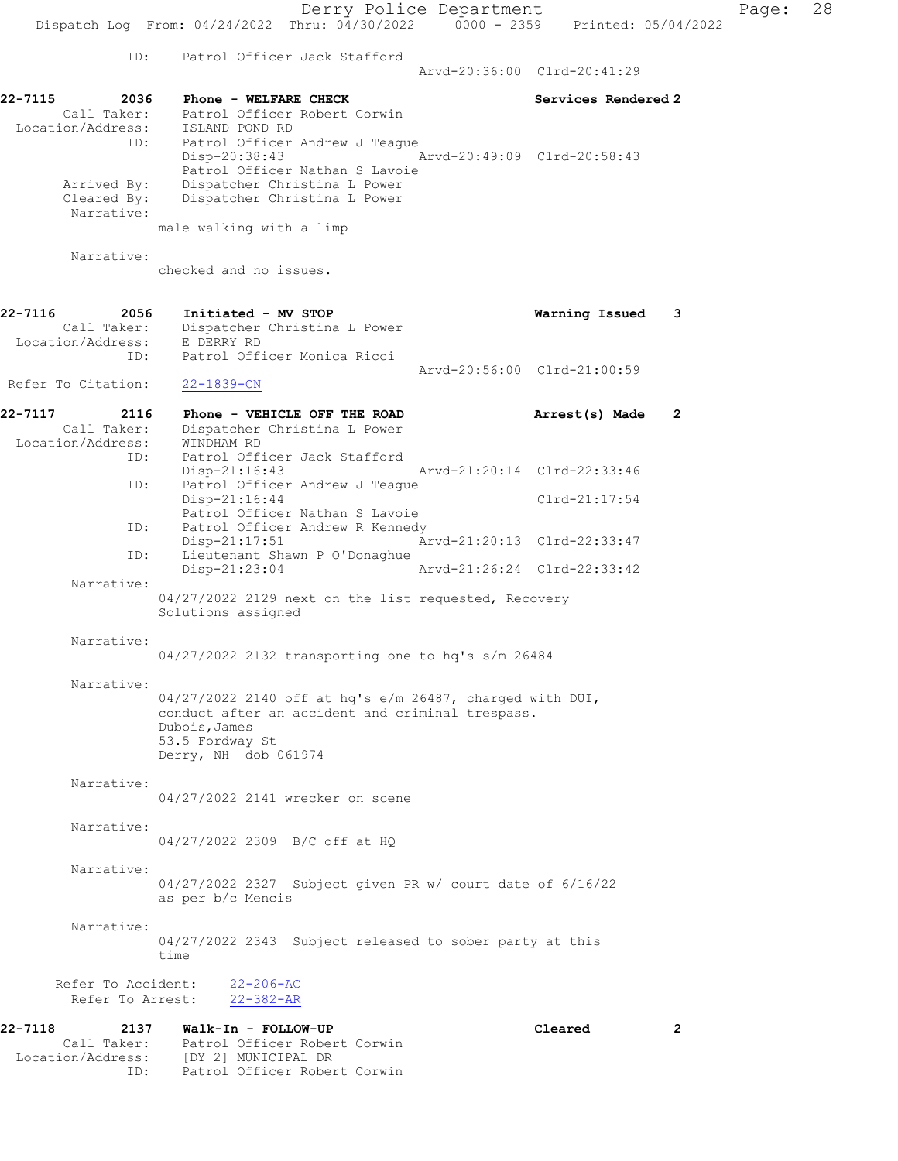22-7115 2036 Phone - WELFARE CHECK Services Rendered 2 Call Taker: Patrol Officer Robert Corwin Location/Address: ISLAND POND RD ID: Patrol Officer Andrew J Teague<br>Disp-20:38:43 Disp-20:38:43 Arvd-20:49:09 Clrd-20:58:43 Patrol Officer Nathan S Lavoie Arrived By: Dispatcher Christina L Power<br>Cleared By: Dispatcher Christina L Power Dispatcher Christina L Power Narrative: male walking with a limp Narrative: checked and no issues. 22-7116 2056 Initiated - MV STOP Warning Issued 3 Call Taker: Dispatcher Christina L Power Location/Address: E DERRY RD ID: Patrol Officer Monica Ricci Arvd-20:56:00 Clrd-21:00:59<br>
22-1839-CN Refer To Citation: 22-7117 2116 Phone - VEHICLE OFF THE ROAD **Arrest(s)** Made 2 Call Taker: Dispatcher Christina L Power<br>Con/Address: WINDHAM RD Location/Address:<br>ID: Patrol Officer Jack Stafford Disp-21:16:43 Arvd-21:20:14 Clrd-22:33:46<br>TD: Patrol Officer Andrew J Teague Patrol Officer Andrew J Teague<br>Disp-21:16:44 Clrd-21:17:54 Patrol Officer Nathan S Lavoie<br>ID: Patrol Officer Andrew R Kennedy Patrol Officer Andrew R Kennedy<br>Disp-21:17:51 A Disp-21:17:51 Arvd-21:20:13 Clrd-22:33:47<br>ID: Lieutenant Shawn P O'Donaghue Lieutenant Shawn P O'Donaghue Disp-21:23:04 Arvd-21:26:24 Clrd-22:33:42 Narrative: 04/27/2022 2129 next on the list requested, Recovery Solutions assigned Narrative: 04/27/2022 2132 transporting one to hq's s/m 26484 Narrative: 04/27/2022 2140 off at hq's e/m 26487, charged with DUI, conduct after an accident and criminal trespass. Dubois,James 53.5 Fordway St Derry, NH dob 061974 Narrative: 04/27/2022 2141 wrecker on scene Narrative: 04/27/2022 2309 B/C off at HQ Narrative: 04/27/2022 2327 Subject given PR w/ court date of 6/16/22 as per b/c Mencis Narrative: 04/27/2022 2343 Subject released to sober party at this time Refer To Accident:  $\frac{22-206-AC}{22-382-AR}$ Refer To Arrest: 22-7118 2137 Walk-In - FOLLOW-UP Cleared 2 Call Taker: Patrol Officer Robert Corwin Location/Address: [DY 2] MUNICIPAL DR ID: Patrol Officer Robert Corwin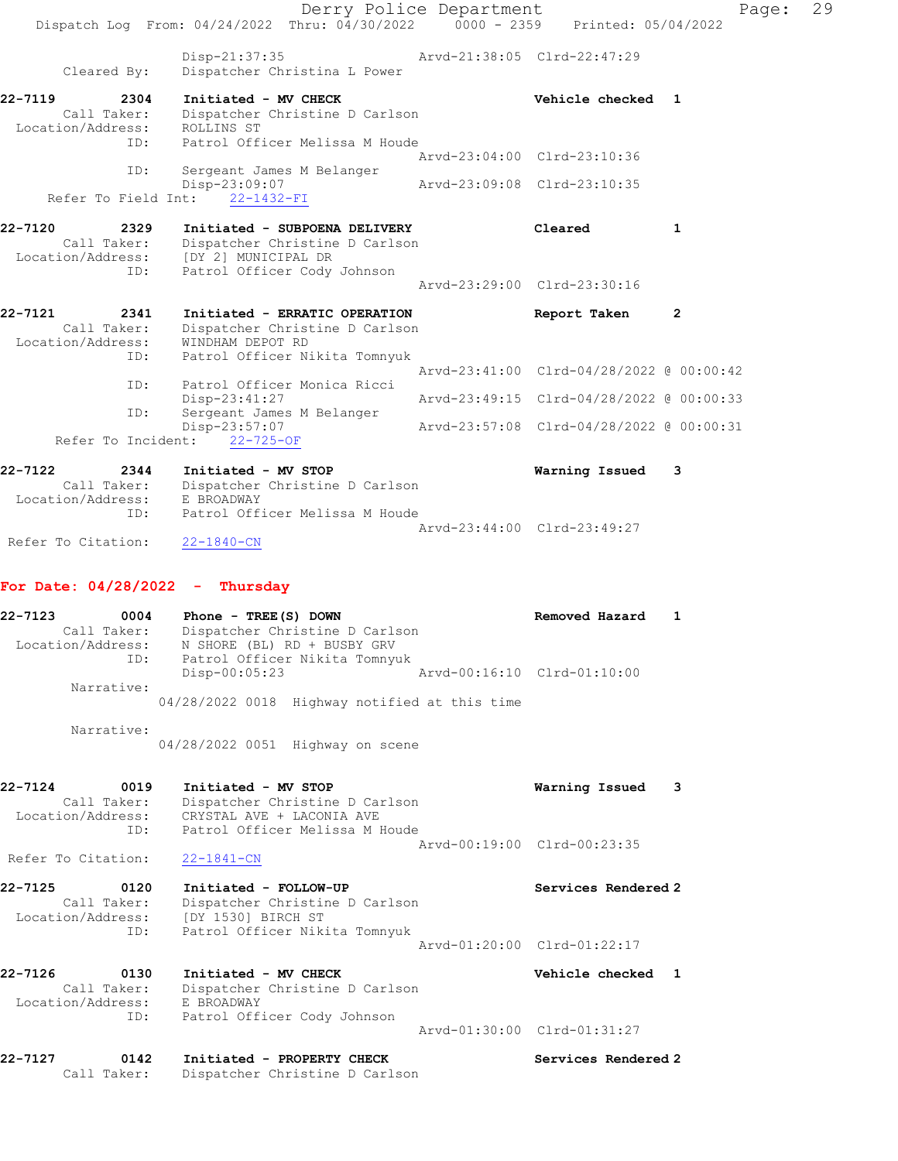|                                                            | Dispatch Log From: 04/24/2022 Thru: 04/30/2022 0000 - 2359 Printed: 05/04/2022                                                   | Derry Police Department |                                          | Page:        | 29 |
|------------------------------------------------------------|----------------------------------------------------------------------------------------------------------------------------------|-------------------------|------------------------------------------|--------------|----|
| Cleared By:                                                | Disp-21:37:35<br>Dispatcher Christina L Power                                                                                    |                         | Arvd-21:38:05 Clrd-22:47:29              |              |    |
| 22-7119<br>2304<br>Call Taker:<br>Location/Address:<br>ID: | Initiated - MV CHECK<br>Dispatcher Christine D Carlson<br>ROLLINS ST<br>Patrol Officer Melissa M Houde                           |                         | Vehicle checked 1                        |              |    |
| ID:                                                        | Sergeant James M Belanger                                                                                                        |                         | Arvd-23:04:00 Clrd-23:10:36              |              |    |
| Refer To Field Int:                                        | Disp-23:09:07<br>22-1432-FI                                                                                                      |                         | Arvd-23:09:08 Clrd-23:10:35              |              |    |
| 22-7120<br>2329<br>Call Taker:<br>Location/Address:<br>ID: | Initiated - SUBPOENA DELIVERY<br>Dispatcher Christine D Carlson<br>[DY 2] MUNICIPAL DR<br>Patrol Officer Cody Johnson            |                         | Cleared                                  | 1            |    |
|                                                            |                                                                                                                                  |                         | Arvd-23:29:00 Clrd-23:30:16              |              |    |
| 22-7121<br>2341<br>Call Taker:<br>Location/Address:        | Initiated - ERRATIC OPERATION<br>Dispatcher Christine D Carlson<br>WINDHAM DEPOT RD                                              |                         | Report Taken                             | $\mathbf{2}$ |    |
| ID:                                                        | Patrol Officer Nikita Tomnyuk                                                                                                    |                         | Arvd-23:41:00 Clrd-04/28/2022 @ 00:00:42 |              |    |
| ID:                                                        | Patrol Officer Monica Ricci<br>Disp-23:41:27                                                                                     |                         | Arvd-23:49:15 Clrd-04/28/2022 @ 00:00:33 |              |    |
| ID:                                                        | Sergeant James M Belanger<br>$Disp-23:57:07$                                                                                     |                         | Arvd-23:57:08 Clrd-04/28/2022 @ 00:00:31 |              |    |
| Refer To Incident:                                         | $22 - 725 - OF$                                                                                                                  |                         |                                          |              |    |
| 22-7122<br>2344<br>Call Taker:<br>Location/Address:        | Initiated - MV STOP<br>Dispatcher Christine D Carlson<br>E BROADWAY                                                              |                         | Warning Issued                           | 3            |    |
| ID:<br>Refer To Citation:                                  | Patrol Officer Melissa M Houde<br>$22 - 1840 - CN$                                                                               |                         | Arvd-23:44:00 Clrd-23:49:27              |              |    |
| For Date: $04/28/2022 -$ Thursday                          |                                                                                                                                  |                         |                                          |              |    |
| 22-7123<br>0004<br>Call Taker:<br>Location/Address:        | Phone - $TREE(S)$ DOWN<br>Dispatcher Christine D Carlson<br>N SHORE (BL) RD + BUSBY GRV                                          |                         | Removed Hazard                           | 1            |    |
| Narrative:                                                 | ID: Patrol Officer Nikita Tomnyuk<br>Disp-00:05:23                                                                               |                         | Arvd-00:16:10 Clrd-01:10:00              |              |    |
|                                                            | 04/28/2022 0018 Highway notified at this time                                                                                    |                         |                                          |              |    |
| Narrative:                                                 | 04/28/2022 0051 Highway on scene                                                                                                 |                         |                                          |              |    |
| 22-7124<br>0019<br>Location/Address:<br>ID:                | Initiated - MV STOP<br>Call Taker: Dispatcher Christine D Carlson<br>CRYSTAL AVE + LACONIA AVE<br>Patrol Officer Melissa M Houde |                         | Warning Issued                           | 3            |    |
| Refer To Citation:                                         | $22 - 1841 - CN$                                                                                                                 |                         | Arvd-00:19:00 Clrd-00:23:35              |              |    |
| 22-7125<br>0120<br>Call Taker:                             | Initiated - FOLLOW-UP<br>Dispatcher Christine D Carlson                                                                          |                         | Services Rendered 2                      |              |    |
| Location/Address:<br>ID:                                   | [DY 1530] BIRCH ST<br>Patrol Officer Nikita Tomnyuk                                                                              |                         | Arvd-01:20:00 Clrd-01:22:17              |              |    |
| 22-7126<br>0130<br>Call Taker:<br>Location/Address:        | Initiated - MV CHECK<br>Dispatcher Christine D Carlson<br>E BROADWAY                                                             |                         | Vehicle checked 1                        |              |    |
| ID:                                                        | Patrol Officer Cody Johnson                                                                                                      |                         | Arvd-01:30:00 Clrd-01:31:27              |              |    |
| 22-7127<br>0142<br>Call Taker:                             | Initiated - PROPERTY CHECK<br>Dispatcher Christine D Carlson                                                                     |                         | Services Rendered 2                      |              |    |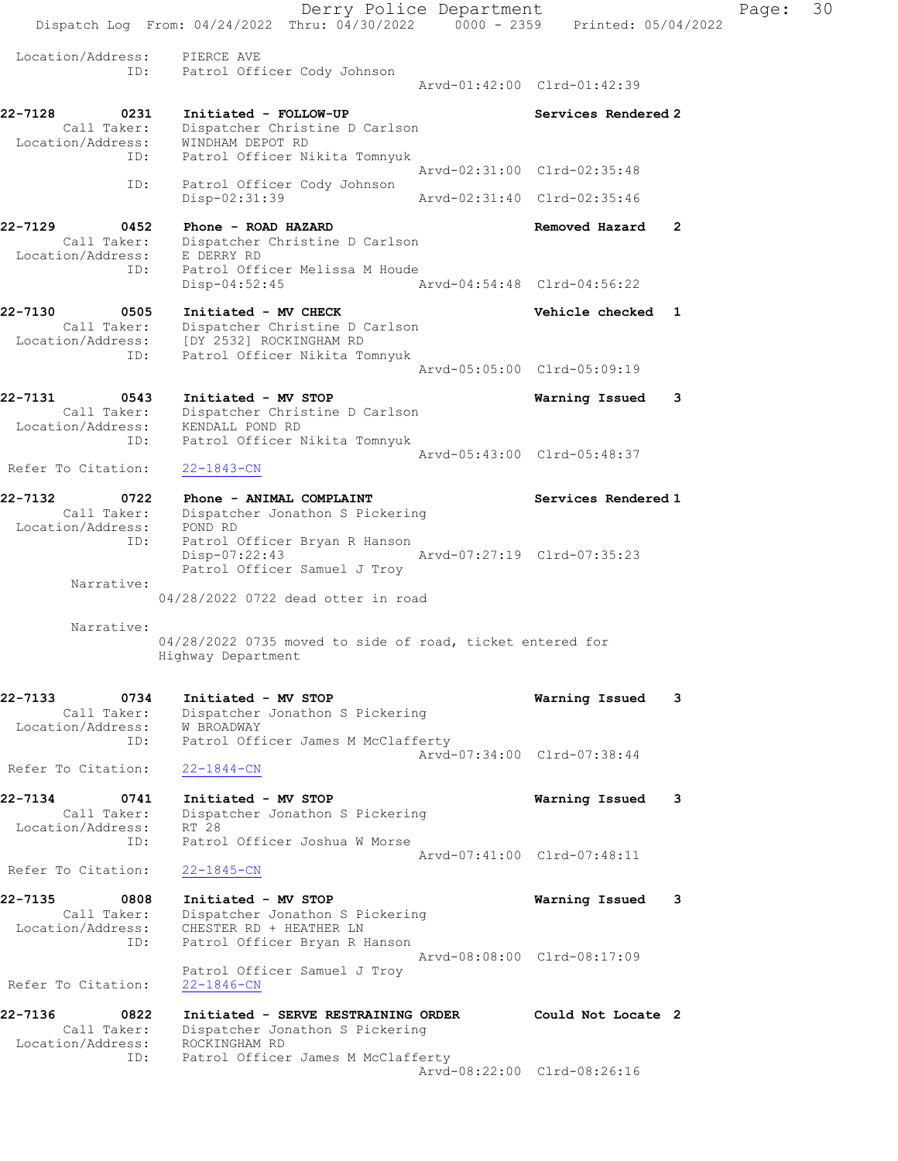Derry Police Department Fage: 30 Dispatch Log From:  $04/24/2022$  Thru:  $04/30/2022$  0000 - 2359 Printed: 05/04/2022 Location/Address: PIERCE AVE ID: Patrol Officer Cody Johnson Arvd-01:42:00 Clrd-01:42:39 22-7128 0231 Initiated - FOLLOW-UP Services Rendered 2 Call Taker: Dispatcher Christine D Carlson Location/Address: WINDHAM DEPOT RD ID: Patrol Officer Nikita Tomnyuk Arvd-02:31:00 Clrd-02:35:48 ID: Patrol Officer Cody Johnson Disp-02:31:39 Arvd-02:31:40 Clrd-02:35:46 22-7129 0452 Phone - ROAD HAZARD Removed Hazard 2 Call Taker: Dispatcher Christine D Carlson Location/Address: E DERRY RD ID: Patrol Officer Melissa M Houde Disp-04:52:45 Arvd-04:54:48 Clrd-04:56:22 22-7130 0505 Initiated - MV CHECK Vehicle checked 1 Call Taker: Dispatcher Christine D Carlson Location/Address: [DY 2532] ROCKINGHAM RD ID: Patrol Officer Nikita Tomnyuk Arvd-05:05:00 Clrd-05:09:19 22-7131 0543 Initiated - MV STOP Warning Issued 3 Call Taker: Dispatcher Christine D Carlson Location/Address: KENDALL POND RD ID: Patrol Officer Nikita Tomnyuk Arvd-05:43:00 Clrd-05:48:37 Refer To Citation: 22-1843-CN 22-7132 0722 Phone - ANIMAL COMPLAINT Services Rendered 1 Call Taker: Dispatcher Jonathon S Pickering Location/Address: POND RD ID: Patrol Officer Bryan R Hanson Disp-07:22:43 Arvd-07:27:19 Clrd-07:35:23 Patrol Officer Samuel J Troy Narrative: 04/28/2022 0722 dead otter in road Narrative: 04/28/2022 0735 moved to side of road, ticket entered for Highway Department 22-7133 0734 Initiated - MV STOP Warning Issued 3 Call Taker: Dispatcher Jonathon S Pickering Location/Address: W BROADWAY ID: Patrol Officer James M McClafferty Arvd-07:34:00 Clrd-07:38:44 Refer To Citation: 22-1844-CN 22-7134 0741 Initiated - MV STOP Warning Issued 3 Call Taker: Dispatcher Jonathon S Pickering Location/Address: RT 28 ID: Patrol Officer Joshua W Morse Arvd-07:41:00 Clrd-07:48:11 Refer To Citation: 22-1845-CN 22-7135 0808 Initiated - MV STOP Warning Issued 3 Call Taker: Dispatcher Jonathon S Pickering Location/Address: CHESTER RD + HEATHER LN ID: Patrol Officer Bryan R Hanson Arvd-08:08:00 Clrd-08:17:09 Patrol Officer Samuel J Troy Refer To Citation: 22-1846-CN 22-7136 0822 Initiated - SERVE RESTRAINING ORDER Could Not Locate 2 Call Taker: Dispatcher Jonathon S Pickering Location/Address: ROCKINGHAM RD ID: Patrol Officer James M McClafferty Arvd-08:22:00 Clrd-08:26:16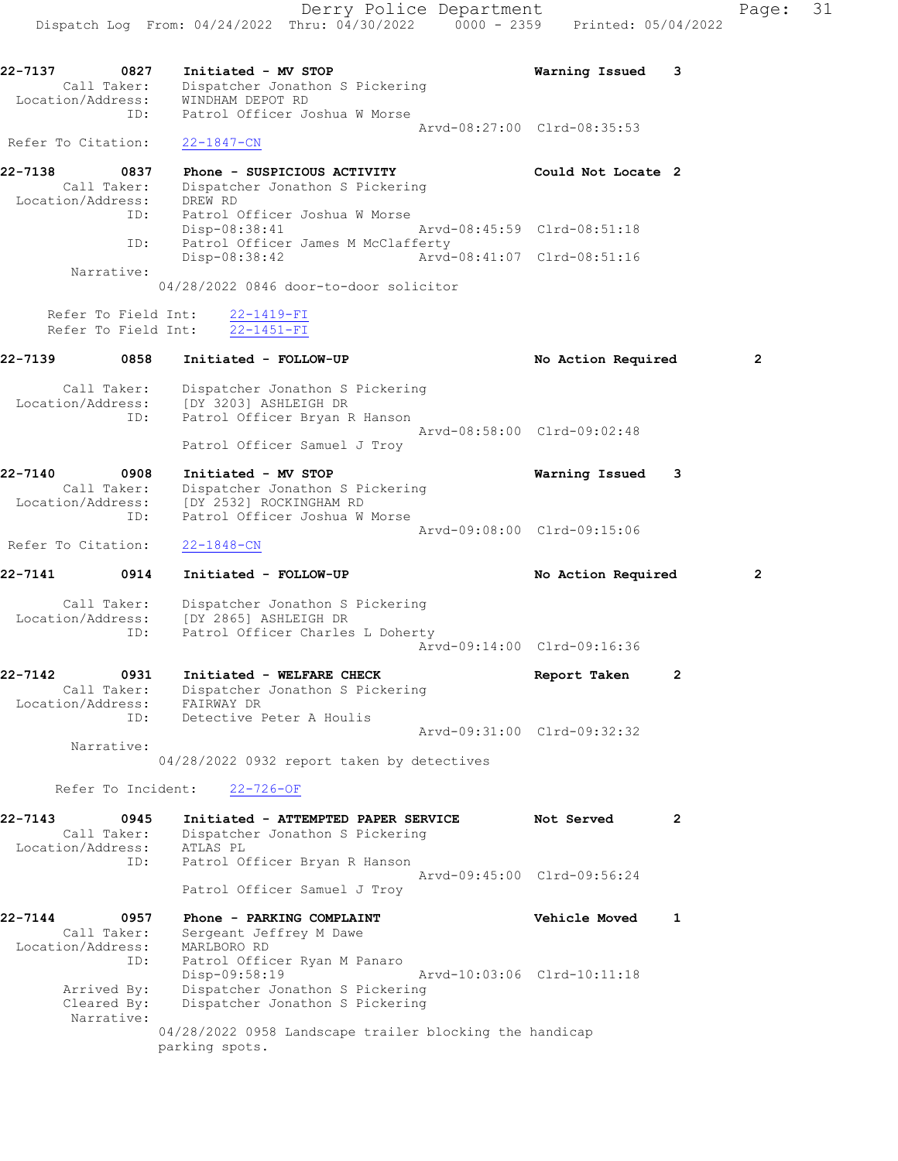Derry Police Department Page: 31 Dispatch Log From: 04/24/2022 Thru: 04/30/2022 0000 - 2359 Printed: 05/04/2022 22-7137 0827 Initiated - MV STOP Warning Issued 3 Call Taker: Dispatcher Jonathon S Pickering Location/Address: WINDHAM DEPOT RD ID: Patrol Officer Joshua W Morse Arvd-08:27:00 Clrd-08:35:53 Refer To Citation: 22-1847-CN 22-7138 0837 Phone - SUSPICIOUS ACTIVITY Could Not Locate 2 Call Taker: Dispatcher Jonathon S Pickering Location/Address: DREW RD ID: Patrol Officer Joshua W Morse Disp-08:38:41 Arvd-08:45:59 Clrd-08:51:18 ID: Patrol Officer James M McClafferty Disp-08:38:42 Arvd-08:41:07 Clrd-08:51:16 Narrative: 04/28/2022 0846 door-to-door solicitor Refer To Field Int: 22-1419-FI Refer To Field Int: 22-1451-FI 22-7139 0858 Initiated - FOLLOW-UP No Action Required 2 Call Taker: Dispatcher Jonathon S Pickering Location/Address: [DY 3203] ASHLEIGH DR ID: Patrol Officer Bryan R Hanson Arvd-08:58:00 Clrd-09:02:48 Patrol Officer Samuel J Troy

22-7140 0908 Initiated - MV STOP Warning Issued 3 Call Taker: Dispatcher Jonathon S Pickering Location/Address: [DY 2532] ROCKINGHAM RD ID: Patrol Officer Joshua W Morse Arvd-09:08:00 Clrd-09:15:06

Refer To Citation: 22-1848-CN

22-7141 0914 Initiated - FOLLOW-UP No Action Required 2

 Call Taker: Dispatcher Jonathon S Pickering Location/Address: [DY 2865] ASHLEIGH DR ID: Patrol Officer Charles L Doherty Arvd-09:14:00 Clrd-09:16:36

22-7142 0931 Initiated - WELFARE CHECK Report Taken 2 Call Taker: Dispatcher Jonathon S Pickering Location/Address: FAIRWAY DR ID: Detective Peter A Houlis Arvd-09:31:00 Clrd-09:32:32 Narrative:

04/28/2022 0932 report taken by detectives

Refer To Incident: 22-726-OF

22-7143 0945 Initiated - ATTEMPTED PAPER SERVICE Not Served 2 Call Taker: Dispatcher Jonathon S Pickering Location/Address: ATLAS PL ID: Patrol Officer Bryan R Hanson Arvd-09:45:00 Clrd-09:56:24 Patrol Officer Samuel J Troy 22-7144 0957 Phone - PARKING COMPLAINT Vehicle Moved 1

 Call Taker: Sergeant Jeffrey M Dawe Location/Address: MARLBORO RD ID: Patrol Officer Ryan M Panaro Disp-09:58:19 Arvd-10:03:06 Clrd-10:11:18 Arrived By: Dispatcher Jonathon S Pickering Cleared By: Dispatcher Jonathon S Pickering Narrative: 04/28/2022 0958 Landscape trailer blocking the handicap parking spots.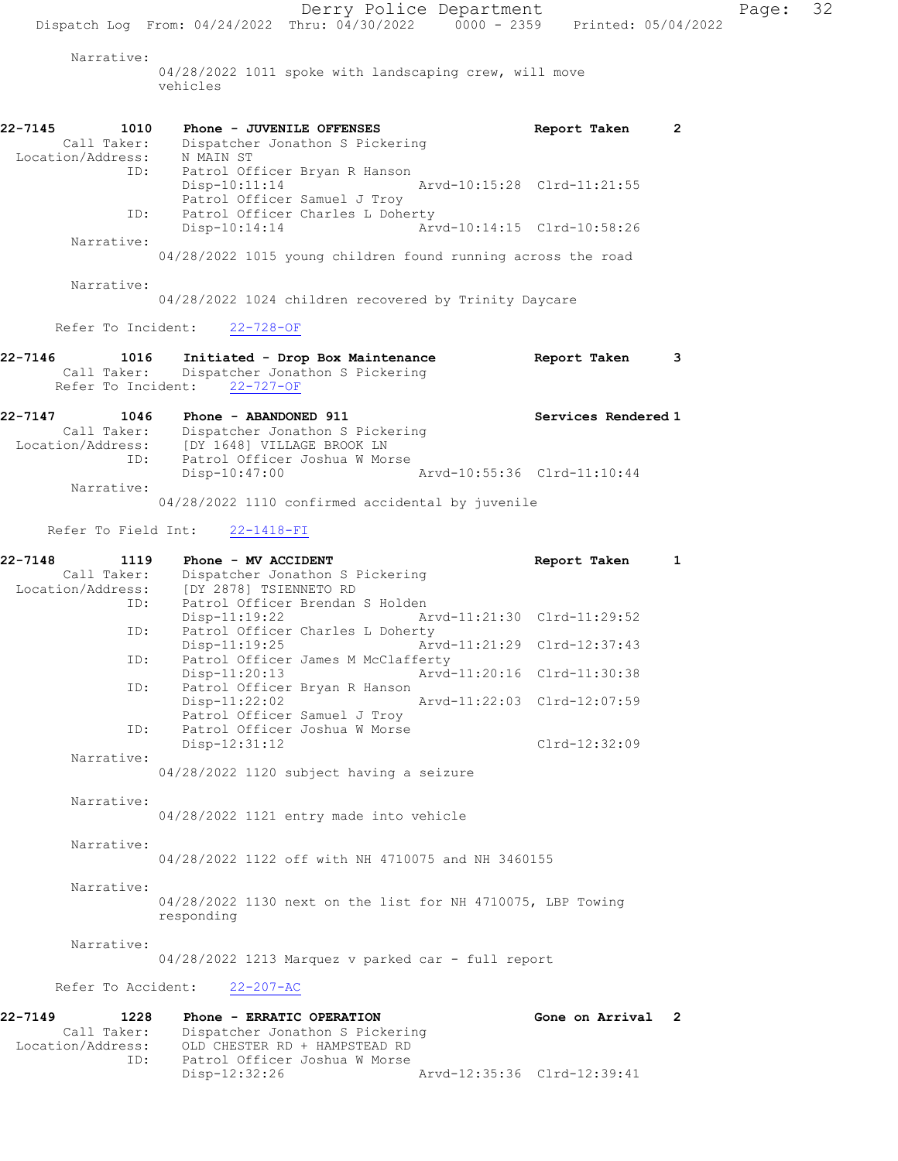Derry Police Department Fage: 32 Dispatch Log From: 04/24/2022 Thru: 04/30/2022 0000 - 2359 Printed: 05/04/2022 Narrative: 04/28/2022 1011 spoke with landscaping crew, will move vehicles 22-7145 1010 Phone - JUVENILE OFFENSES Report Taken 2 Call Taker: Dispatcher Jonathon S Pickering Location/Address: N MAIN ST ID: Patrol Officer Bryan R Hanson Arvd-10:15:28 Clrd-11:21:55 Patrol Officer Samuel J Troy ID: Patrol Officer Charles L Doherty<br>Disp-10:14:14 Ar Arvd-10:14:15 Clrd-10:58:26 Narrative: 04/28/2022 1015 young children found running across the road Narrative: 04/28/2022 1024 children recovered by Trinity Daycare Refer To Incident: 22-728-OF 22-7146 1016 Initiated - Drop Box Maintenance Report Taken 3 Call Taker: Dispatcher Jonathon S Pickering Refer To Incident: 22-727-OF 22-7147 1046 Phone - ABANDONED 911 120 Services Rendered 1 Call Taker: Dispatcher Jonathon S Pickering Location/Address: [DY 1648] VILLAGE BROOK LN ID: Patrol Officer Joshua W Morse Disp-10:47:00 Arvd-10:55:36 Clrd-11:10:44 Narrative: 04/28/2022 1110 confirmed accidental by juvenile Refer To Field Int: 22-1418-FI 22-7148 1119 Phone - MV ACCIDENT Report Taken 1 Call Taker: Dispatcher Jonathon S Pickering Location/Address: [DY 2878] TSIENNETO RD ID: Patrol Officer Brendan S Holden Disp-11:19:22 Arvd-11:21:30 Clrd-11:29:52 ID: Patrol Officer Charles L Doherty Disp-11:19:25 Arvd-11:21:29 Clrd-12:37:43<br>ID: Patrol Officer James M McClafferty Patrol Officer James M McClafferty<br>Disp-11:20:13 Arvd Disp-11:20:13 Arvd-11:20:16 Clrd-11:30:38 ID: Patrol Officer Bryan R Hanson Arvd-11:22:03 Clrd-12:07:59 Patrol Officer Samuel J Troy ID: Patrol Officer Joshua W Morse Disp-12:31:12 Clrd-12:32:09 Narrative: 04/28/2022 1120 subject having a seizure Narrative: 04/28/2022 1121 entry made into vehicle Narrative: 04/28/2022 1122 off with NH 4710075 and NH 3460155 Narrative: 04/28/2022 1130 next on the list for NH 4710075, LBP Towing responding Narrative: 04/28/2022 1213 Marquez v parked car - full report Refer To Accident: 22-207-AC 22-7149 1228 Phone - ERRATIC OPERATION Gone on Arrival 2 Call Taker: Dispatcher Jonathon S Pickering Location/Address: OLD CHESTER RD + HAMPSTEAD RD ID: Patrol Officer Joshua W Morse Disp-12:32:26 Arvd-12:35:36 Clrd-12:39:41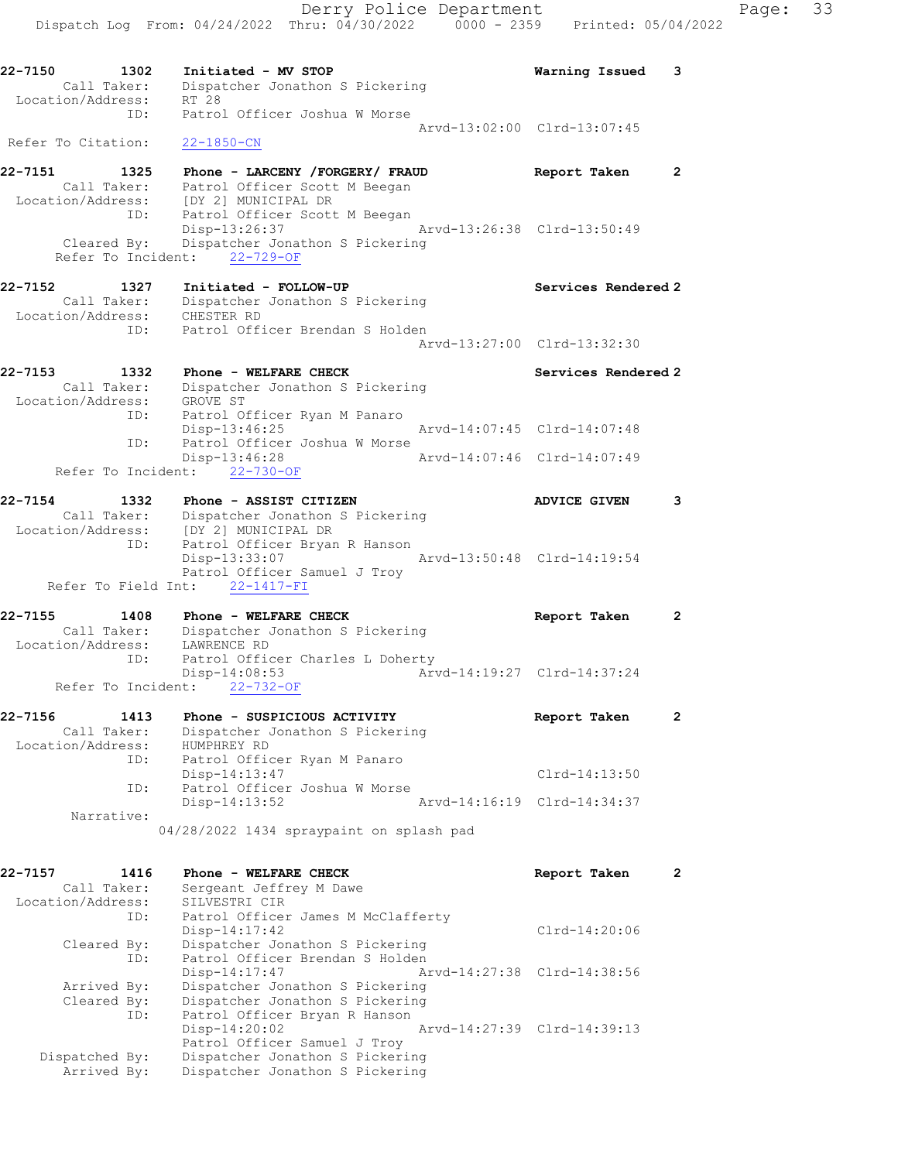Dispatch Log From: 04/24/2022 Thru: 04/30/2022 0000 - 2359 Printed: 05/04/2022 22-7150 1302 Initiated - MV STOP Warning Issued 3 Call Taker: Dispatcher Jonathon S Pickering Location/Address: RT 28 ID: Patrol Officer Joshua W Morse Arvd-13:02:00 Clrd-13:07:45 Refer To Citation: 22-1850-CN 22-7151 1325 Phone - LARCENY /FORGERY/ FRAUD Report Taken 2 Call Taker: Patrol Officer Scott M Beegan Location/Address: [DY 2] MUNICIPAL DR ID: Patrol Officer Scott M Beegan Disp-13:26:37 Arvd-13:26:38 Clrd-13:50:49 Cleared By: Dispatcher Jonathon S Pickering Refer To Incident: 22-729-OF 22-7152 1327 Initiated - FOLLOW-UP Services Rendered 2 Call Taker: Dispatcher Jonathon S Pickering Location/Address: CHESTER RD ID: Patrol Officer Brendan S Holden Arvd-13:27:00 Clrd-13:32:30 22-7153 1332 Phone - WELFARE CHECK Services Rendered 2 Call Taker: Dispatcher Jonathon S Pickering Location/Address: GROVE ST ID: Patrol Officer Ryan M Panaro Disp-13:46:25 Arvd-14:07:45 Clrd-14:07:48 ID: Patrol Officer Joshua W Morse Disp-13:46:28 Arvd-14:07:46 Clrd-14:07:49 Refer To Incident: 22-730-OF 22-7154 1332 Phone - ASSIST CITIZEN 1988 ADVICE GIVEN 3 Call Taker: Dispatcher Jonathon S Pickering Location/Address: [DY 2] MUNICIPAL DR ID: Patrol Officer Bryan R Hanson Disp-13:33:07 Arvd-13:50:48 Clrd-14:19:54 Patrol Officer Samuel J Troy Refer To Field Int: 22-1417-FI 22-7155 1408 Phone - WELFARE CHECK Report Taken 2 Call Taker: Dispatcher Jonathon S Pickering Location/Address: LAWRENCE RD ID: Patrol Officer Charles L Doherty<br>Disp-14:08:53 Arw Disp-14:08:53 Arvd-14:19:27 Clrd-14:37:24 Refer To Incident:  $22-732-OF$ 22-7156 1413 Phone - SUSPICIOUS ACTIVITY Report Taken 2 Call Taker: Dispatcher Jonathon S Pickering Location/Address: HUMPHREY RD ID: Patrol Officer Ryan M Panaro<br>Disp-14:13:47 Disp-14:13:47 Clrd-14:13:50 ID: Patrol Officer Joshua W Morse Disp-14:13:52 Arvd-14:16:19 Clrd-14:34:37 Narrative: 04/28/2022 1434 spraypaint on splash pad 22-7157 1416 Phone - WELFARE CHECK Report Taken 2 Call Taker: Sergeant Jeffrey M Dawe Location/Address: SILVESTRI CIR ID: Patrol Officer James M McClafferty Disp-14:17:42 Clrd-14:20:06 Cleared By: Dispatcher Jonathon S Pickering ID: Patrol Officer Brendan S Holden Disp-14:17:47 Arvd-14:27:38 Clrd-14:38:56 Arrived By: Dispatcher Jonathon S Pickering Cleared By: Dispatcher Jonathon S Pickering ID: Patrol Officer Bryan R Hanson Disp-14:20:02 Arvd-14:27:39 Clrd-14:39:13 Patrol Officer Samuel J Troy Dispatched By: Dispatcher Jonathon S Pickering

Arrived By: Dispatcher Jonathon S Pickering

Derry Police Department Fage: 33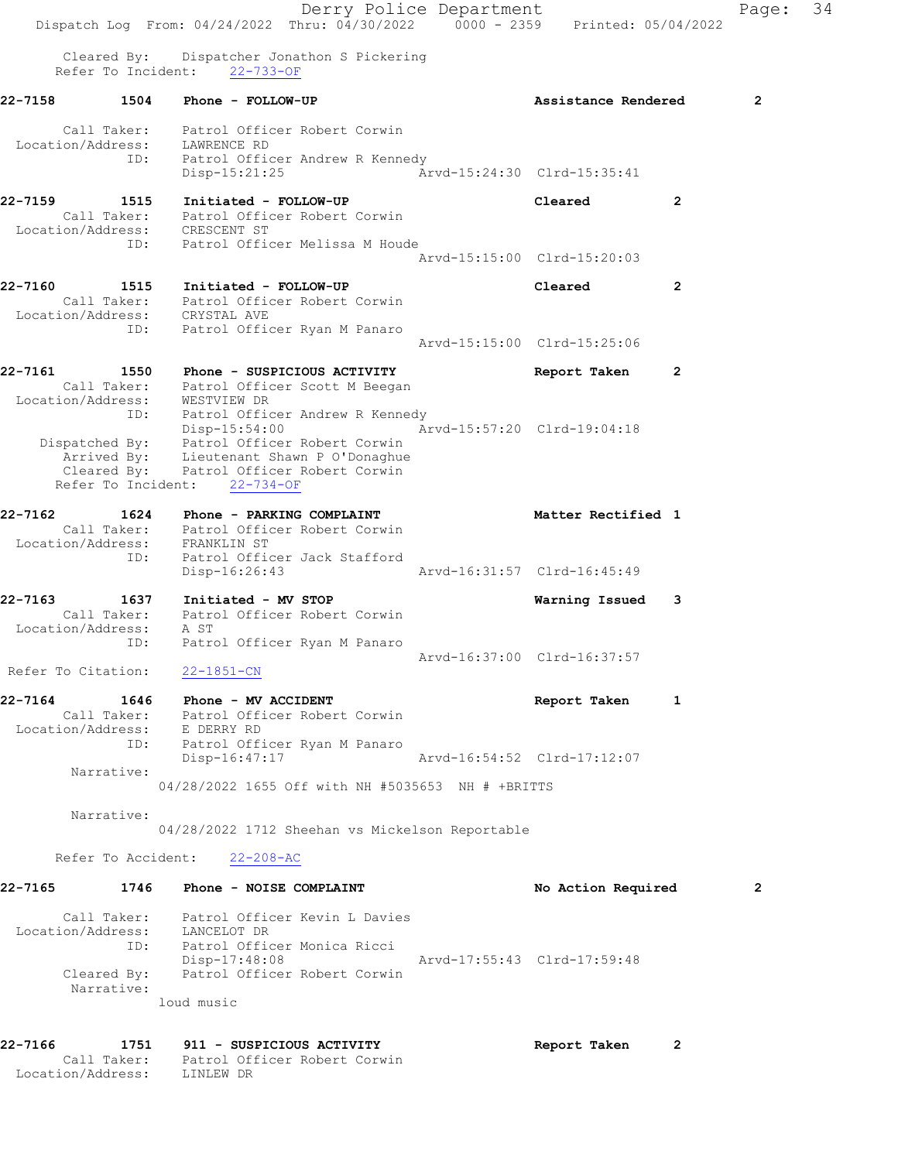Derry Police Department Fage: 34 Dispatch Log From: 04/24/2022 Thru: 04/30/2022 0000 - 2359 Printed: 05/04/2022 Cleared By: Dispatcher Jonathon S Pickering Refer To Incident: 22-733-OF 22-7158 1504 Phone - FOLLOW-UP **1200 Phone 2**  Call Taker: Patrol Officer Robert Corwin Location/Address: LAWRENCE RD ID: Patrol Officer Andrew R Kennedy Disp-15:21:25 Arvd-15:24:30 Clrd-15:35:41 22-7159 1515 Initiated - FOLLOW-UP Cleared 2 Call Taker: Patrol Officer Robert Corwin Location/Address: CRESCENT ST ID: Patrol Officer Melissa M Houde Arvd-15:15:00 Clrd-15:20:03 22-7160 1515 Initiated - FOLLOW-UP Cleared 2 Call Taker: Patrol Officer Robert Corwin Location/Address: CRYSTAL AVE ID: Patrol Officer Ryan M Panaro Arvd-15:15:00 Clrd-15:25:06 22-7161 1550 Phone - SUSPICIOUS ACTIVITY Report Taken 2 Call Taker: Patrol Officer Scott M Beegan Location/Address: WESTVIEW DR ID: Patrol Officer Andrew R Kennedy Disp-15:54:00 Arvd-15:57:20 Clrd-19:04:18 Dispatched By: Patrol Officer Robert Corwin Arrived By: Lieutenant Shawn P O'Donaghue Cleared By: Patrol Officer Robert Corwin Refer To Incident: 22-734-OF 22-7162 1624 Phone - PARKING COMPLAINT 1988 Matter Rectified 1 Call Taker: Patrol Officer Robert Corwin Location/Address: FRANKLIN ST ID: Patrol Officer Jack Stafford Disp-16:26:43 Arvd-16:31:57 Clrd-16:45:49 22-7163 1637 Initiated - MV STOP Warning Issued 3 Call Taker: Patrol Officer Robert Corwin Location/Address: A ST ID: Patrol Officer Ryan M Panaro Arvd-16:37:00 Clrd-16:37:57 Refer To Citation: 22-1851-CN ended to the MV ACCIDENT of the Second Section 1 and 22-7164 the 10 and 10 and 10 and 10 and 10 and 10 and 10 and 10 and 10 and 10 and 10 and 10 and 10 and 10 and 10 and 10 and 10 and 10 and 10 and 10 and 10 and 10 and 10 Call Taker: Patrol Officer Robert Corwin Location/Address: E DERRY RD ID: Patrol Officer Ryan M Panaro Disp-16:47:17 Arvd-16:54:52 Clrd-17:12:07 Narrative: 04/28/2022 1655 Off with NH #5035653 NH # +BRITTS Narrative: 04/28/2022 1712 Sheehan vs Mickelson Reportable Refer To Accident: 22-208-AC 22-7165 1746 Phone - NOISE COMPLAINT No Rotion Required 2 Call Taker: Patrol Officer Kevin L Davies Location/Address: LANCELOT DR ID: Patrol Officer Monica Ricci Disp-17:48:08 Arvd-17:55:43 Clrd-17:59:48 Cleared By: Patrol Officer Robert Corwin Narrative: loud music 22-7166 1751 911 - SUSPICIOUS ACTIVITY Report Taken 2 Call Taker: Patrol Officer Robert Corwin Location/Address: LINLEW DR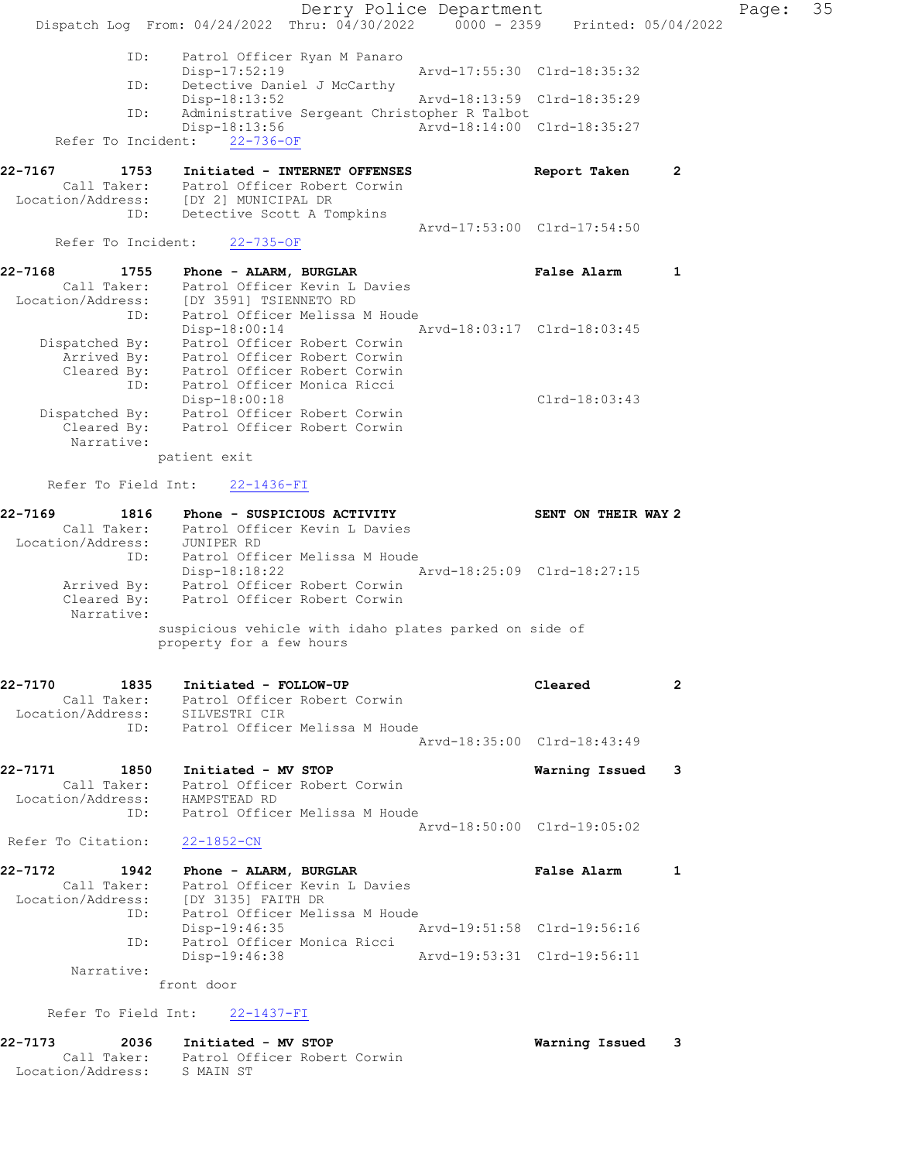Derry Police Department Fage: 35 Dispatch Log From: 04/24/2022 Thru: 04/30/2022 0000 - 2359 Printed: 05/04/2022 ID: Patrol Officer Ryan M Panaro Disp-17:52:19 Arvd-17:55:30 Clrd-18:35:32<br>ID: Detective Daniel J McCarthy Detective Daniel J McCarthy Disp-18:13:52 Arvd-18:13:59 Clrd-18:35:29 ID: Administrative Sergeant Christopher R Talbot Disp-18:13:56 Arvd-18:14:00 Clrd-18:35:27 Refer To Incident: 22-736-OF 22-7167 1753 Initiated - INTERNET OFFENSES Report Taken 2 Call Taker: Patrol Officer Robert Corwin Location/Address: [DY 2] MUNICIPAL DR ID: Detective Scott A Tompkins Arvd-17:53:00 Clrd-17:54:50 Refer To Incident: 22-735-OF 22-7168 1755 Phone - ALARM, BURGLAR FALSE RALSE Alarm 1 Call Taker: Patrol Officer Kevin L Davies Location/Address: [DY 3591] TSIENNETO RD ID: Patrol Officer Melissa M Houde Disp-18:00:14 Arvd-18:03:17 Clrd-18:03:45 Dispatched By: Patrol Officer Robert Corwin Arrived By: Patrol Officer Robert Corwin Cleared By: Patrol Officer Robert Corwin ID: Patrol Officer Monica Ricci Disp-18:00:18 Clrd-18:03:43 Dispatched By: Patrol Officer Robert Corwin Cleared By: Patrol Officer Robert Corwin Narrative: patient exit Refer To Field Int: 22-1436-FI 22-7169 1816 Phone - SUSPICIOUS ACTIVITY SENT ON THEIR WAY 2 Call Taker: Patrol Officer Kevin L Davies Location/Address: JUNIPER RD ID: Patrol Officer Melissa M Houde Disp-18:18:22 Arvd-18:25:09 Clrd-18:27:15 Arrived By: Patrol Officer Robert Corwin Cleared By: Patrol Officer Robert Corwin Narrative: suspicious vehicle with idaho plates parked on side of property for a few hours 22-7170 1835 Initiated - FOLLOW-UP Cleared 2 Call Taker: Patrol Officer Robert Corwin Location/Address: SILVESTRI CIR ID: Patrol Officer Melissa M Houde Arvd-18:35:00 Clrd-18:43:49 22-7171 1850 Initiated - MV STOP Warning Issued 3 Call Taker: Patrol Officer Robert Corwin Location/Address: HAMPSTEAD RD ID: Patrol Officer Melissa M Houde Arvd-18:50:00 Clrd-19:05:02 Refer To Citation: 22-1852-CN 22-7172 1942 Phone - ALARM, BURGLAR 1 1942 False Alarm 1 Call Taker: Patrol Officer Kevin L Davies Location/Address: [DY 3135] FAITH DR ID: Patrol Officer Melissa M Houde Disp-19:46:35 Arvd-19:51:58 Clrd-19:56:16 ID: Patrol Officer Monica Ricci Disp-19:46:38 Arvd-19:53:31 Clrd-19:56:11 Narrative: front door Refer To Field Int: 22-1437-FI

22-7173 2036 Initiated - MV STOP Warning Issued 3 Call Taker: Patrol Officer Robert Corwin Location/Address: S MAIN ST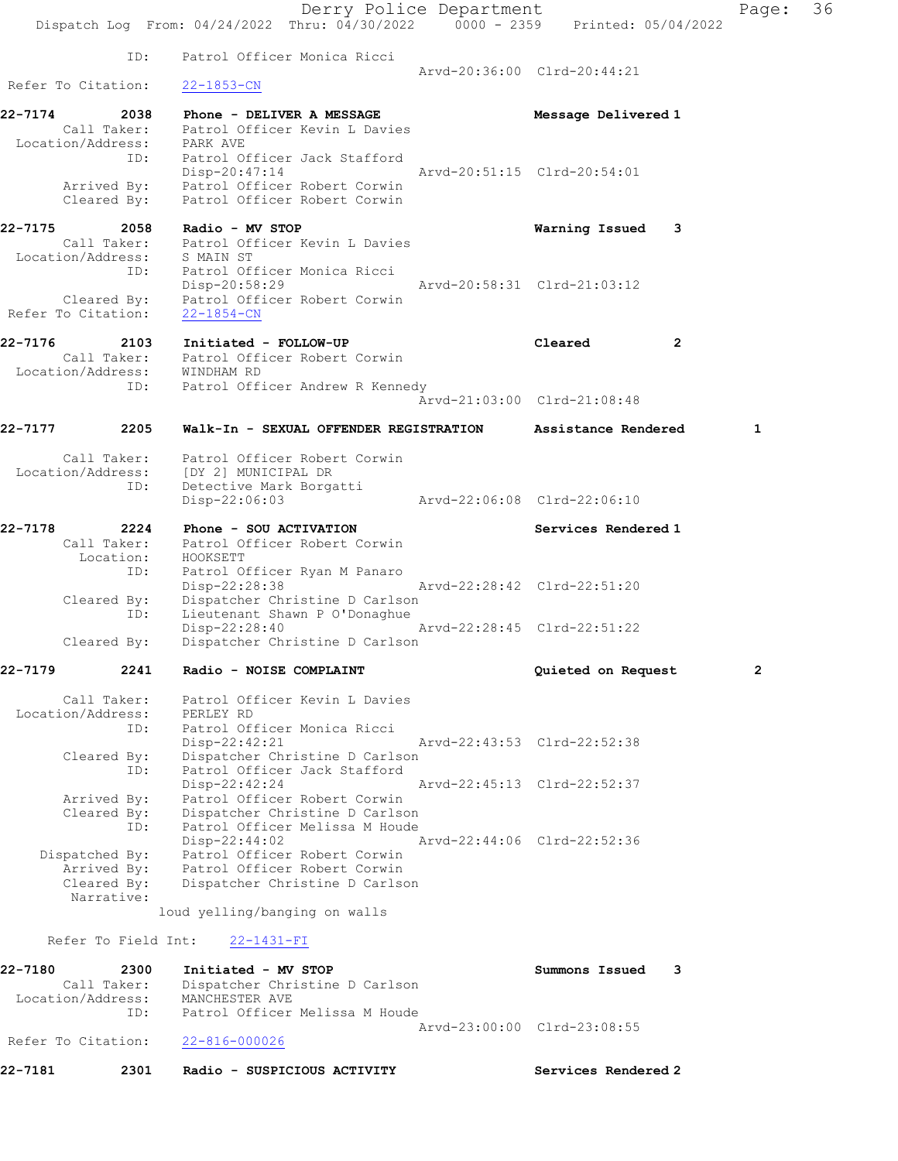Derry Police Department Fage: 36 Dispatch Log From: 04/24/2022 Thru: 04/30/2022 0000 - 2359 Printed: 05/04/2022 ID: Patrol Officer Monica Ricci Arvd-20:36:00 Clrd-20:44:21 Refer To Citation: 22-1853-CN 22-7174 2038 Phone - DELIVER A MESSAGE Message Delivered 1 Call Taker: Patrol Officer Kevin L Davies Location/Address: PARK AVE ID: Patrol Officer Jack Stafford<br>Disp-20:47:14 Arvd-20:51:15 Clrd-20:54:01 Disp-20:47:14 Arvd-20:51:15 Clrd-20:54:01 Arrived By: Patrol Officer Robert Corwin Cleared By: Patrol Officer Robert Corwin 22-7175 2058 Radio - MV STOP Warning Issued 3 Call Taker: Patrol Officer Kevin L Davies Location/Address: S MAIN ST ID: Patrol Officer Monica Ricci Disp-20:58:29 Arvd-20:58:31 Clrd-21:03:12 Cleared By: Patrol Officer Robert Corwin Refer To Citation: 22-1854-CN 22-7176 2103 Initiated - FOLLOW-UP Cleared 2 Call Taker: Patrol Officer Robert Corwin Location/Address: WINDHAM RD ID: Patrol Officer Andrew R Kennedy Arvd-21:03:00 Clrd-21:08:48 22-7177 2205 Walk-In - SEXUAL OFFENDER REGISTRATION Assistance Rendered 1 Call Taker: Patrol Officer Robert Corwin Location/Address: [DY 2] MUNICIPAL DR ID: Detective Mark Borgatti Disp-22:06:03 Arvd-22:06:08 Clrd-22:06:10 22-7178 2224 Phone - SOU ACTIVATION Services Rendered 1 Call Taker: Patrol Officer Robert Corwin Location: HOOKSETT ID: Patrol Officer Ryan M Panaro Disp-22:28:38 Arvd-22:28:42 Clrd-22:51:20 Cleared By: Dispatcher Christine D Carlson ID: Lieutenant Shawn P O'Donaghue Disp-22:28:40 Arvd-22:28:45 Clrd-22:51:22<br>Cleared By: Dispatcher Christine D Carlson Dispatcher Christine D Carlson 22-7179 2241 Radio - NOISE COMPLAINT Quieted on Request 2 Call Taker: Patrol Officer Kevin L Davies Location/Address: PERLEY RD ID: Patrol Officer Monica Ricci Disp-22:42:21 Arvd-22:43:53 Clrd-22:52:38 Cleared By: Dispatcher Christine D Carlson ID: Patrol Officer Jack Stafford Disp-22:42:24 Arvd-22:45:13 Clrd-22:52:37 Arrived By: Patrol Officer Robert Corwin Cleared By: Dispatcher Christine D Carlson ID: Patrol Officer Melissa M Houde Disp-22:44:02 Arvd-22:44:06 Clrd-22:52:36 Dispatched By: Patrol Officer Robert Corwin Arrived By: Patrol Officer Robert Corwin<br>Cleared By: Dispatcher Christine D Carlso Dispatcher Christine D Carlson Narrative: loud yelling/banging on walls Refer To Field Int: 22-1431-FI 22-7180 2300 Initiated - MV STOP Summons Issued 3 Call Taker: Dispatcher Christine D Carlson Location/Address: MANCHESTER AVE ID: Patrol Officer Melissa M Houde Arvd-23:00:00 Clrd-23:08:55 Refer To Citation: 22-816-000026 22-7181 2301 Radio - SUSPICIOUS ACTIVITY Services Rendered 2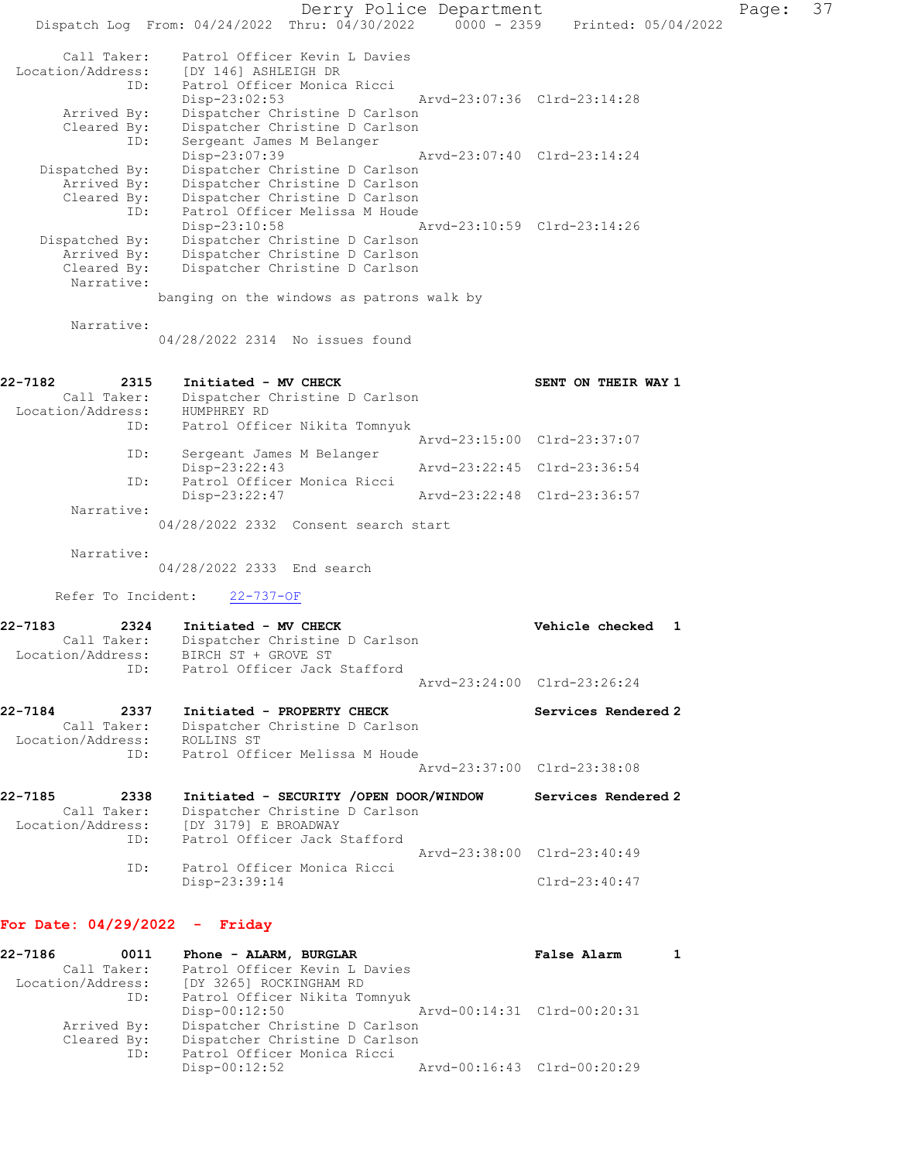Derry Police Department Fage: 37 Dispatch Log From: 04/24/2022 Thru: 04/30/2022 0000 - 2359 Printed: 05/04/2022 Call Taker: Patrol Officer Kevin L Davies Location/Address: [DY 146] ASHLEIGH DR ID: Patrol Officer Monica Ricci Disp-23:02:53 Arvd-23:07:36 Clrd-23:14:28 Arrived By: Dispatcher Christine D Carlson Cleared By: Dispatcher Christine D Carlson ID: Sergeant James M Belanger Disp-23:07:39 Arvd-23:07:40 Clrd-23:14:24 Dispatched By: Dispatcher Christine D Carlson Arrived By: Dispatcher Christine D Carlson Cleared By: Dispatcher Christine D Carlson ID: Patrol Officer Melissa M Houde Disp-23:10:58 Arvd-23:10:59 Clrd-23:14:26 Dispatched By: Dispatcher Christine D Carlson Arrived By: Dispatcher Christine D Carlson Cleared By: Dispatcher Christine D Carlson Narrative: banging on the windows as patrons walk by Narrative: 04/28/2022 2314 No issues found 22-7182 2315 Initiated - MV CHECK 2215 SENT ON THEIR WAY 1 Call Taker: Dispatcher Christine D Carlson Location/Address: HUMPHREY RD<br>ID: Patrol Offic Patrol Officer Nikita Tomnyuk Arvd-23:15:00 Clrd-23:37:07 ID: Sergeant James M Belanger Disp-23:22:43 Arvd-23:22:45 Clrd-23:36:54 ID: Patrol Officer Monica Ricci Disp-23:22:47 Arvd-23:22:48 Clrd-23:36:57 Narrative: 04/28/2022 2332 Consent search start Narrative: 04/28/2022 2333 End search Refer To Incident: 22-737-OF 22-7183 2324 Initiated - MV CHECK Vehicle checked 1 Call Taker: Dispatcher Christine D Carlson Location/Address: BIRCH ST + GROVE ST ID: Patrol Officer Jack Stafford Arvd-23:24:00 Clrd-23:26:24 22-7184 2337 Initiated - PROPERTY CHECK Services Rendered 2 Call Taker: Dispatcher Christine D Carlson Location/Address: ROLLINS ST ID: Patrol Officer Melissa M Houde Arvd-23:37:00 Clrd-23:38:08 22-7185 2338 Initiated - SECURITY /OPEN DOOR/WINDOW Services Rendered 2 Call Taker: Dispatcher Christine D Carlson Location/Address: [DY 3179] E BROADWAY ID: Patrol Officer Jack Stafford Arvd-23:38:00 Clrd-23:40:49<br>ID: Patrol Officer Monica Ricci Patrol Officer Monica Ricci Disp-23:39:14 Clrd-23:40:47 For Date: 04/29/2022 - Friday 22-7186 0011 Phone - ALARM, BURGLAR False Alarm 1 Call Taker: Patrol Officer Kevin L Davies Location/Address: [DY 3265] ROCKINGHAM RD ID: Patrol Officer Nikita Tomnyuk

 Disp-00:12:50 Arvd-00:14:31 Clrd-00:20:31 Arrived By: Dispatcher Christine D Carlson Cleared By: Dispatcher Christine D Carlson<br>ID: Patrol Officer Monica Ricci Patrol Officer Monica Ricci<br>Disp-00:12:52 Arvd-00:16:43 Clrd-00:20:29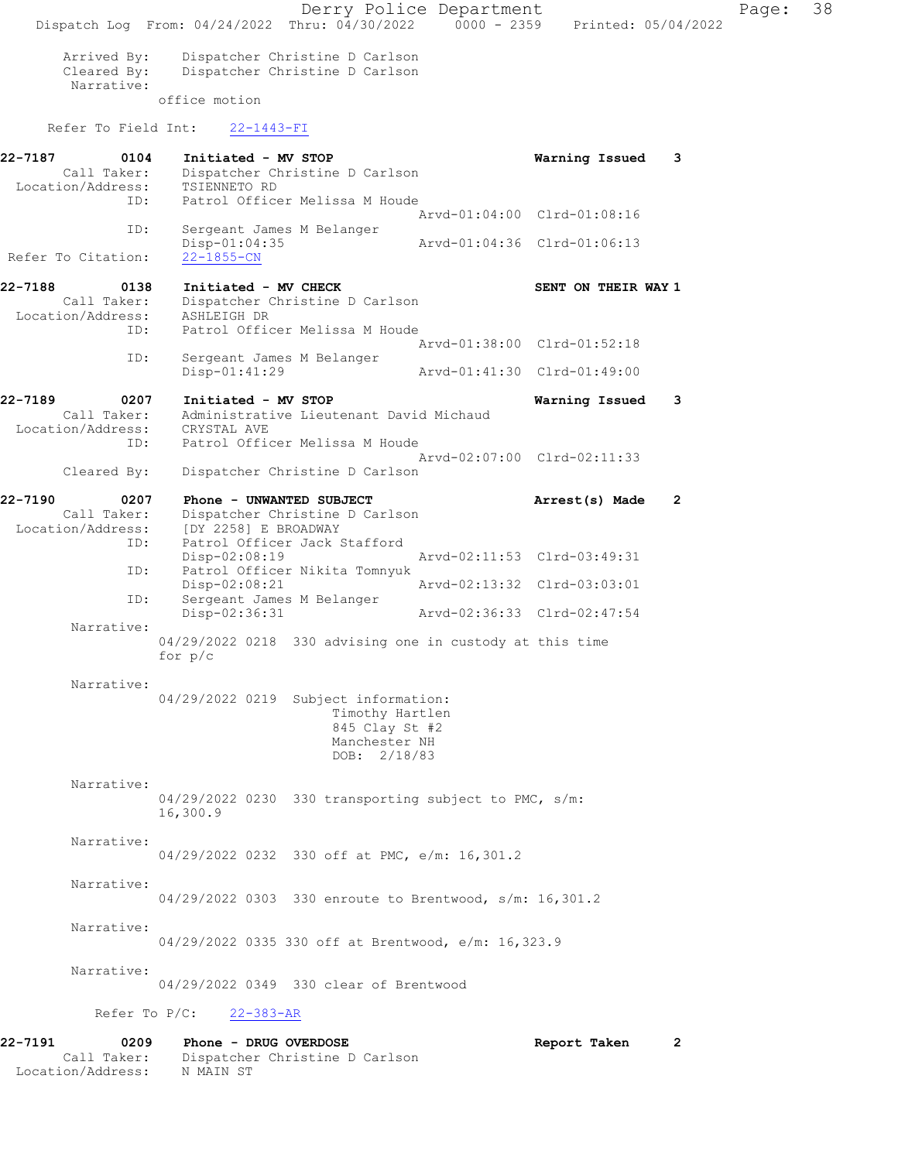Derry Police Department Page: 38 Dispatch Log From: 04/24/2022 Thru: 04/30/2022 0000 - 2359 Printed: 05/04/2022 Arrived By: Dispatcher Christine D Carlson<br>Cleared By: Dispatcher Christine D Carlson Dispatcher Christine D Carlson Narrative: office motion Refer To Field Int: 22-1443-FI 22-7187 0104 Initiated - MV STOP Warning Issued 3 Call Taker: Dispatcher Christine D Carlson Location/Address: TSIENNETO RD<br>ID: Patrol Office Patrol Officer Melissa M Houde Arvd-01:04:00 Clrd-01:08:16 ID: Sergeant James M Belanger Disp-01:04:35 Arvd-01:04:36 Clrd-01:06:13 Refer To Citation: 22-7188 0138 Initiated - MV CHECK SENT ON THEIR WAY 1 Call Taker: Dispatcher Christine D Carlson Location/Address: ASHLEIGH DR ID: Patrol Officer Melissa M Houde Arvd-01:38:00 Clrd-01:52:18<br>ID: Sergeant James M Belanger Sergeant James M Belanger<br>Disp-01:41:29 Disp-01:41:29 Arvd-01:41:30 Clrd-01:49:00 22-7189 0207 Initiated - MV STOP Warning Issued 3 Call Taker: Administrative Lieutenant David Michaud Location/Address: CRYSTAL AVE ID: Patrol Officer Melissa M Houde Arvd-02:07:00 Clrd-02:11:33 Cleared By: Dispatcher Christine D Carlson 22-7190 0207 Phone - UNWANTED SUBJECT **Arrest(s) Made** 2 Call Taker: Dispatcher Christine D Carlson Location/Address: [DY 2258] E BROADWAY<br>: ID: Patrol Officer Jack Patrol Officer Jack Stafford<br>Disp-02:08:19 Disp-02:08:19 Arvd-02:11:53 Clrd-03:49:31<br>TD: Patrol Officer Nikita Tompyuk Patrol Officer Nikita Tomnyuk<br>Disp-02:08:21 Disp-02:08:21 Arvd-02:13:32 Clrd-03:03:01 ID: Sergeant James M Belanger Disp-02:36:31 Arvd-02:36:33 Clrd-02:47:54 Narrative: 04/29/2022 0218 330 advising one in custody at this time for p/c Narrative: 04/29/2022 0219 Subject information: Timothy Hartlen 845 Clay St #2 Manchester NH DOB: 2/18/83 Narrative: 04/29/2022 0230 330 transporting subject to PMC, s/m: 16,300.9 Narrative: 04/29/2022 0232 330 off at PMC, e/m: 16,301.2 Narrative: 04/29/2022 0303 330 enroute to Brentwood, s/m: 16,301.2 Narrative: 04/29/2022 0335 330 off at Brentwood, e/m: 16,323.9 Narrative: 04/29/2022 0349 330 clear of Brentwood Refer To P/C: 22-383-AR 22-7191 0209 Phone - DRUG OVERDOSE 2000 Report Taken 2 Call Taker: Dispatcher Christine D Carlson Location/Address: N MAIN ST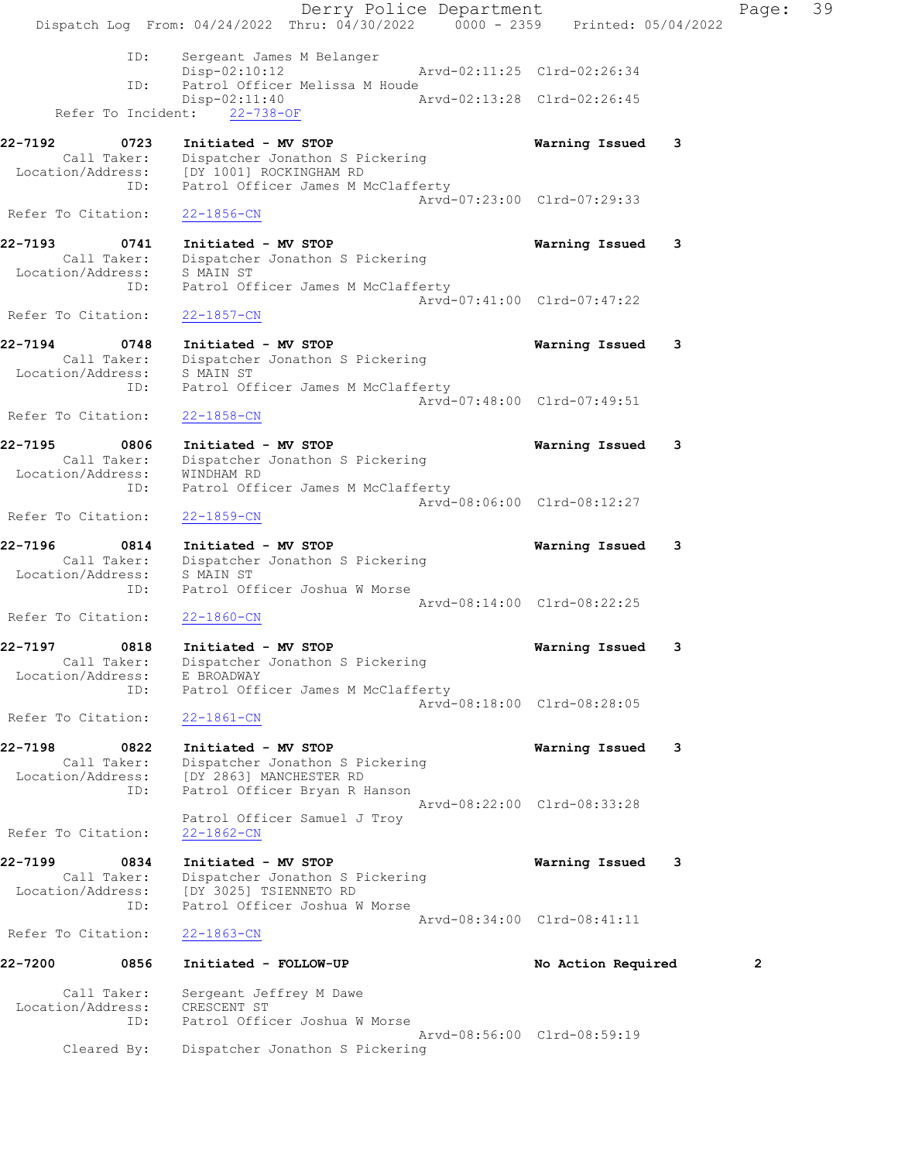Derry Police Department Fage: 39 Dispatch Log From: 04/24/2022 Thru: 04/30/2022 0000 - 2359 Printed: 05/04/2022 ID: Sergeant James M Belanger Disp-02:10:12 Arvd-02:11:25 Clrd-02:26:34 ID: Patrol Officer Melissa M Houde Disp-02:11:40 Arvd-02:13:28 Clrd-02:26:45 Refer To Incident: 22-738-OF 22-7192 0723 Initiated - MV STOP Warning Issued 3 Call Taker: Dispatcher Jonathon S Pickering Location/Address: [DY 1001] ROCKINGHAM RD ID: Patrol Officer James M McClafferty Arvd-07:23:00 Clrd-07:29:33 Refer To Citation: 22-1856-CN 22-7193 0741 Initiated - MV STOP Warning Issued 3 Call Taker: Dispatcher Jonathon S Pickering Location/Address: S MAIN ST ID: Patrol Officer James M McClafferty Arvd-07:41:00 Clrd-07:47:22 Refer To Citation: 22-1857-CN 22-7194 0748 Initiated - MV STOP Warning Issued 3 Call Taker: Dispatcher Jonathon S Pickering Location/Address: S MAIN ST ID: Patrol Officer James M McClafferty Arvd-07:48:00 Clrd-07:49:51 Refer To Citation: 22-1858-CN 22-7195 0806 Initiated - MV STOP Warning Issued 3 Call Taker: Dispatcher Jonathon S Pickering Location/Address: WINDHAM RD ID: Patrol Officer James M McClafferty Arvd-08:06:00 Clrd-08:12:27 Refer To Citation: 22-1859-CN 22-7196 0814 Initiated - MV STOP Warning Issued 3 Call Taker: Dispatcher Jonathon S Pickering Location/Address: S MAIN ST ID: Patrol Officer Joshua W Morse Arvd-08:14:00 Clrd-08:22:25 Refer To Citation: 22-1860-CN 22-7197 0818 Initiated - MV STOP Warning Issued 3 Call Taker: Dispatcher Jonathon S Pickering Location/Address: E BROADWAY ID: Patrol Officer James M McClafferty Arvd-08:18:00 Clrd-08:28:05 Refer To Citation: 22-1861-CN 22-7198 0822 Initiated - MV STOP Warning Issued 3 Call Taker: Dispatcher Jonathon S Pickering Location/Address: [DY 2863] MANCHESTER RD ID: Patrol Officer Bryan R Hanson Arvd-08:22:00 Clrd-08:33:28 Patrol Officer Samuel J Troy Refer To Citation: 22-1862-CN 22-7199 0834 Initiated - MV STOP Warning Issued 3 Call Taker: Dispatcher Jonathon S Pickering Location/Address: [DY 3025] TSIENNETO RD ID: Patrol Officer Joshua W Morse Arvd-08:34:00 Clrd-08:41:11 Refer To Citation: 22-1863-CN 22-7200 0856 Initiated - FOLLOW-UP No Action Required 2 Call Taker: Sergeant Jeffrey M Dawe Location/Address: CRESCENT ST ID: Patrol Officer Joshua W Morse Arvd-08:56:00 Clrd-08:59:19 Cleared By: Dispatcher Jonathon S Pickering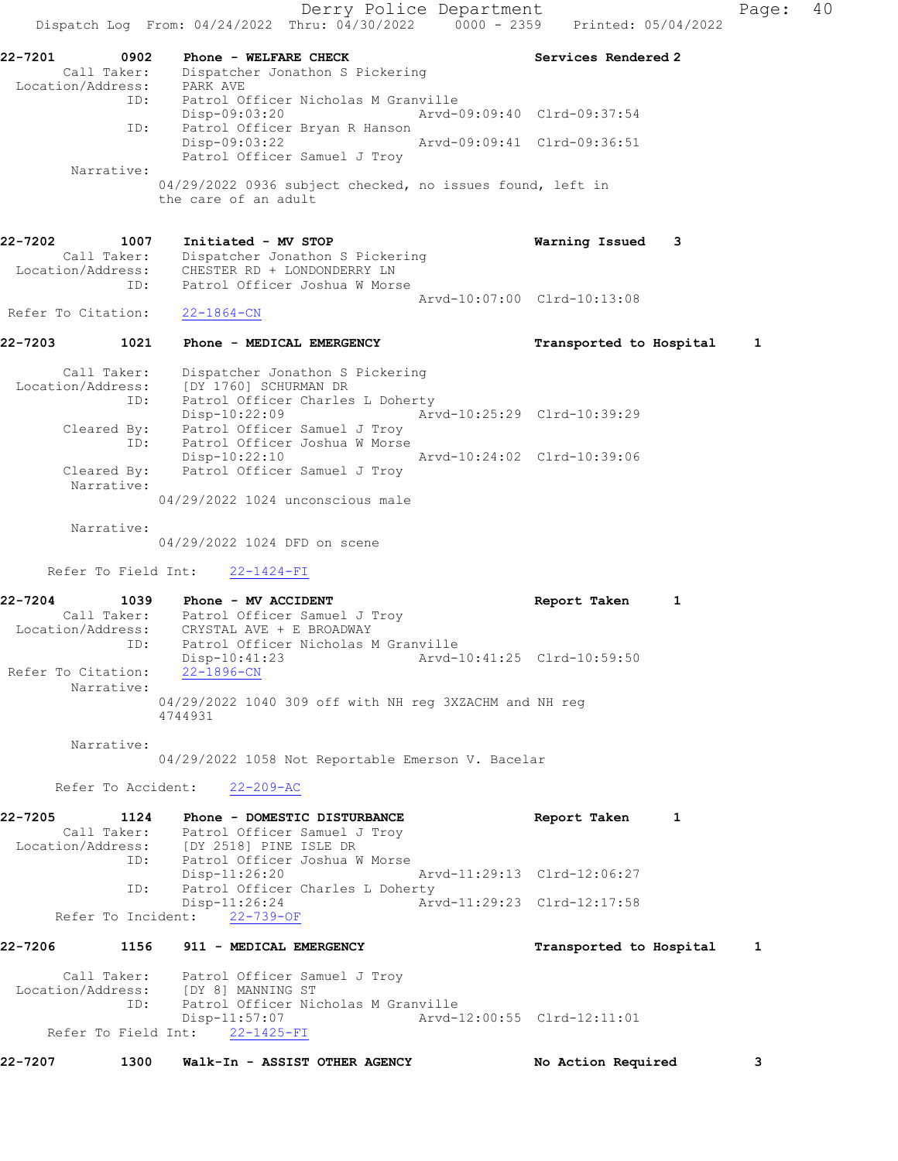Derry Police Department Controller Page: 40 Dispatch Log From:  $04/24/2022$  Thru:  $04/30/2022$  0000 - 2359 Printed: 05/04/2022 22-7201 0902 Phone - WELFARE CHECK Services Rendered 2 Call Taker: Dispatcher Jonathon S Pickering Location/Address: PARK AVE ID: Patrol Officer Nicholas M Granville Disp-09:03:20 Arvd-09:09:40 Clrd-09:37:54 ID: Patrol Officer Bryan R Hanson Disp-09:03:22 Arvd-09:09:41 Clrd-09:36:51 Patrol Officer Samuel J Troy Narrative: 04/29/2022 0936 subject checked, no issues found, left in the care of an adult 22-7202 1007 Initiated - MV STOP Warning Issued 3 Call Taker: Dispatcher Jonathon S Pickering Location/Address: CHESTER RD + LONDONDERRY LN ID: Patrol Officer Joshua W Morse Arvd-10:07:00 Clrd-10:13:08 Refer To Citation: 22-1864-CN 22-7203 1021 Phone - MEDICAL EMERGENCY Transported to Hospital 1 Call Taker: Dispatcher Jonathon S Pickering Location/Address: [DY 1760] SCHURMAN DR ID: Patrol Officer Charles L Doherty Disp-10:22:09 Arvd-10:25:29 Clrd-10:39:29 Cleared By: Patrol Officer Samuel J Troy ID: Patrol Officer Joshua W Morse Disp-10:22:10 Arvd-10:24:02 Clrd-10:39:06 Cleared By: Patrol Officer Samuel J Troy Narrative: 04/29/2022 1024 unconscious male Narrative: 04/29/2022 1024 DFD on scene Refer To Field Int: 22-1424-FI 22-7204 1039 Phone - MV ACCIDENT North Report Taken 1 Call Taker: Patrol Officer Samuel J Troy Location/Address: CRYSTAL AVE + E BROADWAY ID: Patrol Officer Nicholas M Granville Disp-10:41:23 Arvd-10:41:25 Clrd-10:59:50 Refer To Citation: 22-1896-CN Narrative: 04/29/2022 1040 309 off with NH reg 3XZACHM and NH reg 4744931 Narrative: 04/29/2022 1058 Not Reportable Emerson V. Bacelar Refer To Accident: 22-209-AC 22-7205 1124 Phone - DOMESTIC DISTURBANCE Report Taken 1 Call Taker: Patrol Officer Samuel J Troy Location/Address: [DY 2518] PINE ISLE DR<br>ID: Patrol Officer Joshua W Patrol Officer Joshua W Morse Disp-11:26:20 Arvd-11:29:13 Clrd-12:06:27 ID: Patrol Officer Charles L Doherty<br>Disp-11:26:24 Arv Arvd-11:29:23 Clrd-12:17:58 Refer To Incident: 22-739-OF 22-7206 1156 911 - MEDICAL EMERGENCY Transported to Hospital 1 Call Taker: Patrol Officer Samuel J Troy Location/Address: [DY 8] MANNING ST ID: Patrol Officer Nicholas M Granville Disp-11:57:07 Arvd-12:00:55 Clrd-12:11:01 Refer To Field Int: 22-1425-FI 22-7207 1300 Walk-In - ASSIST OTHER AGENCY No Action Required 3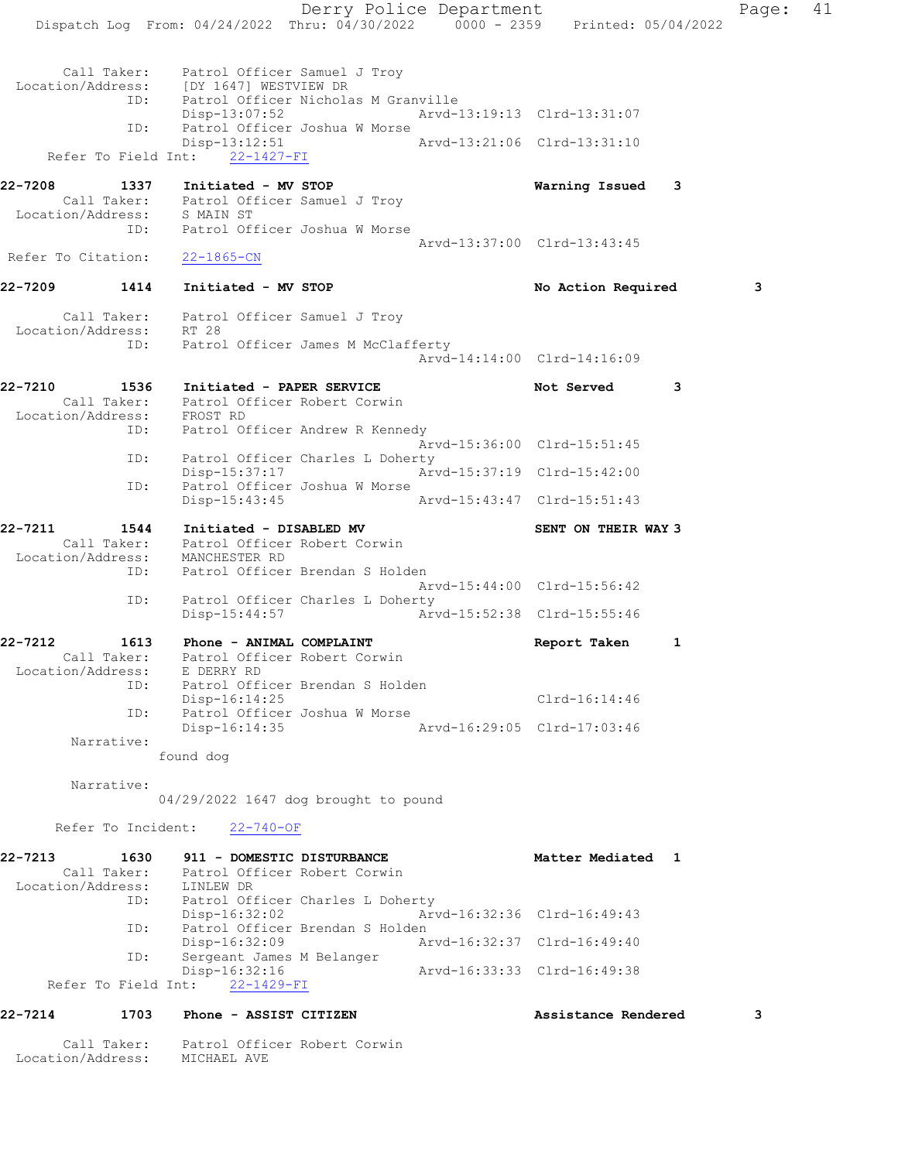Derry Police Department Fage: 41 Dispatch Log From: 04/24/2022 Thru: 04/30/2022 0000 - 2359 Printed: 05/04/2022 Call Taker: Patrol Officer Samuel J Troy Location/Address: [DY 1647] WESTVIEW DR ID: Patrol Officer Nicholas M Granville Disp-13:07:52 Arvd-13:19:13 Clrd-13:31:07 ID: Patrol Officer Joshua W Morse<br>Disp-13:12:51 Arvd-13:21:06 Clrd-13:31:10 Disp-13:12:51 Refer To Field Int: 22-1427-FI 22-7208 1337 Initiated - MV STOP Warning Issued 3 Call Taker: Patrol Officer Samuel J Troy Location/Address: S MAIN ST ID: Patrol Officer Joshua W Morse Arvd-13:37:00 Clrd-13:43:45 Refer To Citation: 22-1865-CN 22-7209 1414 Initiated - MV STOP 120 100 No Action Required 3 Call Taker: Patrol Officer Samuel J Troy Location/Address: RT 28 ID: Patrol Officer James M McClafferty Arvd-14:14:00 Clrd-14:16:09 22-7210 1536 Initiated - PAPER SERVICE 1988 Not Served 3 Call Taker: Patrol Officer Robert Corwin Location/Address: FROST RD ID: Patrol Officer Andrew R Kennedy Arvd-15:36:00 Clrd-15:51:45 ID: Patrol Officer Charles L Doherty<br>Disp-15:37:17 Arv Disp-15:37:17 Arvd-15:37:19 Clrd-15:42:00 ID: Patrol Officer Joshua W Morse Disp-15:43:45 Arvd-15:43:47 Clrd-15:51:43 22-7211 1544 Initiated - DISABLED MV SENT ON THEIR WAY 3 Call Taker: Patrol Officer Robert Corwin Location/Address: MANCHESTER RD ID: Patrol Officer Brendan S Holden Arvd-15:44:00 Clrd-15:56:42 ID: Patrol Officer Charles L Doherty Disp-15:44:57 Arvd-15:52:38 Clrd-15:55:46 22-7212 1613 Phone - ANIMAL COMPLAINT Report Taken 1 Call Taker: Patrol Officer Robert Corwin Location/Address: E DERRY RD ID: Patrol Officer Brendan S Holden Disp-16:14:25 Clrd-16:14:46 ID: Patrol Officer Joshua W Morse Disp-16:14:35 Arvd-16:29:05 Clrd-17:03:46 Narrative: found dog Narrative: 04/29/2022 1647 dog brought to pound Refer To Incident: 22-740-OF 22-7213 1630 911 - DOMESTIC DISTURBANCE Matter Mediated 1 Call Taker: Patrol Officer Robert Corwin Location/Address: LINLEW DR ID: Patrol Officer Charles L Doherty<br>Disp-16:32:02 Arv Disp-16:32:02 Arvd-16:32:36 Clrd-16:49:43<br>ID: Patrol Officer Brendan S Holden ID: Patrol Officer Brendan S Holden Disp-16:32:09 Arvd-16:32:37 Clrd-16:49:40 ID: Sergeant James M Belanger Disp-16:32:16 Arvd-16:33:33 Clrd-16:49:38 Refer To Field Int: 22-1429-FI 22-7214 1703 Phone - ASSIST CITIZEN Assistance Rendered 3

Call Taker: Patrol Officer Robert Corwin

Location/Address: MICHAEL AVE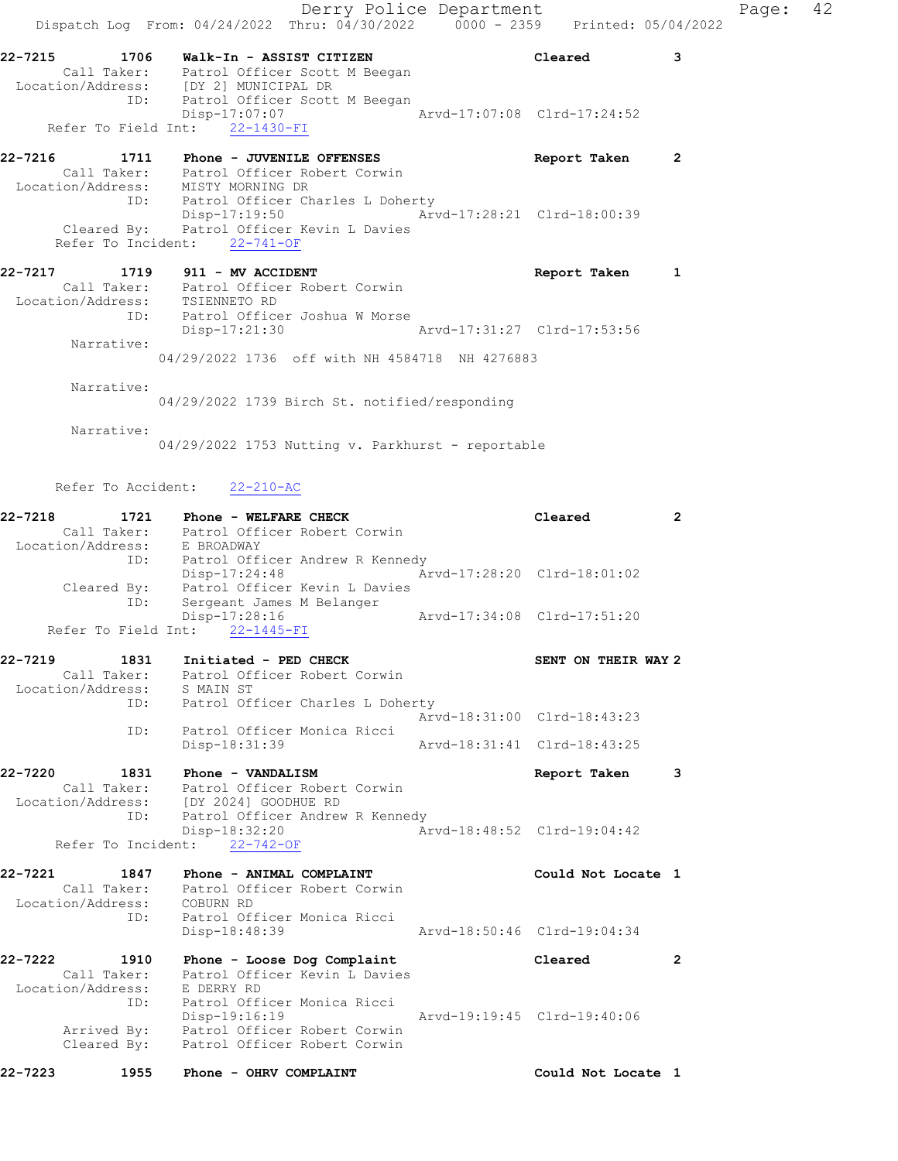Derry Police Department Fage: 42 Dispatch Log From: 04/24/2022 Thru: 04/30/2022 0000 - 2359 Printed: 05/04/2022 22-7215 1706 Walk-In - ASSIST CITIZEN Cleared 3 Call Taker: Patrol Officer Scott M Beegan Location/Address: [DY 2] MUNICIPAL DR ID: Patrol Officer Scott M Beegan Disp-17:07:07 Arvd-17:07:08 Clrd-17:24:52 Refer To Field Int: 22-1430-FI 22-7216 1711 Phone - JUVENILE OFFENSES Report Taken 2 Call Taker: Patrol Officer Robert Corwin Location/Address: MISTY MORNING DR ID: Patrol Officer Charles L Doherty Disp-17:19:50 Arvd-17:28:21 Clrd-18:00:39 Cleared By: Patrol Officer Kevin L Davies Refer To Incident: 22-741-OF 22-7217 1719 911 - MV ACCIDENT 1999 1999 Report Taken 1 Call Taker: Patrol Officer Robert Corwin Location/Address: TSIENNETO RD ID: Patrol Officer Joshua W Morse Disp-17:21:30 Arvd-17:31:27 Clrd-17:53:56 Narrative: 04/29/2022 1736 off with NH 4584718 NH 4276883 Narrative: 04/29/2022 1739 Birch St. notified/responding Narrative: 04/29/2022 1753 Nutting v. Parkhurst - reportable Refer To Accident: 22-210-AC 22-7218 1721 Phone - WELFARE CHECK Cleared 2 Call Taker: Patrol Officer Robert Corwin Location/Address: E BROADWAY ID: Patrol Officer Andrew R Kennedy Disp-17:24:48 Arvd-17:28:20 Clrd-18:01:02 Cleared By: Patrol Officer Kevin L Davies ID: Sergeant James M Belanger Disp-17:28:16 Arvd-17:34:08 Clrd-17:51:20 Refer To Field Int: 22-1445-FI 22-7219 1831 Initiated - PED CHECK SENT ON THEIR WAY 2 Call Taker: Patrol Officer Robert Corwin Location/Address: S MAIN ST ID: Patrol Officer Charles L Doherty Arvd-18:31:00 Clrd-18:43:23 ID: Patrol Officer Monica Ricci Disp-18:31:39 Arvd-18:31:41 Clrd-18:43:25 22-7220 1831 Phone - VANDALISM Report Taken 3 Call Taker: Patrol Officer Robert Corwin Location/Address: [DY 2024] GOODHUE RD ID: Patrol Officer Andrew R Kennedy Disp-18:32:20 Arvd-18:48:52 Clrd-19:04:42 Refer To Incident: 22-742-OF 22-7221 1847 Phone - ANIMAL COMPLAINT Could Not Locate 1 Call Taker: Patrol Officer Robert Corwin Location/Address: COBURN RD ID: Patrol Officer Monica Ricci Disp-18:48:39 Arvd-18:50:46 Clrd-19:04:34 22-7222 1910 Phone - Loose Dog Complaint Cleared 2 Call Taker: Patrol Officer Kevin L Davies Location/Address: E DERRY RD ID: Patrol Officer Monica Ricci Disp-19:16:19 Arvd-19:19:45 Clrd-19:40:06 Arrived By: Patrol Officer Robert Corwin Cleared By: Patrol Officer Robert Corwin

22-7223 1955 Phone - OHRV COMPLAINT COULD Could Not Locate 1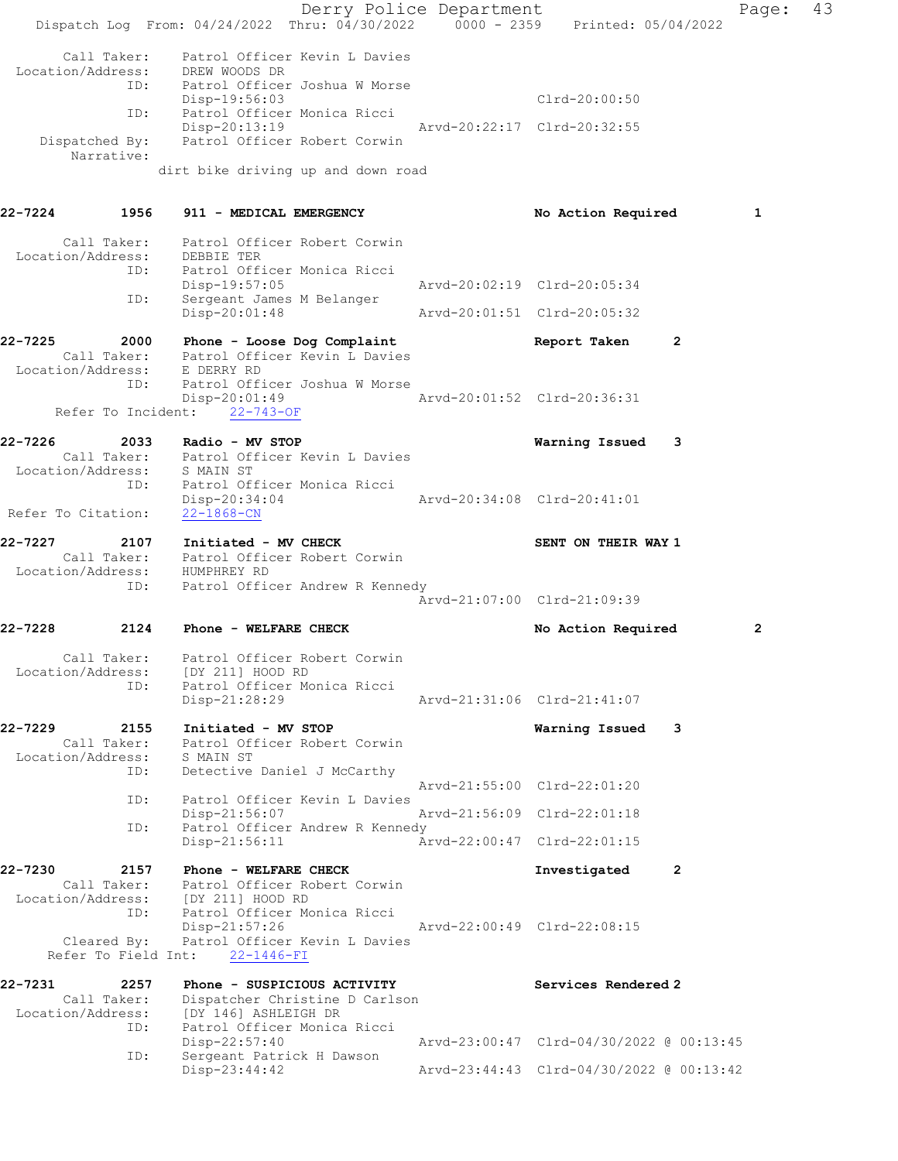Derry Police Department Fage: 43 Dispatch Log From: 04/24/2022 Thru: 04/30/2022 0000 - 2359 Printed: 05/04/2022 Call Taker: Patrol Officer Kevin L Davies Location/Address: DREW WOODS DR ID: Patrol Officer Joshua W Morse Disp-19:56:03 Clrd-20:00:50 ID: Patrol Officer Monica Ricci Disp-20:13:19 Arvd-20:22:17 Clrd-20:32:55 Dispatched By: Patrol Officer Robert Corwin Narrative: dirt bike driving up and down road 22-7224 1956 911 - MEDICAL EMERGENCY 1 No Action Required 1 Call Taker: Patrol Officer Robert Corwin Location/Address: DEBBIE TER ID: Patrol Officer Monica Ricci Disp-19:57:05 Arvd-20:02:19 Clrd-20:05:34 ID: Sergeant James M Belanger Disp-20:01:48 Arvd-20:01:51 Clrd-20:05:32 22-7225 2000 Phone - Loose Dog Complaint Report Taken 2 Call Taker: Patrol Officer Kevin L Davies Location/Address: E DERRY RD ID: Patrol Officer Joshua W Morse Disp-20:01:49 Arvd-20:01:52 Clrd-20:36:31 Refer To Incident: 22-743-OF 22-7226 2033 Radio - MV STOP Warning Issued 3 Call Taker: Patrol Officer Kevin L Davies Location/Address: S MAIN ST ID: Patrol Officer Monica Ricci Disp-20:34:04 Arvd-20:34:08 Clrd-20:41:01 Refer To Citation: 22-1868-CN 22-7227 2107 Initiated - MV CHECK SENT ON THEIR WAY 1 Call Taker: Patrol Officer Robert Corwin Location/Address: HUMPHREY RD ID: Patrol Officer Andrew R Kennedy Arvd-21:07:00 Clrd-21:09:39 22-7228 2124 Phone - WELFARE CHECK No Action Required 2 Call Taker: Patrol Officer Robert Corwin Location/Address: [DY 211] HOOD RD ID: Patrol Officer Monica Ricci Disp-21:28:29 Arvd-21:31:06 Clrd-21:41:07 22-7229 2155 Initiated - MV STOP Warning Issued 3 Call Taker: Patrol Officer Robert Corwin Location/Address: S MAIN ST ID: Detective Daniel J McCarthy Arvd-21:55:00 Clrd-22:01:20 ID: Patrol Officer Kevin L Davies<br>Disp-21:56:07 Mrvd-21:56:09 Clrd-22:01:18 Disp-21:56:07 Arvd-21:56:09 Clrd-22:01:18 ID: Patrol Officer Andrew R Kennedy Disp-21:56:11 Arvd-22:00:47 Clrd-22:01:15 22-7230 2157 Phone - WELFARE CHECK **Investigated** 2 Call Taker: Patrol Officer Robert Corwin Location/Address: [DY 211] HOOD RD ID: Patrol Officer Monica Ricci Disp-21:57:26 Arvd-22:00:49 Clrd-22:08:15 Cleared By: Patrol Officer Kevin L Davies Refer To Field Int: 22-1446-FI 22-7231 2257 Phone - SUSPICIOUS ACTIVITY Services Rendered 2 Call Taker: Dispatcher Christine D Carlson Location/Address: [DY 146] ASHLEIGH DR ID: Patrol Officer Monica Ricci Disp-22:57:40 Arvd-23:00:47 Clrd-04/30/2022 @ 00:13:45 ID: Sergeant Patrick H Dawson Disp-22:57:40<br>Disp-22:57:40<br>Disp-23:44:42 Arvd-23:00:47 Clrd-04/30/2022 @ 00:13:45<br>Disp-23:44:42 Arvd-23:44:43 Clrd-04/30/2022 @ 00:13:42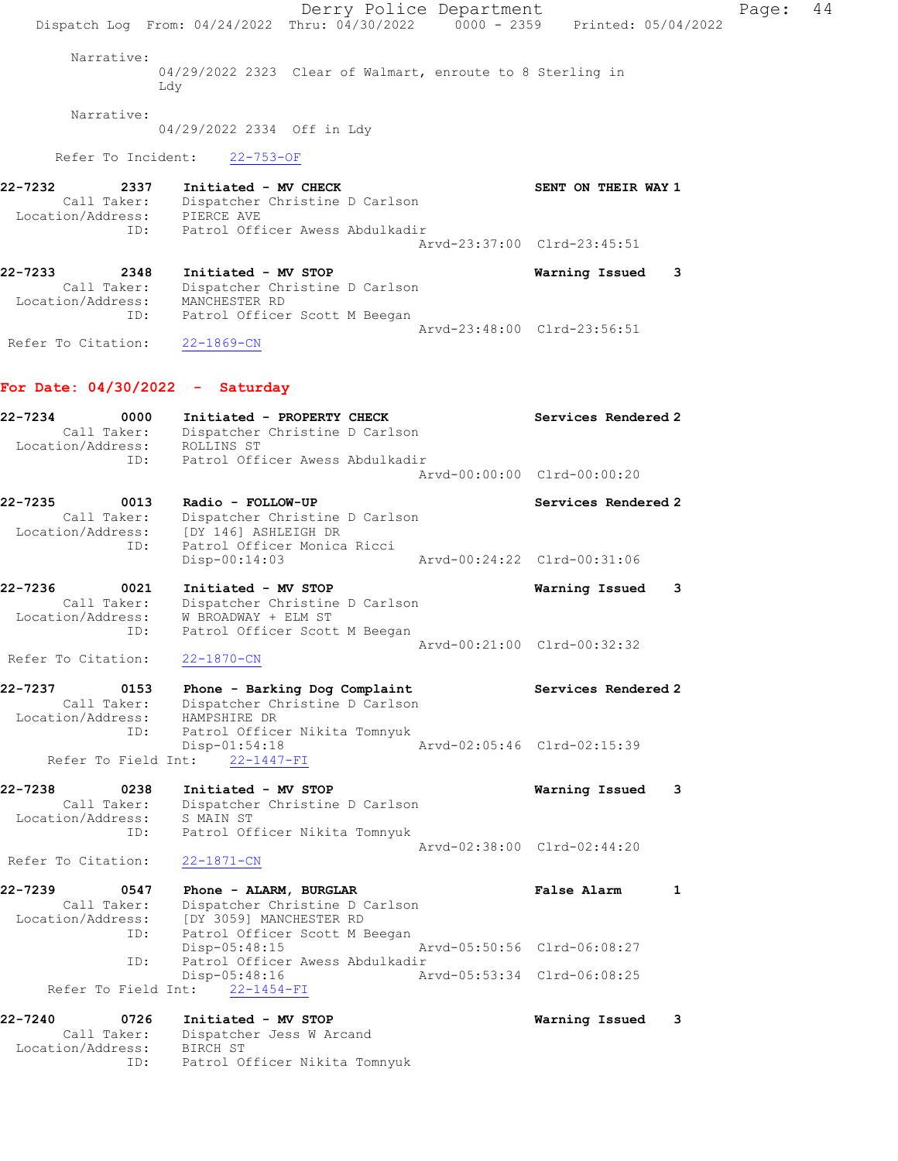Derry Police Department Fage: 44 Dispatch Log From: 04/24/2022 Thru: 04/30/2022 0000 - 2359 Printed: 05/04/2022 Narrative: 04/29/2022 2323 Clear of Walmart, enroute to 8 Sterling in Ldy Narrative: 04/29/2022 2334 Off in Ldy Refer To Incident: 22-753-OF 22-7232 2337 Initiated - MV CHECK SENT ON THEIR WAY 1 Call Taker: Dispatcher Christine D Carlson Location/Address: PIERCE AVE ID: Patrol Officer Awess Abdulkadir Arvd-23:37:00 Clrd-23:45:51 22-7233 2348 Initiated - MV STOP Warning Issued 3 Call Taker: Dispatcher Christine D Carlson Location/Address: MANCHESTER RD ID: Patrol Officer Scott M Beegan Arvd-23:48:00 Clrd-23:56:51 Refer To Citation: 22-1869-CN For Date: 04/30/2022 - Saturday 22-7234 0000 Initiated - PROPERTY CHECK Services Rendered 2 Call Taker: Dispatcher Christine D Carlson Location/Address: ROLLINS ST ID: Patrol Officer Awess Abdulkadir Arvd-00:00:00 Clrd-00:00:20 22-7235 0013 Radio - FOLLOW-UP Services Rendered 2 Call Taker: Dispatcher Christine D Carlson Location/Address: [DY 146] ASHLEIGH DR ID: Patrol Officer Monica Ricci Disp-00:14:03 Arvd-00:24:22 Clrd-00:31:06 22-7236 0021 Initiated - MV STOP Warning Issued 3 Call Taker: Dispatcher Christine D Carlson Location/Address: W BROADWAY + ELM ST ID: Patrol Officer Scott M Beegan Arvd-00:21:00 Clrd-00:32:32 Refer To Citation: 22-1870-CN 22-7237 0153 Phone - Barking Dog Complaint Services Rendered 2 Call Taker: Dispatcher Christine D Carlson Location/Address: HAMPSHIRE DR ID: Patrol Officer Nikita Tomnyuk Disp-01:54:18 Arvd-02:05:46 Clrd-02:15:39 Refer To Field Int: 22-1447-FI 22-7238 0238 Initiated - MV STOP Warning Issued 3 Call Taker: Dispatcher Christine D Carlson Location/Address: S MAIN ST ID: Patrol Officer Nikita Tomnyuk Arvd-02:38:00 Clrd-02:44:20 Refer To Citation: 22-1871-CN 22-7239 0547 Phone - ALARM, BURGLAR False Alarm 1 Call Taker: Dispatcher Christine D Carlson Location/Address: [DY 3059] MANCHESTER RD ID: Patrol Officer Scott M Beegan Disp-05:48:15 Arvd-05:50:56 Clrd-06:08:27 ID: Patrol Officer Awess Abdulkadir Arvd-05:53:34 Clrd-06:08:25 Refer To Field Int: 22-1454-FI 22-7240 0726 Initiated - MV STOP Warning Issued 3 Call Taker: Dispatcher Jess W Arcand Location/Address: BIRCH ST ID: Patrol Officer Nikita Tomnyuk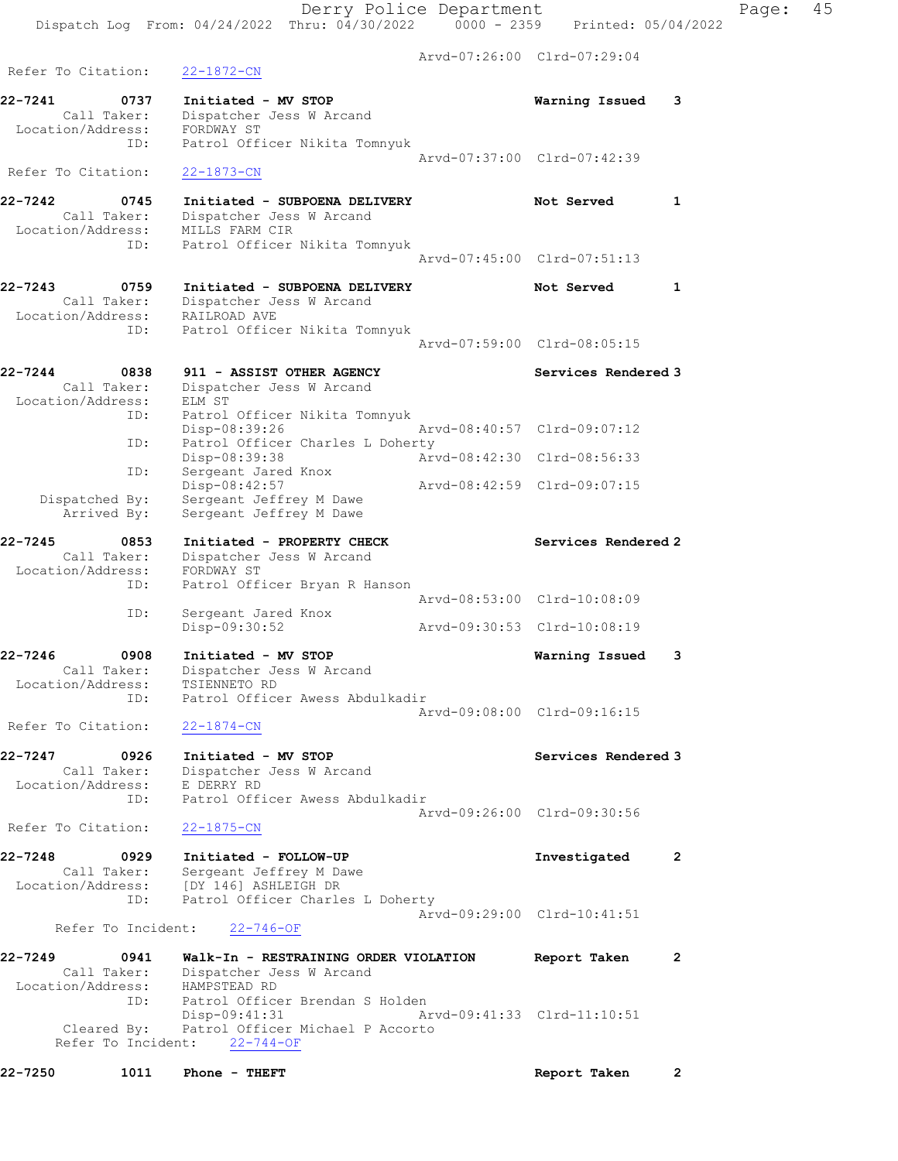Arvd-07:26:00 Clrd-07:29:04 Refer To Citation: 22-1872-CN 22-7241 0737 Initiated - MV STOP Warning Issued 3 Call Taker: Dispatcher Jess W Arcand Location/Address: FORDWAY ST ID: Patrol Officer Nikita Tomnyuk Arvd-07:37:00 Clrd-07:42:39 Refer To Citation: 22-1873-CN 22-7242 0745 Initiated - SUBPOENA DELIVERY Not Served 1 Call Taker: Dispatcher Jess W Arcand Location/Address: MILLS FARM CIR ID: Patrol Officer Nikita Tomnyuk Arvd-07:45:00 Clrd-07:51:13 22-7243 0759 Initiated - SUBPOENA DELIVERY Not Served 1 Call Taker: Dispatcher Jess W Arcand Location/Address: RAILROAD AVE ID: Patrol Officer Nikita Tomnyuk Arvd-07:59:00 Clrd-08:05:15 22-7244 0838 911 - ASSIST OTHER AGENCY Services Rendered 3 Call Taker: Dispatcher Jess W Arcand Location/Address: ELM ST ID: Patrol Officer Nikita Tomnyuk<br>Disp-08:39:26 Disp-08:39:26 Arvd-08:40:57 Clrd-09:07:12 ID: Patrol Officer Charles L Doherty Disp-08:39:38 Arvd-08:42:30 Clrd-08:56:33 ID: Sergeant Jared Knox Disp-08:42:57 Arvd-08:42:59 Clrd-09:07:15 Dispatched By: Sergeant Jeffrey M Dawe Arrived By: Sergeant Jeffrey M Dawe 22-7245 0853 Initiated - PROPERTY CHECK Services Rendered 2 Call Taker: Dispatcher Jess W Arcand Location/Address: FORDWAY ST ID: Patrol Officer Bryan R Hanson Arvd-08:53:00 Clrd-10:08:09 ID: Sergeant Jared Knox<br>Disp-09:30:52 Disp-09:30:52 Arvd-09:30:53 Clrd-10:08:19 22-7246 0908 Initiated - MV STOP Warning Issued 3 Call Taker: Dispatcher Jess W Arcand Location/Address: TSIENNETO RD ID: Patrol Officer Awess Abdulkadir Arvd-09:08:00 Clrd-09:16:15 Refer To Citation: 22-1874-CN 22-7247 0926 Initiated - MV STOP Services Rendered 3 Call Taker: Dispatcher Jess W Arcand Location/Address: E DERRY RD ID: Patrol Officer Awess Abdulkadir Arvd-09:26:00 Clrd-09:30:56 Refer To Citation: 22-1875-CN 22-7248 0929 Initiated - FOLLOW-UP Investigated 2 Call Taker: Sergeant Jeffrey M Dawe Location/Address: [DY 146] ASHLEIGH DR ID: Patrol Officer Charles L Doherty Arvd-09:29:00 Clrd-10:41:51 Refer To Incident: 22-746-OF 22-7249 0941 Walk-In - RESTRAINING ORDER VIOLATION Report Taken 2 Call Taker: Dispatcher Jess W Arcand Location/Address: HAMPSTEAD RD ID: Patrol Officer Brendan S Holden<br>Disp-09:41:31 Arvd-09:41:33 Clrd-11:10:51 Disp-09:41:31 Arvd-09:41:33 Clrd-11:10:51 Cleared By: Patrol Officer Michael P Accorto Refer To Incident: 22-744-OF

22-7250 1011 Phone - THEFT **Report Taken** 2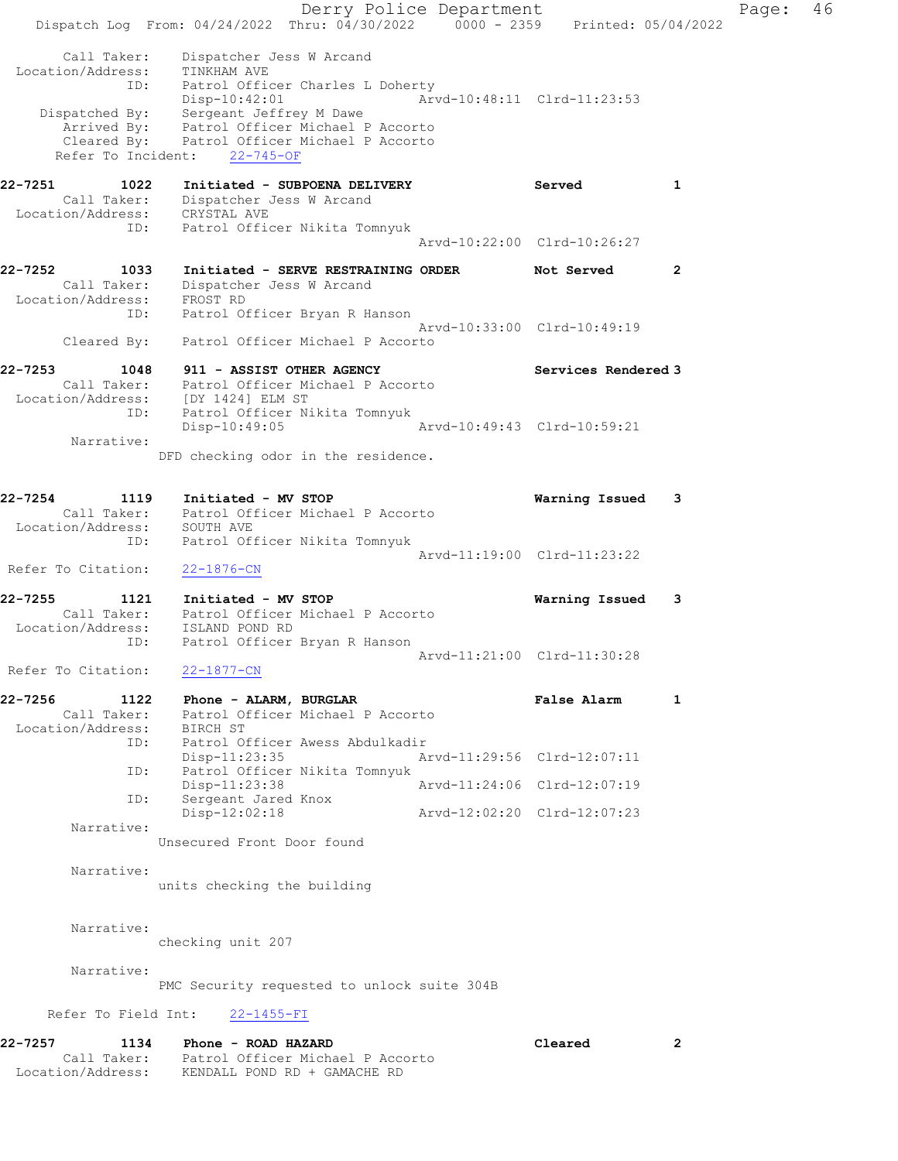Derry Police Department Controller Page: 46 Dispatch Log From: 04/24/2022 Thru: 04/30/2022 0000 - 2359 Printed: 05/04/2022 Call Taker: Dispatcher Jess W Arcand Location/Address: TINKHAM AVE ID: Patrol Officer Charles L Doherty Disp-10:42:01 Arvd-10:48:11 Clrd-11:23:53 Dispatched By: Sergeant Jeffrey M Dawe Arrived By: Patrol Officer Michael P Accorto Cleared By: Patrol Officer Michael P Accorto Refer To Incident: 22-745-OF 22-7251 1022 Initiated - SUBPOENA DELIVERY Served 1 Call Taker: Dispatcher Jess W Arcand Location/Address: CRYSTAL AVE ID: Patrol Officer Nikita Tomnyuk Arvd-10:22:00 Clrd-10:26:27 22-7252 1033 Initiated - SERVE RESTRAINING ORDER Not Served 2 Call Taker: Dispatcher Jess W Arcand Location/Address: FROST RD ID: Patrol Officer Bryan R Hanson Arvd-10:33:00 Clrd-10:49:19 Cleared By: Patrol Officer Michael P Accorto 22-7253 1048 911 - ASSIST OTHER AGENCY Services Rendered 3 Call Taker: Patrol Officer Michael P Accorto Location/Address: [DY 1424] ELM ST ID: Patrol Officer Nikita Tomnyuk Disp-10:49:05 Arvd-10:49:43 Clrd-10:59:21 Narrative: DFD checking odor in the residence. 22-7254 1119 Initiated - MV STOP Warning Issued 3 Call Taker: Patrol Officer Michael P Accorto Location/Address: SOUTH AVE ID: Patrol Officer Nikita Tomnyuk Arvd-11:19:00 Clrd-11:23:22 Refer To Citation: 22-1876-CN 22-7255 1121 Initiated - MV STOP Warning Issued 3 Call Taker: Patrol Officer Michael P Accorto Location/Address: ISLAND POND RD ID: Patrol Officer Bryan R Hanson Arvd-11:21:00 Clrd-11:30:28 Refer To Citation: 22-1877-CN 22-7256 1122 Phone - ALARM, BURGLAR 1 1 Phone 1 Palse Alarm 1 Call Taker: Patrol Officer Michael P Accorto Location/Address: BIRCH ST ID: Patrol Officer Awess Abdulkadir Disp-11:23:35 Arvd-11:29:56 Clrd-12:07:11 ID: Patrol Officer Nikita Tomnyuk<br>Disp-11:23:38 Arvd-11:24:06 Clrd-12:07:19 Disp-11:23:38 Arvd-11:24:06 Clrd-12:07:19 ID: Sergeant Jared Knox Disp-12:02:18 Arvd-12:02:20 Clrd-12:07:23 Narrative: Unsecured Front Door found Narrative: units checking the building Narrative: checking unit 207 Narrative: PMC Security requested to unlock suite 304B Refer To Field Int: 22-1455-FI 22-7257 1134 Phone - ROAD HAZARD Cleared 2 Call Taker: Patrol Officer Michael P Accorto Location/Address: KENDALL POND RD + GAMACHE RD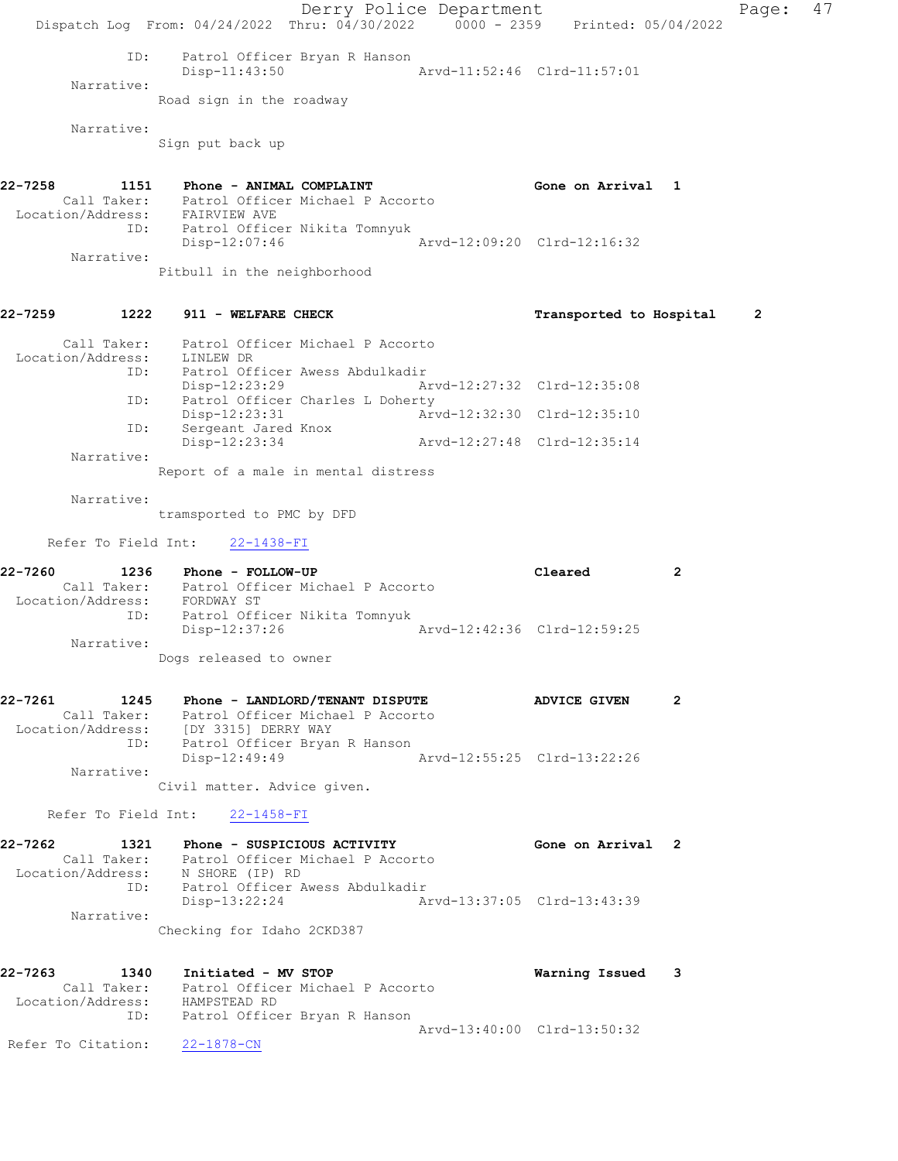Derry Police Department Controller Page: 47 Dispatch Log From: 04/24/2022 Thru: 04/30/2022 0000 - 2359 Printed: 05/04/2022 ID: Patrol Officer Bryan R Hanson Disp-11:43:50 Arvd-11:52:46 Clrd-11:57:01 Narrative: Road sign in the roadway Narrative: Sign put back up 22-7258 1151 Phone - ANIMAL COMPLAINT COMPONER Solution and Gone on Arrival 1 Call Taker: Patrol Officer Michael P Accorto Location/Address: FAIRVIEW AVE ID: Patrol Officer Nikita Tomnyuk Disp-12:07:46 Arvd-12:09:20 Clrd-12:16:32 Narrative: Pitbull in the neighborhood 22-7259 1222 911 - WELFARE CHECK Transported to Hospital 2 Call Taker: Patrol Officer Michael P Accorto Location/Address: LINLEW DR ID: Patrol Officer Awess Abdulkadir Disp-12:23:29 Arvd-12:27:32 Clrd-12:35:08 ID: Patrol Officer Charles L Doherty Disp-12:23:31 Arvd-12:32:30 Clrd-12:35:10 ID: Sergeant Jared Knox Disp-12:23:34 Arvd-12:27:48 Clrd-12:35:14 Narrative: Report of a male in mental distress Narrative: tramsported to PMC by DFD Refer To Field Int: 22-1438-FI 22-7260 1236 Phone - FOLLOW-UP Cleared 2 Call Taker: Patrol Officer Michael P Accorto Location/Address: FORDWAY ST ID: Patrol Officer Nikita Tomnyuk Disp-12:37:26 Arvd-12:42:36 Clrd-12:59:25 Narrative: Dogs released to owner 22-7261 1245 Phone - LANDLORD/TENANT DISPUTE 1245 2 Call Taker: Patrol Officer Michael P Accorto Location/Address: [DY 3315] DERRY WAY ID: Patrol Officer Bryan R Hanson Disp-12:49:49 Arvd-12:55:25 Clrd-13:22:26 Narrative: Civil matter. Advice given. Refer To Field Int: 22-1458-FI 22-7262 1321 Phone - SUSPICIOUS ACTIVITY Gone on Arrival 2 Call Taker: Patrol Officer Michael P Accorto Location/Address: N SHORE (IP) RD ID: Patrol Officer Awess Abdulkadir Disp-13:22:24 Arvd-13:37:05 Clrd-13:43:39 Narrative: Checking for Idaho 2CKD387 22-7263 1340 Initiated - MV STOP Warning Issued 3 Call Taker: Patrol Officer Michael P Accorto Location/Address: HAMPSTEAD RD ID: Patrol Officer Bryan R Hanson Arvd-13:40:00 Clrd-13:50:32 Refer To Citation: 22-1878-CN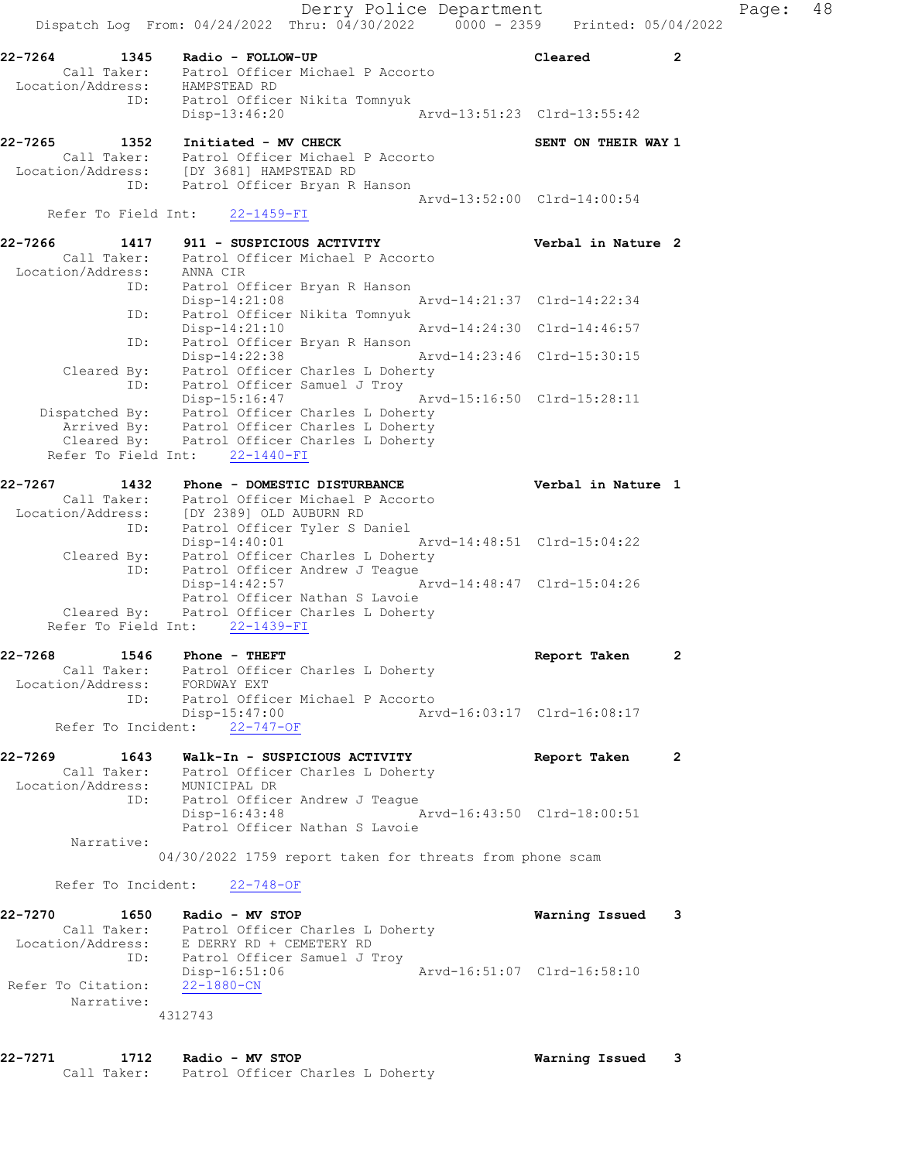Derry Police Department Fage: 48 Dispatch Log From:  $04/24/2022$  Thru:  $04/30/2022$  0000 - 2359 Printed: 05/04/2022 22-7264 1345 Radio - FOLLOW-UP Cleared 2 Call Taker: Patrol Officer Michael P Accorto Location/Address: HAMPSTEAD RD ID: Patrol Officer Nikita Tomnyuk Disp-13:46:20 Arvd-13:51:23 Clrd-13:55:42 22-7265 1352 Initiated - MV CHECK SENT ON THEIR WAY 1 Call Taker: Patrol Officer Michael P Accorto Location/Address: [DY 3681] HAMPSTEAD RD ID: Patrol Officer Bryan R Hanson Arvd-13:52:00 Clrd-14:00:54 Refer To Field Int: 22-1459-FI 22-7266 1417 911 - SUSPICIOUS ACTIVITY Verbal in Nature 2 Call Taker: Patrol Officer Michael P Accorto Location/Address: ANNA CIR ID: Patrol Officer Bryan R Hanson Disp-14:21:08 Arvd-14:21:37 Clrd-14:22:34 ID: Patrol Officer Nikita Tomnyuk Disp-14:21:10 Arvd-14:24:30 Clrd-14:46:57 ID: Patrol Officer Bryan R Hanson Disp-14:22:38 Arvd-14:23:46 Clrd-15:30:15 Cleared By: Patrol Officer Charles L Doherty ID: Patrol Officer Samuel J Troy Disp-15:16:47 Arvd-15:16:50 Clrd-15:28:11 Dispatched By: Patrol Officer Charles L Doherty Arrived By: Patrol Officer Charles L Doherty Cleared By: Patrol Officer Charles L Doherty Refer To Field Int: 22-1440-FI 22-7267 1432 Phone - DOMESTIC DISTURBANCE Verbal in Nature 1 Call Taker: Patrol Officer Michael P Accorto Location/Address: [DY 2389] OLD AUBURN RD ID: Patrol Officer Tyler S Daniel Disp-14:40:01 Arvd-14:48:51 Clrd-15:04:22 Cleared By: Patrol Officer Charles L Doherty ID: Patrol Officer Andrew J Teague Disp-14:42:57 Arvd-14:48:47 Clrd-15:04:26 Patrol Officer Nathan S Lavoie Cleared By: Patrol Officer Charles L Doherty Refer To Field Int: 22-1439-FI 22-7268 1546 Phone - THEFT **Report Taken** 2 Call Taker: Patrol Officer Charles L Doherty Location/Address: FORDWAY EXT ID: Patrol Officer Michael P Accorto Disp-15:47:00 <br>nt: 22-747-OF <br>Arvd-16:03:17 Clrd-16:08:17 Refer To Incident: 22-747-OF 22-7269 1643 Walk-In - SUSPICIOUS ACTIVITY Report Taken 2 Call Taker: Patrol Officer Charles L Doherty Location/Address: MUNICIPAL DR ID: Patrol Officer Andrew J Teague Disp-16:43:48 Arvd-16:43:50 Clrd-18:00:51 Patrol Officer Nathan S Lavoie Narrative: 04/30/2022 1759 report taken for threats from phone scam Refer To Incident: 22-748-OF 22-7270 1650 Radio - MV STOP Warning Issued 3 Call Taker: Patrol Officer Charles L Doherty Location/Address: E DERRY RD + CEMETERY RD ID: Patrol Officer Samuel J Troy Disp-16:51:06 Arvd-16:51:07 Clrd-16:58:10 Refer To Citation: 22-1880-CN Narrative: 4312743

22-7271 1712 Radio - MV STOP Warning Issued 3 Call Taker: Patrol Officer Charles L Doherty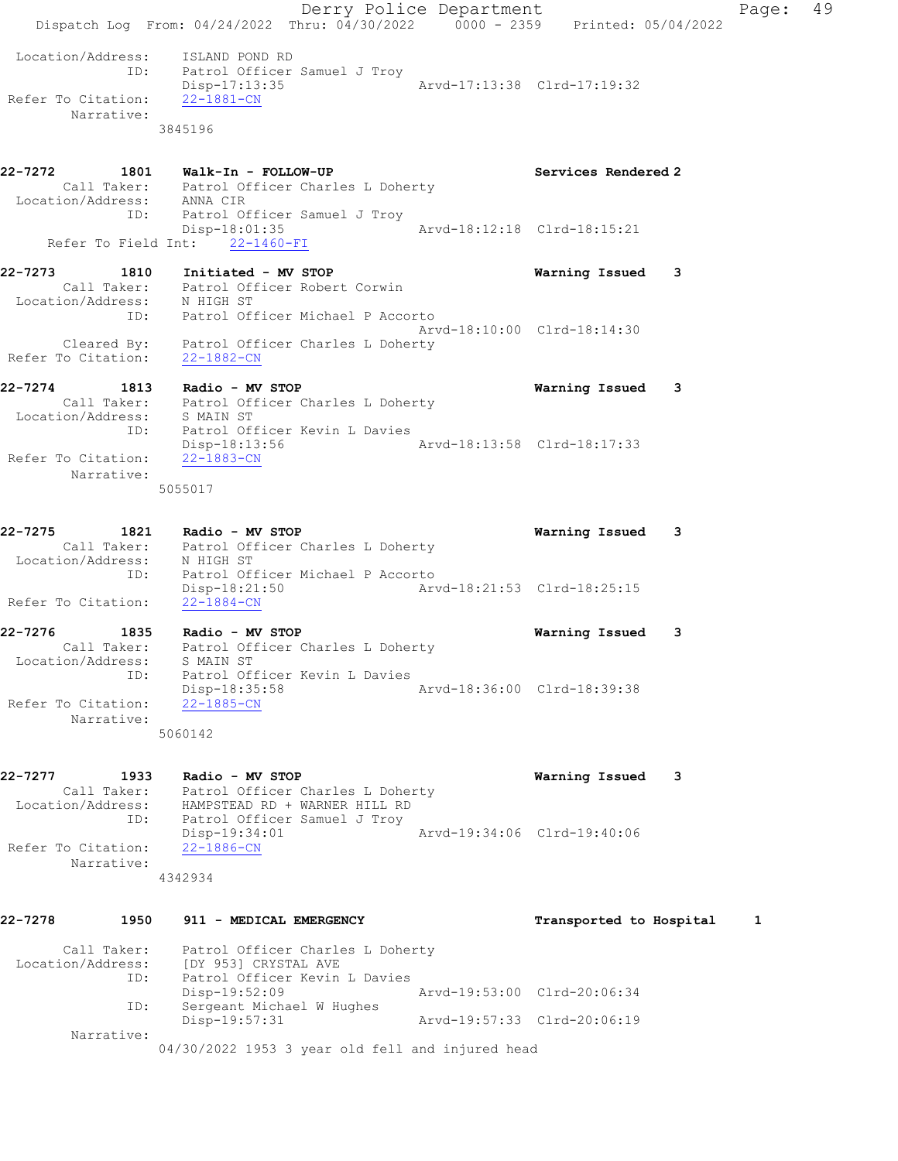|                                             | Derry Police Department<br>Dispatch Log From: 04/24/2022 Thru: 04/30/2022 0000 - 2359 Printed: 05/04/2022                                           |                                                                   |                             |                             |   | Page: | 49 |
|---------------------------------------------|-----------------------------------------------------------------------------------------------------------------------------------------------------|-------------------------------------------------------------------|-----------------------------|-----------------------------|---|-------|----|
| Refer To Citation: 22-1881-CN<br>Narrative: | Location/Address: ISLAND POND RD<br>ID: Patrol Officer Samuel J Troy<br>Disp-17:13:35<br>3845196                                                    |                                                                   |                             | Arvd-17:13:38 Clrd-17:19:32 |   |       |    |
|                                             | 22-7272 1801 Walk-In - FOLLOW-UP                                                                                                                    |                                                                   |                             | Services Rendered 2         |   |       |    |
|                                             | Call Taker: Patrol Officer Charles L Doherty<br>Location/Address: ANNA CIR<br>ID: Patrol Officer Samuel J Troy<br>Refer To Field Int: 22-1460-FI    | Disp-18:01:35                                                     |                             | Arvd-18:12:18 Clrd-18:15:21 |   |       |    |
|                                             |                                                                                                                                                     |                                                                   |                             |                             |   |       |    |
|                                             | 22-7273 1810 Initiated - MV STOP<br>Call Taker: Patrol Officer Robert Corwin<br>Location/Address: N HIGH ST<br>ID: Patrol Officer Michael P Accorto |                                                                   |                             | Warning Issued              | 3 |       |    |
|                                             | Cleared By: Patrol Officer Charles L Doherty<br>Refer To Citation: 22-1882-CN                                                                       |                                                                   |                             | Arvd-18:10:00 Clrd-18:14:30 |   |       |    |
| 22-7274                                     | 1813 Radio - MV STOP<br>Call Taker: Patrol Officer Charles L Doherty<br>Location/Address: S MAIN ST                                                 |                                                                   |                             | Warning Issued              | 3 |       |    |
| Refer To Citation:<br>Narrative:            | ID: Patrol Officer Kevin L Davies<br>22-1883-CN<br>5055017                                                                                          |                                                                   |                             |                             |   |       |    |
| 22-7275                                     | 1821 Radio - MV STOP<br>Call Taker: Patrol Officer Charles L Doherty<br>Location/Address: N HIGH ST                                                 |                                                                   |                             | Warning Issued              | 3 |       |    |
| Refer To Citation: 22-1884-CN               | ID: Patrol Officer Michael P Accorto                                                                                                                | Disp-18:21:50                                                     | Arvd-18:21:53 Clrd-18:25:15 |                             |   |       |    |
| 22-7276<br>Location/Address:                | 1835 Radio - MV STOP<br>Call Taker: Patrol Officer Charles L Doherty<br>S MAIN ST                                                                   |                                                                   |                             | Warning Issued              | 3 |       |    |
| Refer To Citation:<br>Narrative:            | ID:<br>Disp-18:35:58<br>$22 - 1885 - CN$                                                                                                            | Patrol Officer Kevin L Davies                                     | Arvd-18:36:00 Clrd-18:39:38 |                             |   |       |    |
| 22-7277<br>1933                             | 5060142                                                                                                                                             |                                                                   |                             |                             | 3 |       |    |
|                                             | Radio - MV STOP<br>Call Taker: Patrol Officer Charles L Doherty<br>Location/Address: HAMPSTEAD RD + WARNER HILL RD<br>ID:                           | Patrol Officer Samuel J Troy                                      |                             | Warning Issued              |   |       |    |
| Refer To Citation:<br>Narrative:            | Disp-19:34:01<br>$22 - 1886 - CN$<br>4342934                                                                                                        |                                                                   |                             | Arvd-19:34:06 Clrd-19:40:06 |   |       |    |
|                                             |                                                                                                                                                     |                                                                   |                             |                             |   |       |    |
| 22-7278                                     | 1950<br>911 - MEDICAL EMERGENCY                                                                                                                     |                                                                   |                             | Transported to Hospital     |   | 1     |    |
| Call Taker:                                 | Location/Address: [DY 953] CRYSTAL AVE<br>ID:                                                                                                       | Patrol Officer Charles L Doherty<br>Patrol Officer Kevin L Davies |                             |                             |   |       |    |
|                                             | Disp-19:52:09<br>Sergeant Michael W Hughes<br>ID:                                                                                                   |                                                                   |                             | Arvd-19:53:00 Clrd-20:06:34 |   |       |    |
| Narrative:                                  | Disp-19:57:31<br>04/30/2022 1953 3 year old fell and injured head                                                                                   |                                                                   |                             | Arvd-19:57:33 Clrd-20:06:19 |   |       |    |
|                                             |                                                                                                                                                     |                                                                   |                             |                             |   |       |    |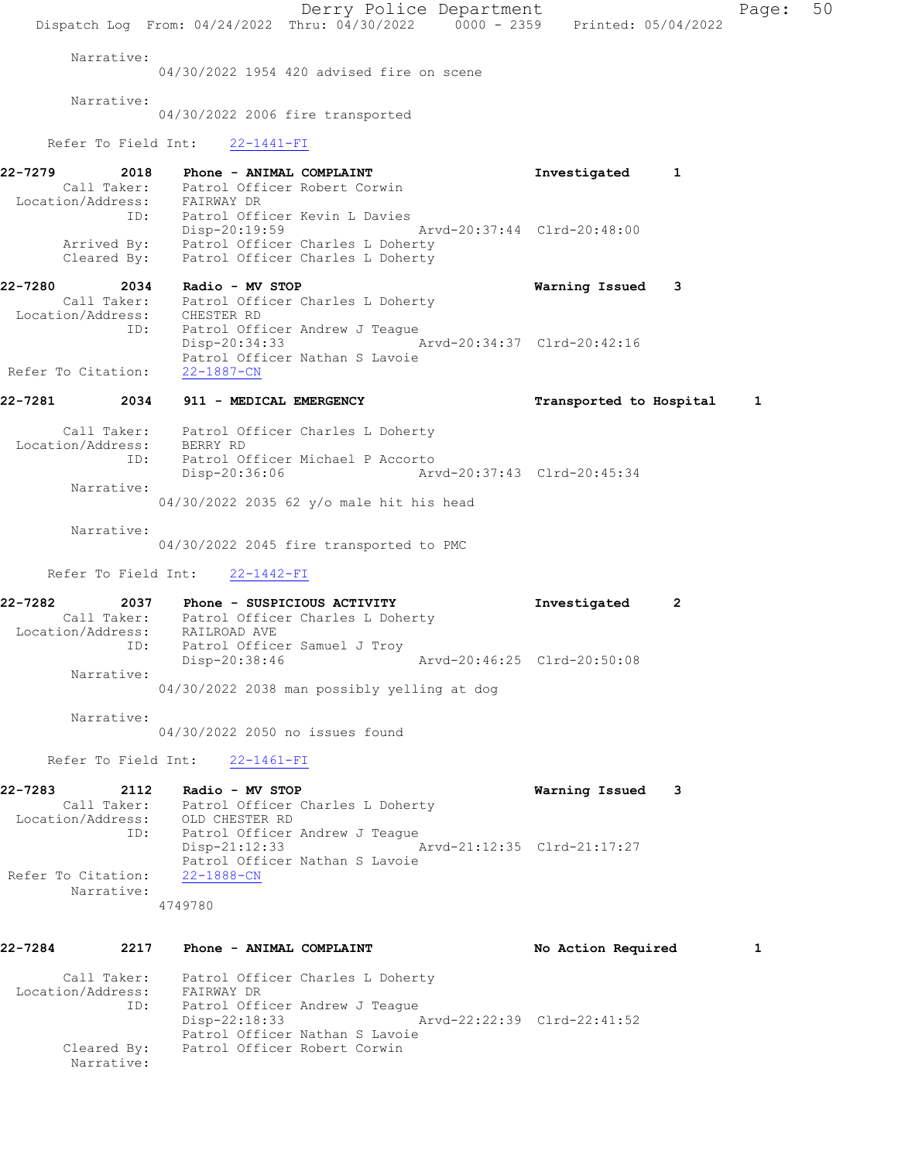Derry Police Department Fage: 50 Dispatch Log From: 04/24/2022 Thru: 04/30/2022 0000 - 2359 Printed: 05/04/2022 Narrative: 04/30/2022 1954 420 advised fire on scene Narrative: 04/30/2022 2006 fire transported Refer To Field Int: 22-1441-FI 22-7279 2018 Phone - ANIMAL COMPLAINT **Investigated** 1 Call Taker: Patrol Officer Robert Corwin Location/Address: FAIRWAY DR ID: Patrol Officer Kevin L Davies Disp-20:19:59 Arvd-20:37:44 Clrd-20:48:00 Arrived By: Patrol Officer Charles L Doherty Cleared By: Patrol Officer Charles L Doherty 22-7280 2034 Radio - MV STOP Warning Issued 3 Call Taker: Patrol Officer Charles L Doherty Location/Address: CHESTER RD ID: Patrol Officer Andrew J Teague Disp-20:34:33 Arvd-20:34:37 Clrd-20:42:16 Patrol Officer Nathan S Lavoie Refer To Citation: 22-1887-CN 22-7281 2034 911 - MEDICAL EMERGENCY **120 External 1** and 1 Transported to Hospital 1 Call Taker: Patrol Officer Charles L Doherty Location/Address: BERRY RD ID: Patrol Officer Michael P Accorto Disp-20:36:06 Arvd-20:37:43 Clrd-20:45:34 Narrative: 04/30/2022 2035 62 y/o male hit his head Narrative: 04/30/2022 2045 fire transported to PMC Refer To Field Int: 22-1442-FI 22-7282 2037 Phone - SUSPICIOUS ACTIVITY Investigated 2 Call Taker: Patrol Officer Charles L Doherty Location/Address: RAILROAD AVE ID: Patrol Officer Samuel J Troy Disp-20:38:46 Arvd-20:46:25 Clrd-20:50:08 Narrative: 04/30/2022 2038 man possibly yelling at dog Narrative: 04/30/2022 2050 no issues found Refer To Field Int: 22-1461-FI 22-7283 2112 Radio - MV STOP Warning Issued 3 Call Taker: Patrol Officer Charles L Doherty Location/Address: OLD CHESTER RD ID: Patrol Officer Andrew J Teague Disp-21:12:33 Arvd-21:12:35 Clrd-21:17:27 Patrol Officer Nathan S Lavoie Refer To Citation: 22-1888-CN Narrative: 4749780 22-7284 2217 Phone - ANIMAL COMPLAINT No Action Required 1 Call Taker: Patrol Officer Charles L Doherty Location/Address: FAIRWAY DR<br>ID: Patrol Offi Patrol Officer Andrew J Teague Disp-22:18:33 Arvd-22:22:39 Clrd-22:41:52 Patrol Officer Nathan S Lavoie Cleared By: Patrol Officer Robert Corwin Narrative: